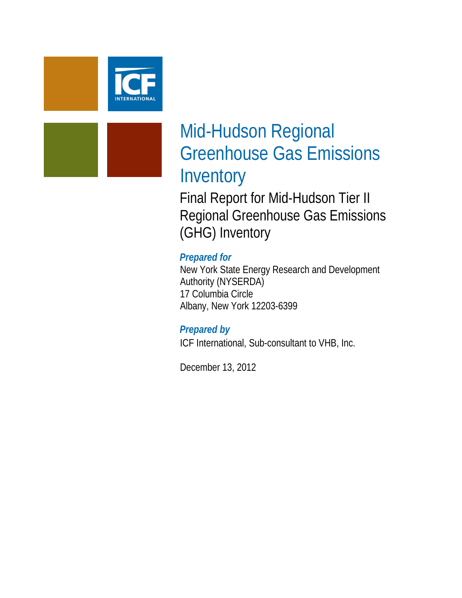

# Mid-Hudson Regional Greenhouse Gas Emissions Inventory

Final Report for Mid-Hudson Tier II Regional Greenhouse Gas Emissions (GHG) Inventory

# *Prepared for*

New York State Energy Research and Development Authority (NYSERDA) 17 Columbia Circle Albany, New York 12203-6399

# *Prepared by*

ICF International, Sub-consultant to VHB, Inc.

December 13, 2012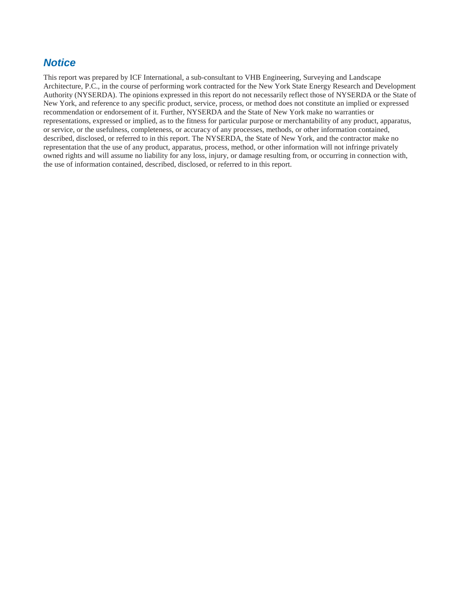# *Notice*

This report was prepared by ICF International, a sub-consultant to VHB Engineering, Surveying and Landscape Architecture, P.C., in the course of performing work contracted for the New York State Energy Research and Development Authority (NYSERDA). The opinions expressed in this report do not necessarily reflect those of NYSERDA or the State of New York, and reference to any specific product, service, process, or method does not constitute an implied or expressed recommendation or endorsement of it. Further, NYSERDA and the State of New York make no warranties or representations, expressed or implied, as to the fitness for particular purpose or merchantability of any product, apparatus, or service, or the usefulness, completeness, or accuracy of any processes, methods, or other information contained, described, disclosed, or referred to in this report. The NYSERDA, the State of New York, and the contractor make no representation that the use of any product, apparatus, process, method, or other information will not infringe privately owned rights and will assume no liability for any loss, injury, or damage resulting from, or occurring in connection with, the use of information contained, described, disclosed, or referred to in this report.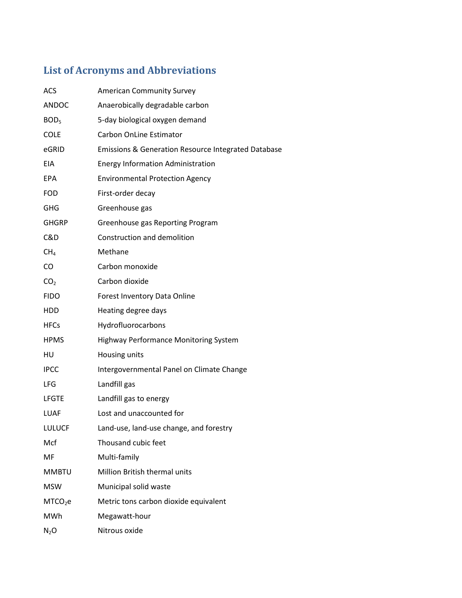# **List of Acronyms and Abbreviations**

| <b>ACS</b>          | <b>American Community Survey</b>                               |
|---------------------|----------------------------------------------------------------|
| <b>ANDOC</b>        | Anaerobically degradable carbon                                |
| BOD <sub>5</sub>    | 5-day biological oxygen demand                                 |
| <b>COLE</b>         | <b>Carbon OnLine Estimator</b>                                 |
| eGRID               | <b>Emissions &amp; Generation Resource Integrated Database</b> |
| EIA                 | <b>Energy Information Administration</b>                       |
| <b>EPA</b>          | <b>Environmental Protection Agency</b>                         |
| <b>FOD</b>          | First-order decay                                              |
| <b>GHG</b>          | Greenhouse gas                                                 |
| <b>GHGRP</b>        | Greenhouse gas Reporting Program                               |
| C&D                 | Construction and demolition                                    |
| CH <sub>4</sub>     | Methane                                                        |
| CO                  | Carbon monoxide                                                |
| CO <sub>2</sub>     | Carbon dioxide                                                 |
| <b>FIDO</b>         | Forest Inventory Data Online                                   |
| <b>HDD</b>          | Heating degree days                                            |
| <b>HFCs</b>         | Hydrofluorocarbons                                             |
| <b>HPMS</b>         | <b>Highway Performance Monitoring System</b>                   |
| HU                  | Housing units                                                  |
| <b>IPCC</b>         | Intergovernmental Panel on Climate Change                      |
| LFG                 | Landfill gas                                                   |
| <b>LFGTE</b>        | Landfill gas to energy                                         |
| LUAF                | Lost and unaccounted for                                       |
| <b>LULUCF</b>       | Land-use, land-use change, and forestry                        |
| Mcf                 | Thousand cubic feet                                            |
| MF                  | Multi-family                                                   |
| <b>MMBTU</b>        | Million British thermal units                                  |
| <b>MSW</b>          | Municipal solid waste                                          |
| MTCO <sub>2</sub> e | Metric tons carbon dioxide equivalent                          |
| MWh                 | Megawatt-hour                                                  |
| $N_2O$              | Nitrous oxide                                                  |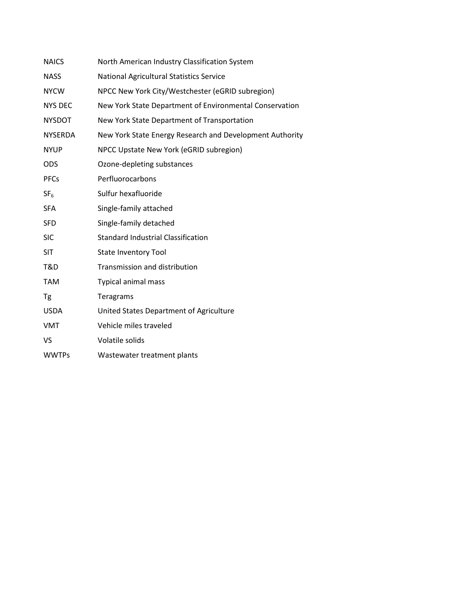| <b>NAICS</b>    | North American Industry Classification System            |
|-----------------|----------------------------------------------------------|
| <b>NASS</b>     | <b>National Agricultural Statistics Service</b>          |
| <b>NYCW</b>     | NPCC New York City/Westchester (eGRID subregion)         |
| <b>NYS DEC</b>  | New York State Department of Environmental Conservation  |
| <b>NYSDOT</b>   | New York State Department of Transportation              |
| <b>NYSERDA</b>  | New York State Energy Research and Development Authority |
| <b>NYUP</b>     | NPCC Upstate New York (eGRID subregion)                  |
| <b>ODS</b>      | Ozone-depleting substances                               |
| <b>PFCs</b>     | Perfluorocarbons                                         |
| SF <sub>6</sub> | Sulfur hexafluoride                                      |
| <b>SFA</b>      | Single-family attached                                   |
| <b>SFD</b>      | Single-family detached                                   |
| <b>SIC</b>      | <b>Standard Industrial Classification</b>                |
| <b>SIT</b>      | <b>State Inventory Tool</b>                              |
| T&D             | Transmission and distribution                            |
| <b>TAM</b>      | <b>Typical animal mass</b>                               |
| <b>Tg</b>       | Teragrams                                                |
| <b>USDA</b>     | United States Department of Agriculture                  |
| <b>VMT</b>      | Vehicle miles traveled                                   |
| VS              | Volatile solids                                          |
| <b>WWTPs</b>    | Wastewater treatment plants                              |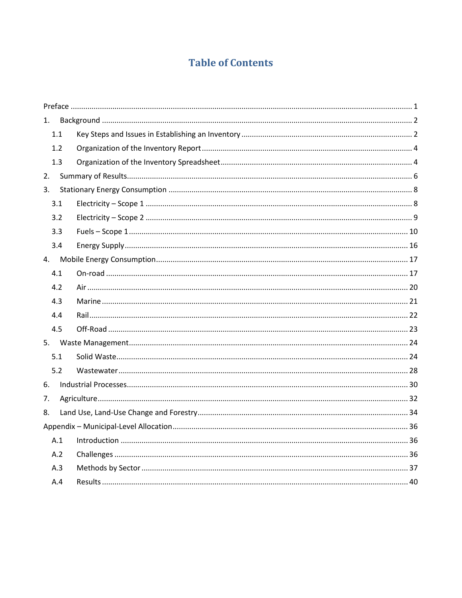# **Table of Contents**

| 1. |     |  |
|----|-----|--|
|    | 1.1 |  |
|    | 1.2 |  |
|    | 1.3 |  |
| 2. |     |  |
| 3. |     |  |
|    | 3.1 |  |
|    | 3.2 |  |
|    | 3.3 |  |
|    | 3.4 |  |
| 4. |     |  |
|    | 4.1 |  |
|    | 4.2 |  |
|    | 4.3 |  |
|    | 4.4 |  |
|    | 4.5 |  |
|    |     |  |
|    | 5.1 |  |
|    | 5.2 |  |
| 6. |     |  |
| 7. |     |  |
| 8. |     |  |
|    |     |  |
|    | A.1 |  |
|    | A.2 |  |
|    | A.3 |  |
|    | A.4 |  |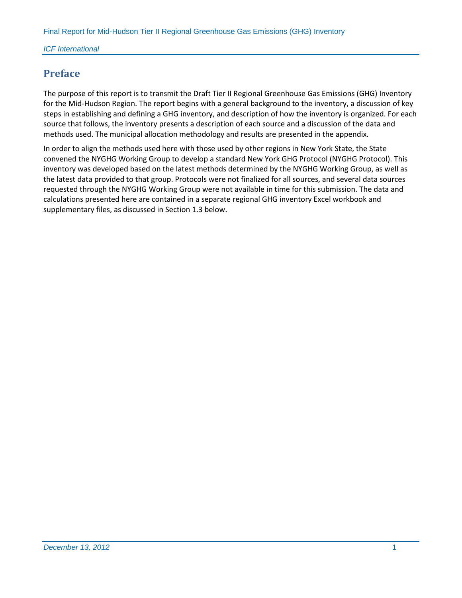# <span id="page-5-0"></span>**Preface**

The purpose of this report is to transmit the Draft Tier II Regional Greenhouse Gas Emissions (GHG) Inventory for the Mid-Hudson Region. The report begins with a general background to the inventory, a discussion of key steps in establishing and defining a GHG inventory, and description of how the inventory is organized. For each source that follows, the inventory presents a description of each source and a discussion of the data and methods used. The municipal allocation methodology and results are presented in the appendix.

In order to align the methods used here with those used by other regions in New York State, the State convened the NYGHG Working Group to develop a standard New York GHG Protocol (NYGHG Protocol). This inventory was developed based on the latest methods determined by the NYGHG Working Group, as well as the latest data provided to that group. Protocols were not finalized for all sources, and several data sources requested through the NYGHG Working Group were not available in time for this submission. The data and calculations presented here are contained in a separate regional GHG inventory Excel workbook and supplementary files, as discussed in Section 1.3 below.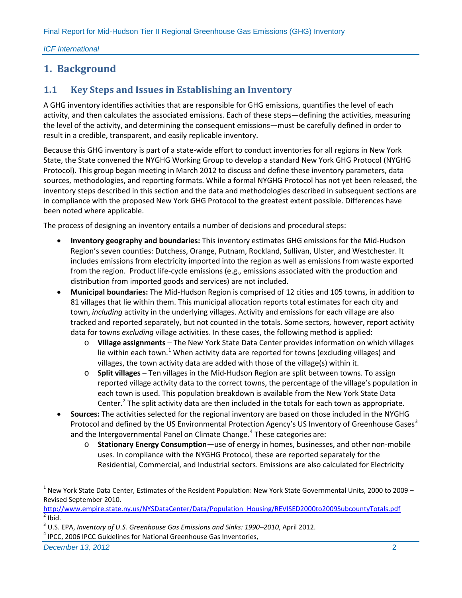*ICF International*

# <span id="page-6-0"></span>**1. Background**

# <span id="page-6-1"></span>**1.1 Key Steps and Issues in Establishing an Inventory**

A GHG inventory identifies activities that are responsible for GHG emissions, quantifies the level of each activity, and then calculates the associated emissions. Each of these steps—defining the activities, measuring the level of the activity, and determining the consequent emissions—must be carefully defined in order to result in a credible, transparent, and easily replicable inventory.

Because this GHG inventory is part of a state-wide effort to conduct inventories for all regions in New York State, the State convened the NYGHG Working Group to develop a standard New York GHG Protocol (NYGHG Protocol). This group began meeting in March 2012 to discuss and define these inventory parameters, data sources, methodologies, and reporting formats. While a formal NYGHG Protocol has not yet been released, the inventory steps described in this section and the data and methodologies described in subsequent sections are in compliance with the proposed New York GHG Protocol to the greatest extent possible. Differences have been noted where applicable.

The process of designing an inventory entails a number of decisions and procedural steps:

- **Inventory geography and boundaries:** This inventory estimates GHG emissions for the Mid-Hudson Region's seven counties: Dutchess, Orange, Putnam, Rockland, Sullivan, Ulster, and Westchester. It includes emissions from electricity imported into the region as well as emissions from waste exported from the region. Product life-cycle emissions (e.g., emissions associated with the production and distribution from imported goods and services) are not included.
- **Municipal boundaries:** The Mid-Hudson Region is comprised of 12 cities and 105 towns, in addition to 81 villages that lie within them. This municipal allocation reports total estimates for each city and town, *including* activity in the underlying villages. Activity and emissions for each village are also tracked and reported separately, but not counted in the totals. Some sectors, however, report activity data for towns *excluding* village activities. In these cases, the following method is applied:
	- o **Village assignments** The New York State Data Center provides information on which villages lie within each town.<sup>[1](#page-6-2)</sup> When activity data are reported for towns (excluding villages) and villages, the town activity data are added with those of the village(s) within it.
	- o **Split villages** Ten villages in the Mid-Hudson Region are split between towns. To assign reported village activity data to the correct towns, the percentage of the village's population in each town is used. This population breakdown is available from the New York State Data Center.<sup>[2](#page-6-3)</sup> The split activity data are then included in the totals for each town as appropriate.
- **Sources:** The activities selected for the regional inventory are based on those included in the NYGHG Protocol and defined by the US Environmental Protection Agency's US Inventory of Greenhouse Gases<sup>[3](#page-6-4)</sup> and the Intergovernmental Panel on Climate Change. [4](#page-6-5) These categories are:
	- o **Stationary Energy Consumption**—use of energy in homes, businesses, and other non-mobile uses. In compliance with the NYGHG Protocol, these are reported separately for the Residential, Commercial, and Industrial sectors. Emissions are also calculated for Electricity

<span id="page-6-2"></span> $1$  New York State Data Center, Estimates of the Resident Population: New York State Governmental Units, 2000 to 2009 – Revised September 2010.

[http://www.empire.state.ny.us/NYSDataCenter/Data/Population\\_Housing/REVISED2000to2009SubcountyTotals.pdf](http://www.empire.state.ny.us/NYSDataCenter/Data/Population_Housing/REVISED2000to2009SubcountyTotals.pdf)  $2$  Ibid.

<span id="page-6-4"></span><span id="page-6-3"></span><sup>&</sup>lt;sup>3</sup> U.S. EPA, *Inventory of U.S. Greenhouse Gas Emissions and Sinks: 1990–2010, April 2012.*<br><sup>4</sup> IPCC, 2006 IPCC Guidelines for National Greenhouse Gas Inventories,

<span id="page-6-5"></span>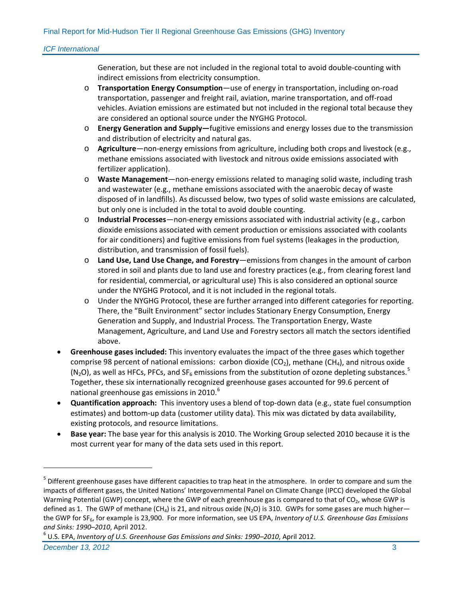Generation, but these are not included in the regional total to avoid double-counting with indirect emissions from electricity consumption.

- o **Transportation Energy Consumption**—use of energy in transportation, including on-road transportation, passenger and freight rail, aviation, marine transportation, and off-road vehicles. Aviation emissions are estimated but not included in the regional total because they are considered an optional source under the NYGHG Protocol.
- o **Energy Generation and Supply—**fugitive emissions and energy losses due to the transmission and distribution of electricity and natural gas.
- o **Agriculture**—non-energy emissions from agriculture, including both crops and livestock (e.g., methane emissions associated with livestock and nitrous oxide emissions associated with fertilizer application).
- o **Waste Management**—non-energy emissions related to managing solid waste, including trash and wastewater (e.g., methane emissions associated with the anaerobic decay of waste disposed of in landfills). As discussed below, two types of solid waste emissions are calculated, but only one is included in the total to avoid double counting.
- o **Industrial Processes**—non-energy emissions associated with industrial activity (e.g., carbon dioxide emissions associated with cement production or emissions associated with coolants for air conditioners) and fugitive emissions from fuel systems (leakages in the production, distribution, and transmission of fossil fuels).
- o **Land Use, Land Use Change, and Forestry**—emissions from changes in the amount of carbon stored in soil and plants due to land use and forestry practices (e.g., from clearing forest land for residential, commercial, or agricultural use) This is also considered an optional source under the NYGHG Protocol, and it is not included in the regional totals.
- o Under the NYGHG Protocol, these are further arranged into different categories for reporting. There, the "Built Environment" sector includes Stationary Energy Consumption, Energy Generation and Supply, and Industrial Process. The Transportation Energy, Waste Management, Agriculture, and Land Use and Forestry sectors all match the sectors identified above.
- **Greenhouse gases included:** This inventory evaluates the impact of the three gases which together comprise 98 percent of national emissions: carbon dioxide ( $CO<sub>2</sub>$ ), methane ( $CH<sub>4</sub>$ ), and nitrous oxide (N<sub>2</sub>O), as well as HFCs, PFCs, and SF<sub>6</sub> emissions from the substitution of ozone depleting substances.<sup>[5](#page-7-0)</sup> Together, these six internationally recognized greenhouse gases accounted for 99.6 percent of national greenhouse gas emissions in 2010. $^6$  $^6$
- **Quantification approach:** This inventory uses a blend of top-down data (e.g., state fuel consumption estimates) and bottom-up data (customer utility data). This mix was dictated by data availability, existing protocols, and resource limitations.
- **Base year:** The base year for this analysis is 2010. The Working Group selected 2010 because it is the most current year for many of the data sets used in this report.

<span id="page-7-0"></span><sup>&</sup>lt;sup>5</sup> Different greenhouse gases have different capacities to trap heat in the atmosphere. In order to compare and sum the impacts of different gases, the United Nations' Intergovernmental Panel on Climate Change (IPCC) developed the Global Warming Potential (GWP) concept, where the GWP of each greenhouse gas is compared to that of CO<sub>2</sub>, whose GWP is defined as 1. The GWP of methane (CH<sub>4</sub>) is 21, and nitrous oxide (N<sub>2</sub>O) is 310. GWPs for some gases are much higher the GWP for SF<sub>6</sub>, for example is 23,900. For more information, see US EPA, *Inventory of U.S. Greenhouse Gas Emissions* and Sinks: 1990–2010, April 2012.<br><sup>6</sup> U.S. EPA, *Inventory of U.S. Greenhouse Gas Emissions and Sinks: 1990–2010, April 2012*.

<span id="page-7-1"></span>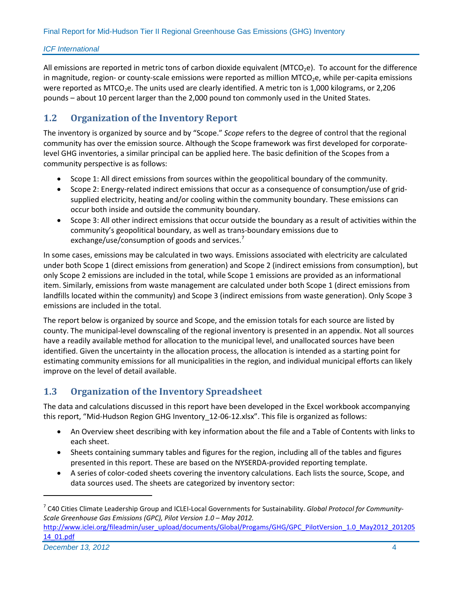All emissions are reported in metric tons of carbon dioxide equivalent (MTCO<sub>2</sub>e). To account for the difference in magnitude, region- or county-scale emissions were reported as million MTCO<sub>2</sub>e, while per-capita emissions were reported as MTCO<sub>2</sub>e. The units used are clearly identified. A metric ton is 1,000 kilograms, or 2,206 pounds – about 10 percent larger than the 2,000 pound ton commonly used in the United States.

# <span id="page-8-0"></span>**1.2 Organization of the Inventory Report**

The inventory is organized by source and by "Scope." *Scope* refers to the degree of control that the regional community has over the emission source. Although the Scope framework was first developed for corporatelevel GHG inventories, a similar principal can be applied here. The basic definition of the Scopes from a community perspective is as follows:

- Scope 1: All direct emissions from sources within the geopolitical boundary of the community.
- Scope 2: Energy-related indirect emissions that occur as a consequence of consumption/use of gridsupplied electricity, heating and/or cooling within the community boundary. These emissions can occur both inside and outside the community boundary.
- Scope 3: All other indirect emissions that occur outside the boundary as a result of activities within the community's geopolitical boundary, as well as trans-boundary emissions due to exchange/use/consumption of goods and services.<sup>[7](#page-8-2)</sup>

In some cases, emissions may be calculated in two ways. Emissions associated with electricity are calculated under both Scope 1 (direct emissions from generation) and Scope 2 (indirect emissions from consumption), but only Scope 2 emissions are included in the total, while Scope 1 emissions are provided as an informational item. Similarly, emissions from waste management are calculated under both Scope 1 (direct emissions from landfills located within the community) and Scope 3 (indirect emissions from waste generation). Only Scope 3 emissions are included in the total.

The report below is organized by source and Scope, and the emission totals for each source are listed by county. The municipal-level downscaling of the regional inventory is presented in an appendix. Not all sources have a readily available method for allocation to the municipal level, and unallocated sources have been identified. Given the uncertainty in the allocation process, the allocation is intended as a starting point for estimating community emissions for all municipalities in the region, and individual municipal efforts can likely improve on the level of detail available.

# <span id="page-8-1"></span>**1.3 Organization of the Inventory Spreadsheet**

The data and calculations discussed in this report have been developed in the Excel workbook accompanying this report, "Mid-Hudson Region GHG Inventory\_12-06-12.xlsx". This file is organized as follows:

- An Overview sheet describing with key information about the file and a Table of Contents with links to each sheet.
- Sheets containing summary tables and figures for the region, including all of the tables and figures presented in this report. These are based on the NYSERDA-provided reporting template.
- A series of color-coded sheets covering the inventory calculations. Each lists the source, Scope, and data sources used. The sheets are categorized by inventory sector:

<span id="page-8-2"></span><sup>7</sup> C40 Cities Climate Leadership Group and ICLEI-Local Governments for Sustainability. *Global Protocol for Community-Scale Greenhouse Gas Emissions (GPC), Pilot Version 1.0 – May 2012.* 

[http://www.iclei.org/fileadmin/user\\_upload/documents/Global/Progams/GHG/GPC\\_PilotVersion\\_1.0\\_May2012\\_201205](http://www.iclei.org/fileadmin/user_upload/documents/Global/Progams/GHG/GPC_PilotVersion_1.0_May2012_20120514_01.pdf) [14\\_01.pdf](http://www.iclei.org/fileadmin/user_upload/documents/Global/Progams/GHG/GPC_PilotVersion_1.0_May2012_20120514_01.pdf)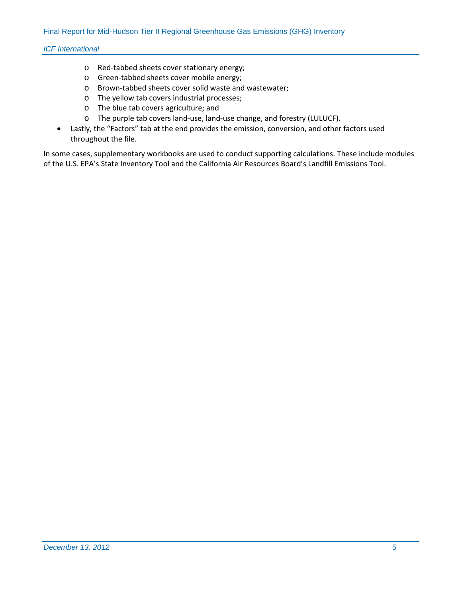- o Red-tabbed sheets cover stationary energy;
- o Green-tabbed sheets cover mobile energy;
- o Brown-tabbed sheets cover solid waste and wastewater;
- o The yellow tab covers industrial processes;
- o The blue tab covers agriculture; and
- o The purple tab covers land-use, land-use change, and forestry (LULUCF).
- Lastly, the "Factors" tab at the end provides the emission, conversion, and other factors used throughout the file.

In some cases, supplementary workbooks are used to conduct supporting calculations. These include modules of the U.S. EPA's State Inventory Tool and the California Air Resources Board's Landfill Emissions Tool.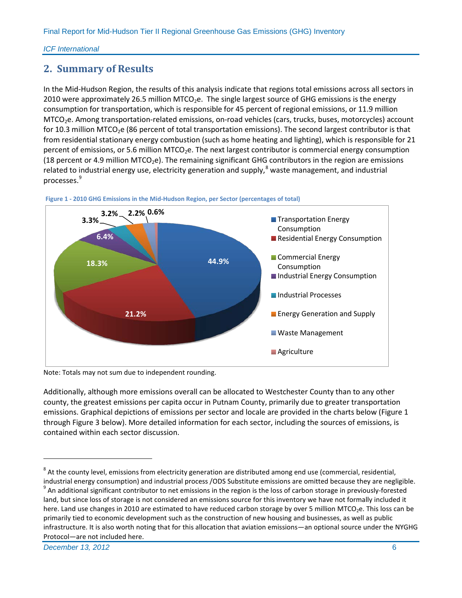# <span id="page-10-0"></span>**2. Summary of Results**

In the Mid-Hudson Region, the results of this analysis indicate that regions total emissions across all sectors in 2010 were approximately 26.5 million MTCO<sub>2</sub>e. The single largest source of GHG emissions is the energy consumption for transportation, which is responsible for 45 percent of regional emissions, or 11.9 million MTCO<sub>2</sub>e. Among transportation-related emissions, on-road vehicles (cars, trucks, buses, motorcycles) account for 10.3 million MTCO<sub>2</sub>e (86 percent of total transportation emissions). The second largest contributor is that from residential stationary energy combustion (such as home heating and lighting), which is responsible for 21 percent of emissions, or 5.6 million MTCO<sub>2</sub>e. The next largest contributor is commercial energy consumption (18 percent or 4.9 million MTCO<sub>2</sub>e). The remaining significant GHG contributors in the region are emissions related to industrial energy use, electricity generation and supply,  $^8$  $^8$  waste management, and industrial processes. [9](#page-10-3)



<span id="page-10-1"></span>

Note: Totals may not sum due to independent rounding.

Additionally, although more emissions overall can be allocated to Westchester County than to any other county, the greatest emissions per capita occur in Putnam County, primarily due to greater transportation emissions. Graphical depictions of emissions per sector and locale are provided in the charts below [\(Figure 1](#page-10-1) through [Figure 3](#page-11-1) below). More detailed information for each sector, including the sources of emissions, is contained within each sector discussion.

<span id="page-10-2"></span> $8$  At the county level, emissions from electricity generation are distributed among end use (commercial, residential, industrial energy consumption) and industrial process /ODS Substitute emissions are omitted because they are negligible.

<span id="page-10-3"></span><sup>&</sup>lt;sup>9</sup> An additional significant contributor to net emissions in the region is the loss of carbon storage in previously-forested land, but since loss of storage is not considered an emissions source for this inventory we have not formally included it here. Land use changes in 2010 are estimated to have reduced carbon storage by over 5 million MTCO<sub>2</sub>e. This loss can be primarily tied to economic development such as the construction of new housing and businesses, as well as public infrastructure. It is also worth noting that for this allocation that aviation emissions—an optional source under the NYGHG Protocol—are not included here.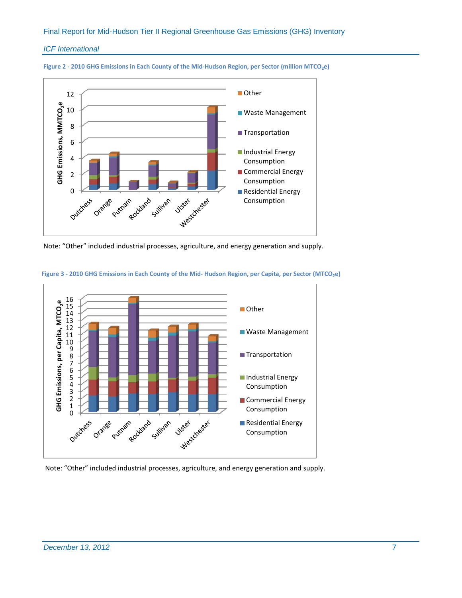#### *ICF International*





Note: "Other" included industrial processes, agriculture, and energy generation and supply.



#### <span id="page-11-1"></span>**Figure 3 - 2010 GHG Emissions in Each County of the Mid- Hudson Region, per Capita, per Sector (MTCO2e)**

<span id="page-11-0"></span>Note: "Other" included industrial processes, agriculture, and energy generation and supply.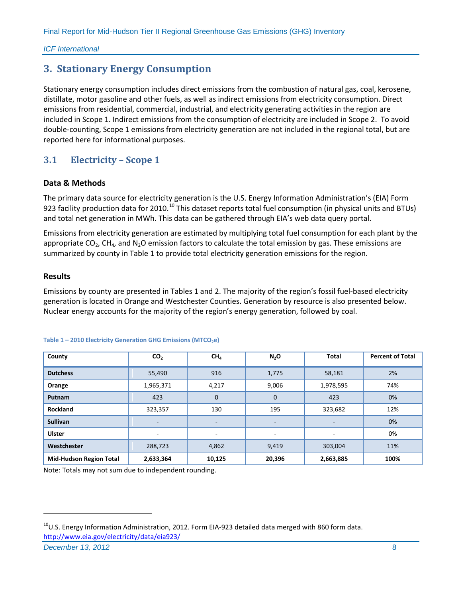# **3. Stationary Energy Consumption**

Stationary energy consumption includes direct emissions from the combustion of natural gas, coal, kerosene, distillate, motor gasoline and other fuels, as well as indirect emissions from electricity consumption. Direct emissions from residential, commercial, industrial, and electricity generating activities in the region are included in Scope 1. Indirect emissions from the consumption of electricity are included in Scope 2. To avoid double-counting, Scope 1 emissions from electricity generation are not included in the regional total, but are reported here for informational purposes.

# <span id="page-12-0"></span>**3.1 Electricity – Scope 1**

### **Data & Methods**

The primary data source for electricity generation is the U.S. Energy Information Administration's (EIA) Form 923 facility production data for 20[10](#page-12-1).<sup>10</sup> This dataset reports total fuel consumption (in physical units and BTUs) and total net generation in MWh. This data can be gathered through EIA's web data query portal.

Emissions from electricity generation are estimated by multiplying total fuel consumption for each plant by the appropriate  $CO<sub>2</sub>$ , CH<sub>4</sub>, and N<sub>2</sub>O emission factors to calculate the total emission by gas. These emissions are summarized by county in Table 1 to provide total electricity generation emissions for the region.

#### **Results**

Emissions by county are presented in Tables 1 and 2. The majority of the region's fossil fuel-based electricity generation is located in Orange and Westchester Counties. Generation by resource is also presented below. Nuclear energy accounts for the majority of the region's energy generation, followed by coal.

| County                         | CO <sub>2</sub> | CH <sub>4</sub> | N <sub>2</sub> O         | <b>Total</b>             | <b>Percent of Total</b> |
|--------------------------------|-----------------|-----------------|--------------------------|--------------------------|-------------------------|
| <b>Dutchess</b>                | 55,490          | 916             | 1,775                    | 58,181                   | 2%                      |
| Orange                         | 1,965,371       | 4,217           | 9,006                    | 1,978,595                | 74%                     |
| Putnam                         | 423             | $\mathbf 0$     | $\mathbf{0}$             | 423                      | 0%                      |
| <b>Rockland</b>                | 323,357         | 130             | 195                      | 323,682                  | 12%                     |
| <b>Sullivan</b>                | $\qquad \qquad$ |                 | $\overline{\phantom{a}}$ | $\overline{\phantom{0}}$ | 0%                      |
| <b>Ulster</b>                  | -               | -               | ۰                        | ۰                        | 0%                      |
| Westchester                    | 288,723         | 4,862           | 9,419                    | 303,004                  | 11%                     |
| <b>Mid-Hudson Region Total</b> | 2,633,364       | 10,125          | 20,396                   | 2,663,885                | 100%                    |

#### Table 1 - 2010 Electricity Generation GHG Emissions (MTCO<sub>2</sub>e)

Note: Totals may not sum due to independent rounding.

<span id="page-12-1"></span> $^{10}$ U.S. Energy Information Administration, 2012. Form EIA-923 detailed data merged with 860 form data. <http://www.eia.gov/electricity/data/eia923/>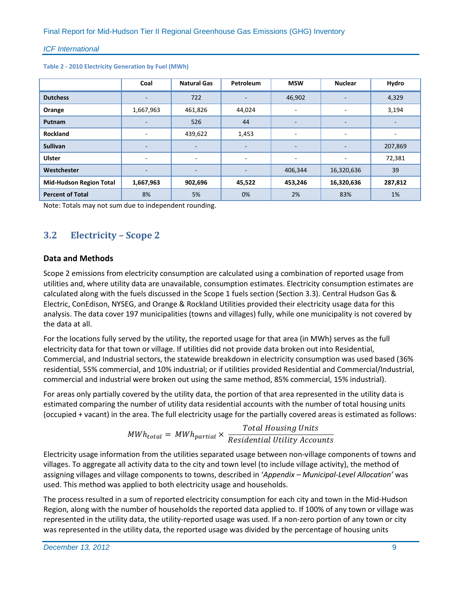|                                | Coal      | <b>Natural Gas</b>       | Petroleum                | <b>MSW</b>               | <b>Nuclear</b>           | Hydro   |
|--------------------------------|-----------|--------------------------|--------------------------|--------------------------|--------------------------|---------|
| <b>Dutchess</b>                | ٠         | 722                      | $\overline{\phantom{a}}$ | 46,902                   |                          | 4,329   |
| Orange                         | 1,667,963 | 461,826                  | 44,024                   | ٠                        | ۰                        | 3,194   |
| Putnam                         | ٠         | 526                      | 44                       | $\overline{\phantom{a}}$ | $\overline{\phantom{a}}$ | ۰.      |
| <b>Rockland</b>                | ٠         | 439,622                  | 1,453                    | ۰                        | ۰                        | ۰       |
| <b>Sullivan</b>                | -         | $\overline{\phantom{a}}$ | ٠                        | $\overline{\phantom{a}}$ |                          | 207,869 |
| <b>Ulster</b>                  | ٠         | $\overline{\phantom{a}}$ | ۰.                       | ۰                        | ۰                        | 72,381  |
| Westchester                    |           | $\overline{\phantom{a}}$ | -                        | 406,344                  | 16,320,636               | 39      |
| <b>Mid-Hudson Region Total</b> | 1,667,963 | 902,696                  | 45,522                   | 453,246                  | 16,320,636               | 287,812 |
| <b>Percent of Total</b>        | 8%        | 5%                       | 0%                       | 2%                       | 83%                      | 1%      |

**Table 2 - 2010 Electricity Generation by Fuel (MWh)**

Note: Totals may not sum due to independent rounding.

# <span id="page-13-0"></span>**3.2 Electricity – Scope 2**

### **Data and Methods**

Scope 2 emissions from electricity consumption are calculated using a combination of reported usage from utilities and, where utility data are unavailable, consumption estimates. Electricity consumption estimates are calculated along with the fuels discussed in the Scope 1 fuels section (Section 3.3). Central Hudson Gas & Electric, ConEdison, NYSEG, and Orange & Rockland Utilities provided their electricity usage data for this analysis. The data cover 197 municipalities (towns and villages) fully, while one municipality is not covered by the data at all.

For the locations fully served by the utility, the reported usage for that area (in MWh) serves as the full electricity data for that town or village. If utilities did not provide data broken out into Residential, Commercial, and Industrial sectors, the statewide breakdown in electricity consumption was used based (36% residential, 55% commercial, and 10% industrial; or if utilities provided Residential and Commercial/Industrial, commercial and industrial were broken out using the same method, 85% commercial, 15% industrial).

For areas only partially covered by the utility data, the portion of that area represented in the utility data is estimated comparing the number of utility data residential accounts with the number of total housing units (occupied + vacant) in the area. The full electricity usage for the partially covered areas is estimated as follows:

> $MWh_{total} = MWh_{partial} \times$ Total Housing Units Residential Utility Accounts

Electricity usage information from the utilities separated usage between non-village components of towns and villages. To aggregate all activity data to the city and town level (to include village activity), the method of assigning villages and village components to towns, described in '*Appendix – [Municipal-Level Allocation'](#page-40-0)* was used. This method was applied to both electricity usage and households.

The process resulted in a sum of reported electricity consumption for each city and town in the Mid-Hudson Region, along with the number of households the reported data applied to. If 100% of any town or village was represented in the utility data, the utility-reported usage was used. If a non-zero portion of any town or city was represented in the utility data, the reported usage was divided by the percentage of housing units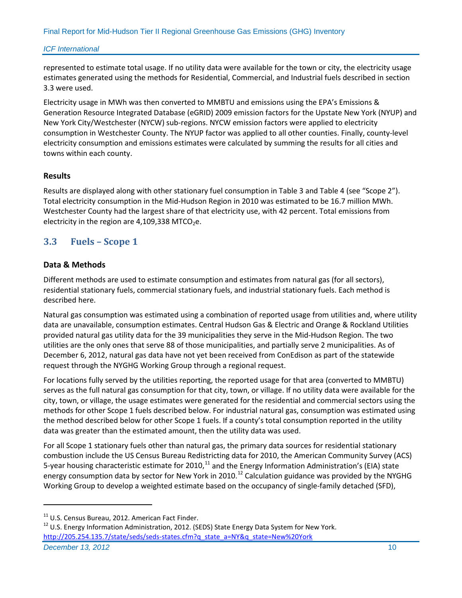represented to estimate total usage. If no utility data were available for the town or city, the electricity usage estimates generated using the methods for Residential, Commercial, and Industrial fuels described in section 3.3 were used.

Electricity usage in MWh was then converted to MMBTU and emissions using the EPA's Emissions & Generation Resource Integrated Database (eGRID) 2009 emission factors for the Upstate New York (NYUP) and New York City/Westchester (NYCW) sub-regions. NYCW emission factors were applied to electricity consumption in Westchester County. The NYUP factor was applied to all other counties. Finally, county-level electricity consumption and emissions estimates were calculated by summing the results for all cities and towns within each county.

### **Results**

Results are displayed along with other stationary fuel consumption i[n Table 3](#page-18-0) and [Table 4](#page-19-1) (see "Scope 2"). Total electricity consumption in the Mid-Hudson Region in 2010 was estimated to be 16.7 million MWh. Westchester County had the largest share of that electricity use, with 42 percent. Total emissions from electricity in the region are  $4,109,338$  MTCO<sub>2</sub>e.

# <span id="page-14-0"></span>**3.3 Fuels – Scope 1**

### **Data & Methods**

 $\overline{a}$ 

Different methods are used to estimate consumption and estimates from natural gas (for all sectors), residential stationary fuels, commercial stationary fuels, and industrial stationary fuels. Each method is described here.

Natural gas consumption was estimated using a combination of reported usage from utilities and, where utility data are unavailable, consumption estimates. Central Hudson Gas & Electric and Orange & Rockland Utilities provided natural gas utility data for the 39 municipalities they serve in the Mid-Hudson Region. The two utilities are the only ones that serve 88 of those municipalities, and partially serve 2 municipalities. As of December 6, 2012, natural gas data have not yet been received from ConEdison as part of the statewide request through the NYGHG Working Group through a regional request.

For locations fully served by the utilities reporting, the reported usage for that area (converted to MMBTU) serves as the full natural gas consumption for that city, town, or village. If no utility data were available for the city, town, or village, the usage estimates were generated for the residential and commercial sectors using the methods for other Scope 1 fuels described below. For industrial natural gas, consumption was estimated using the method described below for other Scope 1 fuels. If a county's total consumption reported in the utility data was greater than the estimated amount, then the utility data was used.

For all Scope 1 stationary fuels other than natural gas, the primary data sources for residential stationary combustion include the US Census Bureau Redistricting data for 2010, the American Community Survey (ACS) 5-year housing characteristic estimate for 2010,<sup>[11](#page-14-1)</sup> and the Energy Information Administration's (EIA) state energy consumption data by sector for New York in 2010.<sup>[12](#page-14-2)</sup> Calculation guidance was provided by the NYGHG Working Group to develop a weighted estimate based on the occupancy of single-family detached (SFD),

<span id="page-14-2"></span><span id="page-14-1"></span>**December 13, 2012** 10 <sup>11</sup> U.S. Census Bureau, 2012. American Fact Finder.<br><sup>12</sup> U.S. Energy Information Administration, 2012. (SEDS) State Energy Data System for New York. [http://205.254.135.7/state/seds/seds-states.cfm?q\\_state\\_a=NY&q\\_state=New%20York](http://205.254.135.7/state/seds/seds-states.cfm?q_state_a=NY&q_state=New%20York)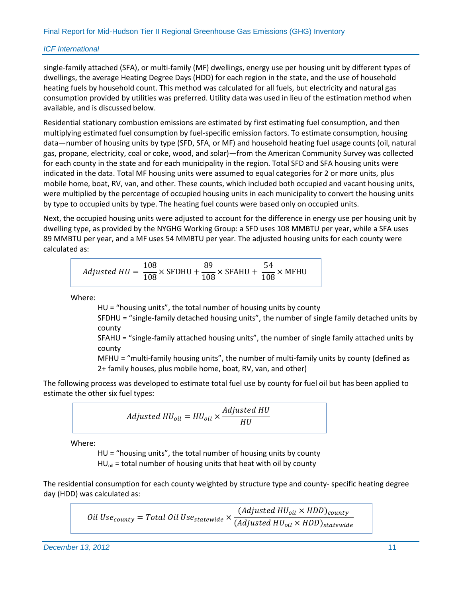single-family attached (SFA), or multi-family (MF) dwellings, energy use per housing unit by different types of dwellings, the average Heating Degree Days (HDD) for each region in the state, and the use of household heating fuels by household count. This method was calculated for all fuels, but electricity and natural gas consumption provided by utilities was preferred. Utility data was used in lieu of the estimation method when available, and is discussed below.

Residential stationary combustion emissions are estimated by first estimating fuel consumption, and then multiplying estimated fuel consumption by fuel-specific emission factors. To estimate consumption, housing data—number of housing units by type (SFD, SFA, or MF) and household heating fuel usage counts (oil, natural gas, propane, electricity, coal or coke, wood, and solar)—from the American Community Survey was collected for each county in the state and for each municipality in the region. Total SFD and SFA housing units were indicated in the data. Total MF housing units were assumed to equal categories for 2 or more units, plus mobile home, boat, RV, van, and other. These counts, which included both occupied and vacant housing units, were multiplied by the percentage of occupied housing units in each municipality to convert the housing units by type to occupied units by type. The heating fuel counts were based only on occupied units.

Next, the occupied housing units were adjusted to account for the difference in energy use per housing unit by dwelling type, as provided by the NYGHG Working Group: a SFD uses 108 MMBTU per year, while a SFA uses 89 MMBTU per year, and a MF uses 54 MMBTU per year. The adjusted housing units for each county were calculated as:

$$
Adjusted \, HU = \frac{108}{108} \times \text{SFDHU} + \frac{89}{108} \times \text{SFAHU} + \frac{54}{108} \times \text{MFHU}
$$

Where:

HU = "housing units", the total number of housing units by county

SFDHU = "single-family detached housing units", the number of single family detached units by county

SFAHU = "single-family attached housing units", the number of single family attached units by county

MFHU = "multi-family housing units", the number of multi-family units by county (defined as 2+ family houses, plus mobile home, boat, RV, van, and other)

The following process was developed to estimate total fuel use by county for fuel oil but has been applied to estimate the other six fuel types:

$$
adjusted\,HU_{oil}=HU_{oil}\times \frac{Adjusted\,HU}{HU}
$$

Where:

HU = "housing units", the total number of housing units by county  $HU<sub>oil</sub>$  = total number of housing units that heat with oil by county

The residential consumption for each county weighted by structure type and county- specific heating degree day (HDD) was calculated as:

$$
Oil Use_{county} = Total Oil Use_{statewide} \times \frac{(Adjusted HU_{oil} \times HDD)_{county}}{(Adjusted HU_{oil} \times HDD)_{statewide}}
$$

**December 13, 2012** 11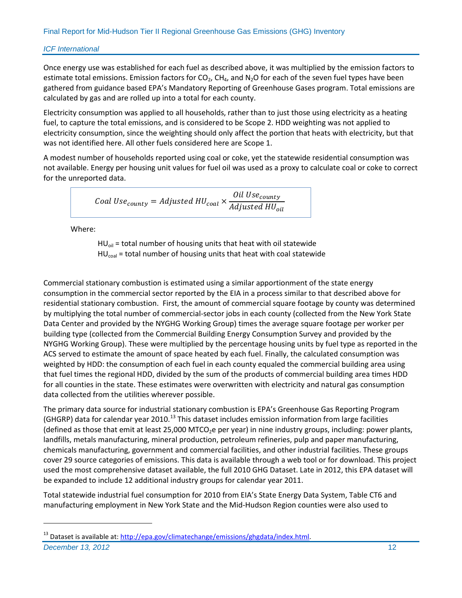Once energy use was established for each fuel as described above, it was multiplied by the emission factors to estimate total emissions. Emission factors for  $CO<sub>2</sub>$ , CH<sub>4</sub>, and N<sub>2</sub>O for each of the seven fuel types have been gathered from guidance based EPA's Mandatory Reporting of Greenhouse Gases program. Total emissions are calculated by gas and are rolled up into a total for each county.

Electricity consumption was applied to all households, rather than to just those using electricity as a heating fuel, to capture the total emissions, and is considered to be Scope 2. HDD weighting was not applied to electricity consumption, since the weighting should only affect the portion that heats with electricity, but that was not identified here. All other fuels considered here are Scope 1.

A modest number of households reported using coal or coke, yet the statewide residential consumption was not available. Energy per housing unit values for fuel oil was used as a proxy to calculate coal or coke to correct for the unreported data.

$$
Coal Use_{county} = Adjusted HU_{coal} \times \frac{Oil Use_{county}}{Adjusted HU_{oil}}
$$

Where:

 $\overline{a}$ 

 $HU<sub>oil</sub> = total number of housing units that heat with oil statewide$  $HU<sub>coal</sub> = total number of housing units that heat with coal statewide$ 

Commercial stationary combustion is estimated using a similar apportionment of the state energy consumption in the commercial sector reported by the EIA in a process similar to that described above for residential stationary combustion. First, the amount of commercial square footage by county was determined by multiplying the total number of commercial-sector jobs in each county (collected from the New York State Data Center and provided by the NYGHG Working Group) times the average square footage per worker per building type (collected from the Commercial Building Energy Consumption Survey and provided by the NYGHG Working Group). These were multiplied by the percentage housing units by fuel type as reported in the ACS served to estimate the amount of space heated by each fuel. Finally, the calculated consumption was weighted by HDD: the consumption of each fuel in each county equaled the commercial building area using that fuel times the regional HDD, divided by the sum of the products of commercial building area times HDD for all counties in the state. These estimates were overwritten with electricity and natural gas consumption data collected from the utilities wherever possible.

The primary data source for industrial stationary combustion is EPA's Greenhouse Gas Reporting Program (GHGRP) data for calendar year 2010.<sup>[13](#page-16-0)</sup> This dataset includes emission information from large facilities (defined as those that emit at least 25,000 MTCO<sub>2</sub>e per year) in nine industry groups, including: power plants, landfills, metals manufacturing, mineral production, petroleum refineries, pulp and paper manufacturing, chemicals manufacturing, government and commercial facilities, and other industrial facilities. These groups cover 29 source categories of emissions. This data is available through a web tool or for download. This project used the most comprehensive dataset available, the full 2010 GHG Dataset. Late in 2012, this EPA dataset will be expanded to include 12 additional industry groups for calendar year 2011.

Total statewide industrial fuel consumption for 2010 from EIA's State Energy Data System, Table CT6 and manufacturing employment in New York State and the Mid-Hudson Region counties were also used to

<span id="page-16-0"></span>**December 13, 2012** 12 <sup>13</sup> Dataset is available at: [http://epa.gov/climatechange/emissions/ghgdata/index.html.](http://epa.gov/climatechange/emissions/ghgdata/index.html)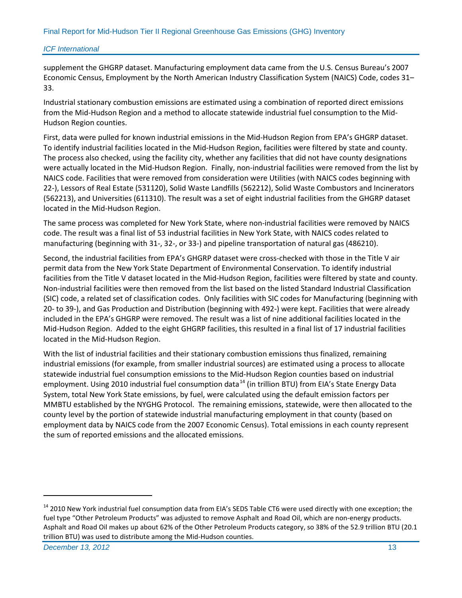supplement the GHGRP dataset. Manufacturing employment data came from the U.S. Census Bureau's 2007 Economic Census, Employment by the North American Industry Classification System (NAICS) Code, codes 31– 33.

Industrial stationary combustion emissions are estimated using a combination of reported direct emissions from the Mid-Hudson Region and a method to allocate statewide industrial fuel consumption to the Mid-Hudson Region counties.

First, data were pulled for known industrial emissions in the Mid-Hudson Region from EPA's GHGRP dataset. To identify industrial facilities located in the Mid-Hudson Region, facilities were filtered by state and county. The process also checked, using the facility city, whether any facilities that did not have county designations were actually located in the Mid-Hudson Region. Finally, non-industrial facilities were removed from the list by NAICS code. Facilities that were removed from consideration were Utilities (with NAICS codes beginning with 22-), Lessors of Real Estate (531120), Solid Waste Landfills (562212), Solid Waste Combustors and Incinerators (562213), and Universities (611310). The result was a set of eight industrial facilities from the GHGRP dataset located in the Mid-Hudson Region.

The same process was completed for New York State, where non-industrial facilities were removed by NAICS code. The result was a final list of 53 industrial facilities in New York State, with NAICS codes related to manufacturing (beginning with 31-, 32-, or 33-) and pipeline transportation of natural gas (486210).

Second, the industrial facilities from EPA's GHGRP dataset were cross-checked with those in the Title V air permit data from the New York State Department of Environmental Conservation. To identify industrial facilities from the Title V dataset located in the Mid-Hudson Region, facilities were filtered by state and county. Non-industrial facilities were then removed from the list based on the listed Standard Industrial Classification (SIC) code, a related set of classification codes. Only facilities with SIC codes for Manufacturing (beginning with 20- to 39-), and Gas Production and Distribution (beginning with 492-) were kept. Facilities that were already included in the EPA's GHGRP were removed. The result was a list of nine additional facilities located in the Mid-Hudson Region. Added to the eight GHGRP facilities, this resulted in a final list of 17 industrial facilities located in the Mid-Hudson Region.

With the list of industrial facilities and their stationary combustion emissions thus finalized, remaining industrial emissions (for example, from smaller industrial sources) are estimated using a process to allocate statewide industrial fuel consumption emissions to the Mid-Hudson Region counties based on industrial employment. Using 2010 industrial fuel consumption data<sup>[14](#page-17-0)</sup> (in trillion BTU) from EIA's State Energy Data System, total New York State emissions, by fuel, were calculated using the default emission factors per MMBTU established by the NYGHG Protocol. The remaining emissions, statewide, were then allocated to the county level by the portion of statewide industrial manufacturing employment in that county (based on employment data by NAICS code from the 2007 Economic Census). Total emissions in each county represent the sum of reported emissions and the allocated emissions.

<span id="page-17-0"></span><sup>&</sup>lt;sup>14</sup> 2010 New York industrial fuel consumption data from EIA's SEDS Table CT6 were used directly with one exception; the fuel type "Other Petroleum Products" was adjusted to remove Asphalt and Road Oil, which are non-energy products. Asphalt and Road Oil makes up about 62% of the Other Petroleum Products category, so 38% of the 52.9 trillion BTU (20.1 trillion BTU) was used to distribute among the Mid-Hudson counties.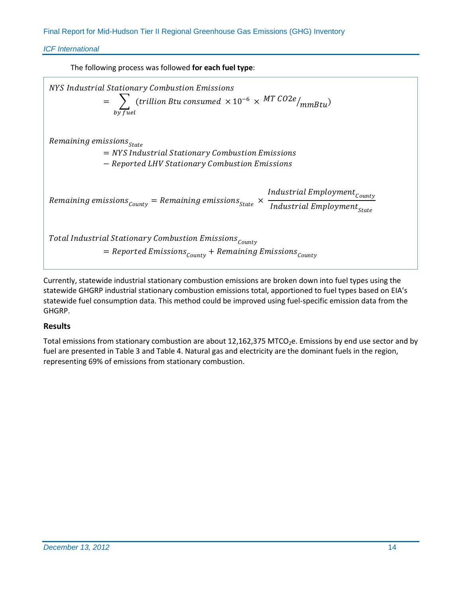*ICF International*

The following process was followed **for each fuel type**:



Currently, statewide industrial stationary combustion emissions are broken down into fuel types using the statewide GHGRP industrial stationary combustion emissions total, apportioned to fuel types based on EIA's statewide fuel consumption data. This method could be improved using fuel-specific emission data from the GHGRP.

# **Results**

<span id="page-18-0"></span>Total emissions from stationary combustion are about 12,162,375 MTCO<sub>2</sub>e. Emissions by end use sector and by fuel are presented in [Table 3](#page-18-0) and [Table 4.](#page-19-1) Natural gas and electricity are the dominant fuels in the region, representing 69% of emissions from stationary combustion.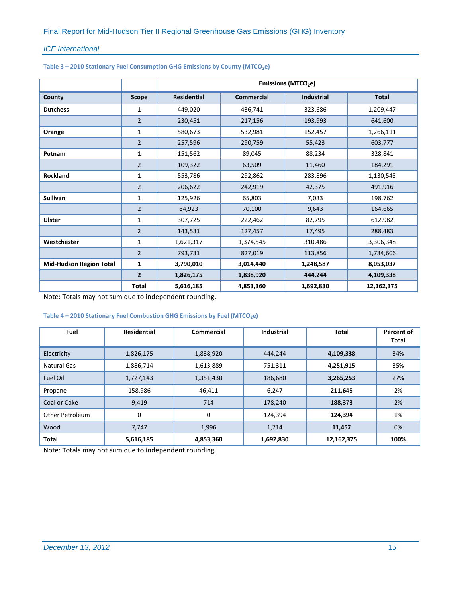|  |  | Table 3 - 2010 Stationary Fuel Consumption GHG Emissions by County (MTCO <sub>2</sub> e) |
|--|--|------------------------------------------------------------------------------------------|
|--|--|------------------------------------------------------------------------------------------|

|                                |                | Emissions (MTCO <sub>2</sub> e) |                   |                   |              |
|--------------------------------|----------------|---------------------------------|-------------------|-------------------|--------------|
| County                         | <b>Scope</b>   | <b>Residential</b>              | <b>Commercial</b> | <b>Industrial</b> | <b>Total</b> |
| <b>Dutchess</b>                | 1              | 449,020                         | 436,741           | 323,686           | 1,209,447    |
|                                | 2              | 230,451                         | 217,156           | 193,993           | 641,600      |
| Orange                         | 1              | 580,673                         | 532,981           | 152,457           | 1,266,111    |
|                                | $\overline{2}$ | 257,596                         | 290,759           | 55,423            | 603,777      |
| Putnam                         | 1              | 151,562                         | 89,045            | 88,234            | 328,841      |
|                                | $\overline{2}$ | 109,322                         | 63,509            | 11,460            | 184,291      |
| <b>Rockland</b>                | 1              | 553,786                         | 292,862           | 283,896           | 1,130,545    |
|                                | $\overline{2}$ | 206,622                         | 242,919           | 42,375            | 491,916      |
| <b>Sullivan</b>                | $\mathbf{1}$   | 125,926                         | 65,803            | 7,033             | 198,762      |
|                                | $\overline{2}$ | 84,923                          | 70,100            | 9,643             | 164,665      |
| <b>Ulster</b>                  | $\mathbf{1}$   | 307,725                         | 222,462           | 82,795            | 612,982      |
|                                | $\overline{2}$ | 143,531                         | 127,457           | 17,495            | 288,483      |
| Westchester                    | 1              | 1,621,317                       | 1,374,545         | 310,486           | 3,306,348    |
|                                | $\overline{2}$ | 793,731                         | 827,019           | 113,856           | 1,734,606    |
| <b>Mid-Hudson Region Total</b> | $\mathbf{1}$   | 3,790,010                       | 3,014,440         | 1,248,587         | 8,053,037    |
|                                | $\overline{2}$ | 1,826,175                       | 1,838,920         | 444,244           | 4,109,338    |
|                                | <b>Total</b>   | 5,616,185                       | 4,853,360         | 1,692,830         | 12,162,375   |

Note: Totals may not sum due to independent rounding.

#### <span id="page-19-1"></span>Table 4 – 2010 Stationary Fuel Combustion GHG Emissions by Fuel (MTCO<sub>2</sub>e)

<span id="page-19-0"></span>

| Fuel                   | <b>Residential</b> | <b>Commercial</b> | <b>Industrial</b> | <b>Total</b> | Percent of<br>Total |
|------------------------|--------------------|-------------------|-------------------|--------------|---------------------|
| Electricity            | 1,826,175          | 1,838,920         | 444,244           | 4,109,338    | 34%                 |
| Natural Gas            | 1,886,714          | 1,613,889         | 751,311           | 4,251,915    | 35%                 |
| Fuel Oil               | 1,727,143          | 1,351,430         | 186,680           | 3,265,253    | 27%                 |
| Propane                | 158,986            | 46,411            | 6,247             | 211,645      | 2%                  |
| Coal or Coke           | 9,419              | 714               | 178,240           | 188,373      | 2%                  |
| <b>Other Petroleum</b> | 0                  | 0                 | 124,394           | 124,394      | 1%                  |
| Wood                   | 7,747              | 1,996             | 1,714             | 11,457       | 0%                  |
| <b>Total</b>           | 5,616,185          | 4,853,360         | 1,692,830         | 12,162,375   | 100%                |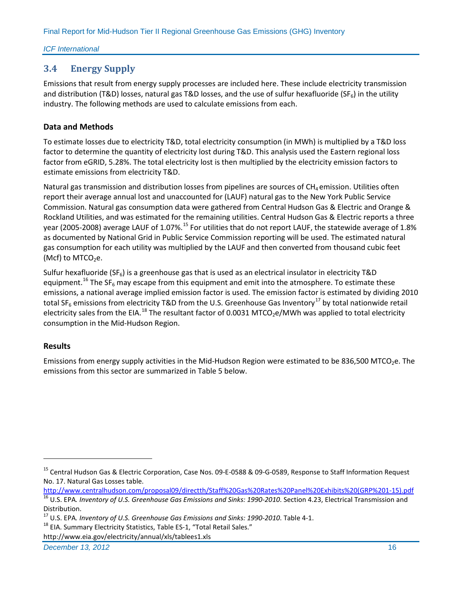# **3.4 Energy Supply**

Emissions that result from energy supply processes are included here. These include electricity transmission and distribution (T&D) losses, natural gas T&D losses, and the use of sulfur hexafluoride (SF<sub>6</sub>) in the utility industry. The following methods are used to calculate emissions from each.

# **Data and Methods**

To estimate losses due to electricity T&D, total electricity consumption (in MWh) is multiplied by a T&D loss factor to determine the quantity of electricity lost during T&D. This analysis used the Eastern regional loss factor from eGRID, 5.28%. The total electricity lost is then multiplied by the electricity emission factors to estimate emissions from electricity T&D.

Natural gas transmission and distribution losses from pipelines are sources of  $CH<sub>4</sub>$ emission. Utilities often report their average annual lost and unaccounted for (LAUF) natural gas to the New York Public Service Commission. Natural gas consumption data were gathered from Central Hudson Gas & Electric and Orange & Rockland Utilities, and was estimated for the remaining utilities. Central Hudson Gas & Electric reports a three year (2005-2008) average LAUF of 1.07%.<sup>[15](#page-20-1)</sup> For utilities that do not report LAUF, the statewide average of 1.8% as documented by National Grid in Public Service Commission reporting will be used. The estimated natural gas consumption for each utility was multiplied by the LAUF and then converted from thousand cubic feet (Mcf) to  $MTCO<sub>2</sub>e$ .

Sulfur hexafluoride ( $SF<sub>6</sub>$ ) is a greenhouse gas that is used as an electrical insulator in electricity T&D equipment.<sup>[16](#page-20-2)</sup> The SF<sub>6</sub> may escape from this equipment and emit into the atmosphere. To estimate these emissions, a national average implied emission factor is used. The emission factor is estimated by dividing 2010 total SF<sub>6</sub> emissions from electricity T&D from the U.S. Greenhouse Gas Inventory<sup>[17](#page-20-3)</sup> by total nationwide retail electricity sales from the EIA.<sup>[18](#page-20-4)</sup> The resultant factor of 0.0031 MTCO<sub>2</sub>e/MWh was applied to total electricity consumption in the Mid-Hudson Region.

# **Results**

 $\overline{a}$ 

<span id="page-20-0"></span>Emissions from energy supply activities in the Mid-Hudson Region were estimated to be 836,500 MTCO<sub>2</sub>e. The emissions from this sector are summarized in [Table 5](#page-20-0) below.

**December 13, 2012** 16

<span id="page-20-1"></span><sup>&</sup>lt;sup>15</sup> Central Hudson Gas & Electric Corporation, Case Nos. 09-E-0588 & 09-G-0589, Response to Staff Information Request No. 17. Natural Gas Losses table.<br>http://www.centralhudson.com/proposal09/directth/Staff%20Gas%20Rates%20Panel%20Exhibits%20(GRP%201-15).pdf

<span id="page-20-2"></span><sup>&</sup>lt;sup>16</sup> U.S. EPA. Inventory of U.S. Greenhouse Gas Emissions and Sinks: 1990-2010. Section 4.23, Electrical Transmission and Distribution.

<span id="page-20-3"></span><sup>&</sup>lt;sup>17</sup> U.S. EPA. *Inventory of U.S. Greenhouse Gas Emissions and Sinks: 1990-2010*. Table 4-1.<br><sup>18</sup> EIA. Summary Electricity Statistics, Table ES-1, "Total Retail Sales."

<span id="page-20-4"></span>

http://www.eia.gov/electricity/annual/xls/tablees1.xls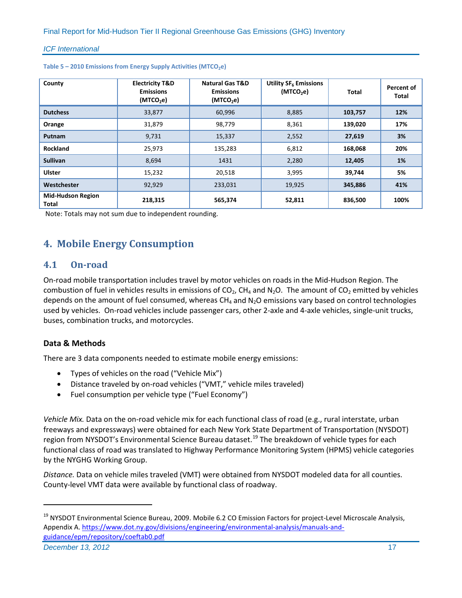| County                            | <b>Electricity T&amp;D</b><br><b>Emissions</b><br>(MTCO <sub>2</sub> e) | <b>Natural Gas T&amp;D</b><br><b>Emissions</b><br>(MTCO <sub>2</sub> e) | Utility SF <sub>6</sub> Emissions<br>(MTCO <sub>2</sub> e) | Total   | Percent of<br>Total |
|-----------------------------------|-------------------------------------------------------------------------|-------------------------------------------------------------------------|------------------------------------------------------------|---------|---------------------|
| <b>Dutchess</b>                   | 33,877                                                                  | 60,996                                                                  | 8,885                                                      | 103,757 | 12%                 |
| Orange                            | 31,879                                                                  | 98,779                                                                  | 8,361                                                      | 139,020 | 17%                 |
| Putnam                            | 9,731                                                                   | 15,337                                                                  | 2,552                                                      | 27,619  | 3%                  |
| <b>Rockland</b>                   | 25,973                                                                  | 135,283                                                                 | 6,812                                                      | 168,068 | 20%                 |
| <b>Sullivan</b>                   | 8,694                                                                   | 1431                                                                    | 2,280                                                      | 12,405  | 1%                  |
| <b>Ulster</b>                     | 15,232                                                                  | 20,518                                                                  | 3,995                                                      | 39,744  | 5%                  |
| Westchester                       | 92,929                                                                  | 233,031                                                                 | 19,925                                                     | 345,886 | 41%                 |
| <b>Mid-Hudson Region</b><br>Total | 218,315                                                                 | 565,374                                                                 | 52,811                                                     | 836,500 | 100%                |

| Table 5 - 2010 Emissions from Energy Supply Activities (MTCO <sub>2</sub> e) |  |  |  |  |
|------------------------------------------------------------------------------|--|--|--|--|
|------------------------------------------------------------------------------|--|--|--|--|

Note: Totals may not sum due to independent rounding.

# <span id="page-21-0"></span>**4. Mobile Energy Consumption**

# <span id="page-21-1"></span>**4.1 On-road**

On-road mobile transportation includes travel by motor vehicles on roads in the Mid-Hudson Region. The combustion of fuel in vehicles results in emissions of  $CO<sub>2</sub>$ , CH<sub>4</sub> and N<sub>2</sub>O. The amount of CO<sub>2</sub> emitted by vehicles depends on the amount of fuel consumed, whereas  $CH_4$  and  $N<sub>2</sub>O$  emissions vary based on control technologies used by vehicles. On-road vehicles include passenger cars, other 2-axle and 4-axle vehicles, single-unit trucks, buses, combination trucks, and motorcycles.

# **Data & Methods**

There are 3 data components needed to estimate mobile energy emissions:

- Types of vehicles on the road ("Vehicle Mix")
- Distance traveled by on-road vehicles ("VMT," vehicle miles traveled)
- Fuel consumption per vehicle type ("Fuel Economy")

*Vehicle Mix.* Data on the on-road vehicle mix for each functional class of road (e.g., rural interstate, urban freeways and expressways) were obtained for each New York State Department of Transportation (NYSDOT) region from NYSDOT's Environmental Science Bureau dataset.<sup>[19](#page-21-2)</sup> The breakdown of vehicle types for each functional class of road was translated to Highway Performance Monitoring System (HPMS) vehicle categories by the NYGHG Working Group.

*Distance.* Data on vehicle miles traveled (VMT) were obtained from NYSDOT modeled data for all counties. County-level VMT data were available by functional class of roadway.

**December 13, 2012** 17

<span id="page-21-2"></span><sup>&</sup>lt;sup>19</sup> NYSDOT Environmental Science Bureau, 2009. Mobile 6.2 CO Emission Factors for project-Level Microscale Analysis, Appendix A. [https://www.dot.ny.gov/divisions/engineering/environmental-analysis/manuals-and](https://www.dot.ny.gov/divisions/engineering/environmental-analysis/manuals-and-guidance/epm/repository/coeftab0.pdf)[guidance/epm/repository/coeftab0.pdf](https://www.dot.ny.gov/divisions/engineering/environmental-analysis/manuals-and-guidance/epm/repository/coeftab0.pdf)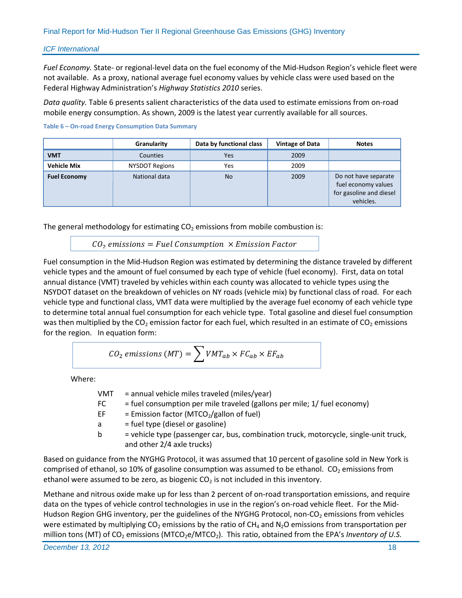*Fuel Economy.* State- or regional-level data on the fuel economy of the Mid-Hudson Region's vehicle fleet were not available. As a proxy, national average fuel economy values by vehicle class were used based on the Federal Highway Administration's *Highway Statistics 2010* series.

*Data quality.* [Table 6](#page-22-0) presents salient characteristics of the data used to estimate emissions from on-road mobile energy consumption. As shown, 2009 is the latest year currently available for all sources.

#### <span id="page-22-0"></span>**Table 6 – On-road Energy Consumption Data Summary**

|                     | Granularity           | Data by functional class | <b>Vintage of Data</b> | <b>Notes</b>                                                                        |
|---------------------|-----------------------|--------------------------|------------------------|-------------------------------------------------------------------------------------|
| <b>VMT</b>          | Counties              | Yes                      | 2009                   |                                                                                     |
| <b>Vehicle Mix</b>  | <b>NYSDOT Regions</b> | Yes                      | 2009                   |                                                                                     |
| <b>Fuel Economy</b> | National data         | <b>No</b>                | 2009                   | Do not have separate<br>fuel economy values<br>for gasoline and diesel<br>vehicles. |

The general methodology for estimating  $CO<sub>2</sub>$  emissions from mobile combustion is:

 $CO<sub>2</sub>$  emissions = Fuel Consumption  $\times$  Emission Factor

Fuel consumption in the Mid-Hudson Region was estimated by determining the distance traveled by different vehicle types and the amount of fuel consumed by each type of vehicle (fuel economy). First, data on total annual distance (VMT) traveled by vehicles within each county was allocated to vehicle types using the NSYDOT dataset on the breakdown of vehicles on NY roads (vehicle mix) by functional class of road. For each vehicle type and functional class, VMT data were multiplied by the average fuel economy of each vehicle type to determine total annual fuel consumption for each vehicle type. Total gasoline and diesel fuel consumption was then multiplied by the  $CO<sub>2</sub>$  emission factor for each fuel, which resulted in an estimate of  $CO<sub>2</sub>$  emissions for the region. In equation form:

$$
CO_2 \text{ emissions } (MT) = \sum VMT_{ab} \times FC_{ab} \times EF_{ab}
$$

Where:

| VMT | = annual vehicle miles traveled (miles/year)                                                                        |
|-----|---------------------------------------------------------------------------------------------------------------------|
| FC  | = fuel consumption per mile traveled (gallons per mile; 1/ fuel economy)                                            |
| EF. | = Emission factor (MTCO <sub>2</sub> /gallon of fuel)                                                               |
| a   | = fuel type (diesel or gasoline)                                                                                    |
| b   | = vehicle type (passenger car, bus, combination truck, motorcycle, single-unit truck,<br>and other 2/4 axle trucks) |
|     | ice from the NYGHG Protocol, it was assumed that 10 percent of gasoline sold in New York is                         |

Based on guidance from the NYGHG Protocol, it was assumed that 10 percent of gasoline sold in New York is comprised of ethanol, so 10% of gasoline consumption was assumed to be ethanol.  $CO<sub>2</sub>$  emissions from ethanol were assumed to be zero, as biogenic  $CO<sub>2</sub>$  is not included in this inventory.

Methane and nitrous oxide make up for less than 2 percent of on-road transportation emissions, and require data on the types of vehicle control technologies in use in the region's on-road vehicle fleet. For the Mid-Hudson Region GHG inventory, per the guidelines of the NYGHG Protocol, non-CO<sub>2</sub> emissions from vehicles were estimated by multiplying  $CO<sub>2</sub>$  emissions by the ratio of  $CH<sub>4</sub>$  and N<sub>2</sub>O emissions from transportation per million tons (MT) of CO<sub>2</sub> emissions (MTCO<sub>2</sub>e/MTCO<sub>2</sub>). This ratio, obtained from the EPA's *Inventory of U.S.*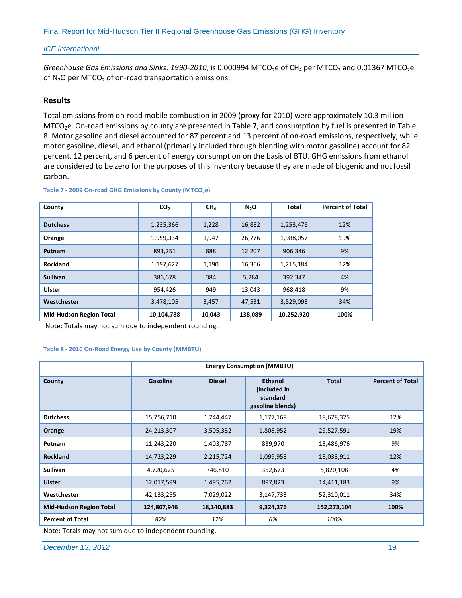*Greenhouse Gas Emissions and Sinks: 1990-2010*, is 0.000994 MTCO<sub>2</sub>e of CH<sub>4</sub> per MTCO<sub>2</sub> and 0.01367 MTCO<sub>2</sub>e of  $N_2O$  per MTCO<sub>2</sub> of on-road transportation emissions.

#### **Results**

Total emissions from on-road mobile combustion in 2009 (proxy for 2010) were approximately 10.3 million MTCO<sub>2</sub>e. On-road emissions by county are presented in [Table 7,](#page-23-0) and consumption by fuel is presented in Table [8.](#page-23-1) Motor gasoline and diesel accounted for 87 percent and 13 percent of on-road emissions, respectively, while motor gasoline, diesel, and ethanol (primarily included through blending with motor gasoline) account for 82 percent, 12 percent, and 6 percent of energy consumption on the basis of BTU. GHG emissions from ethanol are considered to be zero for the purposes of this inventory because they are made of biogenic and not fossil carbon.

| County                         | CO <sub>2</sub> | CH <sub>a</sub> | N <sub>2</sub> O | <b>Total</b> | <b>Percent of Total</b> |
|--------------------------------|-----------------|-----------------|------------------|--------------|-------------------------|
| <b>Dutchess</b>                | 1,235,366       | 1,228           | 16,882           | 1,253,476    | 12%                     |
| Orange                         | 1,959,334       | 1,947           | 26,776           | 1,988,057    | 19%                     |
| Putnam                         | 893,251         | 888             | 12,207           | 906,346      | 9%                      |
| <b>Rockland</b>                | 1,197,627       | 1,190           | 16,366           | 1,215,184    | 12%                     |
| <b>Sullivan</b>                | 386,678         | 384             | 5,284            | 392,347      | 4%                      |
| <b>Ulster</b>                  | 954,426         | 949             | 13,043           | 968,418      | 9%                      |
| Westchester                    | 3,478,105       | 3,457           | 47,531           | 3,529,093    | 34%                     |
| <b>Mid-Hudson Region Total</b> | 10,104,788      | 10,043          | 138,089          | 10,252,920   | 100%                    |

<span id="page-23-0"></span>Table 7 - 2009 On-road GHG Emissions by County (MTCO<sub>2</sub>e)

Note: Totals may not sum due to independent rounding.

#### <span id="page-23-1"></span>**Table 8 - 2010 On-Road Energy Use by County (MMBTU)**

|                                | <b>Energy Consumption (MMBTU)</b> |               |                                                                |              |                         |
|--------------------------------|-----------------------------------|---------------|----------------------------------------------------------------|--------------|-------------------------|
| County                         | <b>Gasoline</b>                   | <b>Diesel</b> | <b>Ethanol</b><br>(included in<br>standard<br>gasoline blends) | <b>Total</b> | <b>Percent of Total</b> |
| <b>Dutchess</b>                | 15,756,710                        | 1,744,447     | 1,177,168                                                      | 18,678,325   | 12%                     |
| Orange                         | 24,213,307                        | 3,505,332     | 1,808,952                                                      | 29,527,591   | 19%                     |
| Putnam                         | 11,243,220                        | 1,403,787     | 839,970                                                        | 13,486,976   | 9%                      |
| <b>Rockland</b>                | 14,723,229                        | 2,215,724     | 1,099,958                                                      | 18,038,911   | 12%                     |
| <b>Sullivan</b>                | 4,720,625                         | 746,810       | 352,673                                                        | 5,820,108    | 4%                      |
| <b>Ulster</b>                  | 12,017,599                        | 1,495,762     | 897,823                                                        | 14,411,183   | 9%                      |
| Westchester                    | 42,133,255                        | 7,029,022     | 3,147,733                                                      | 52,310,011   | 34%                     |
| <b>Mid-Hudson Region Total</b> | 124,807,946                       | 18,140,883    | 9,324,276                                                      | 152,273,104  | 100%                    |
| <b>Percent of Total</b>        | 82%                               | 12%           | 6%                                                             | 100%         |                         |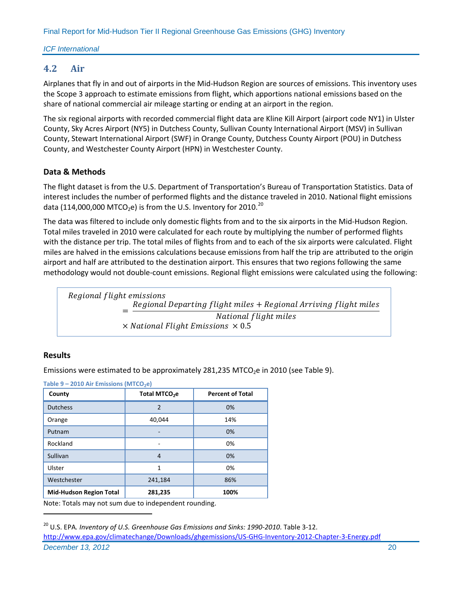# <span id="page-24-0"></span>**4.2 Air**

Airplanes that fly in and out of airports in the Mid-Hudson Region are sources of emissions. This inventory uses the Scope 3 approach to estimate emissions from flight, which apportions national emissions based on the share of national commercial air mileage starting or ending at an airport in the region.

The six regional airports with recorded commercial flight data are Kline Kill Airport (airport code NY1) in Ulster County, Sky Acres Airport (NY5) in Dutchess County, Sullivan County International Airport (MSV) in Sullivan County, Stewart International Airport (SWF) in Orange County, Dutchess County Airport (POU) in Dutchess County, and Westchester County Airport (HPN) in Westchester County.

# **Data & Methods**

The flight dataset is from the U.S. Department of Transportation's Bureau of Transportation Statistics. Data of interest includes the number of performed flights and the distance traveled in 2010. National flight emissions data (114,000,000 MTCO<sub>2</sub>e) is from the U.S. Inventory for [20](#page-24-2)10.<sup>20</sup>

The data was filtered to include only domestic flights from and to the six airports in the Mid-Hudson Region. Total miles traveled in 2010 were calculated for each route by multiplying the number of performed flights with the distance per trip. The total miles of flights from and to each of the six airports were calculated. Flight miles are halved in the emissions calculations because emissions from half the trip are attributed to the origin airport and half are attributed to the destination airport. This ensures that two regions following the same methodology would not double-count emissions. Regional flight emissions were calculated using the following:



# **Results**

 $\overline{a}$ 

Emissions were estimated to be approximately 281,235 MTCO<sub>2</sub>e in 2010 (see [Table 9\)](#page-24-1).

<span id="page-24-1"></span>

| Table 9 - 2010 Air Emissions (MTCO <sub>2</sub> e)       |                           |                         |
|----------------------------------------------------------|---------------------------|-------------------------|
| County                                                   | Total MTCO <sub>2</sub> e | <b>Percent of Total</b> |
| <b>Dutchess</b>                                          | $\overline{2}$            | 0%                      |
| Orange                                                   | 40,044                    | 14%                     |
| Putnam                                                   |                           | 0%                      |
| Rockland                                                 |                           | 0%                      |
| Sullivan                                                 | 4                         | 0%                      |
| Ulster                                                   | 1                         | 0%                      |
| Westchester                                              | 241,184                   | 86%                     |
| <b>Mid-Hudson Region Total</b>                           | 281,235                   | 100%                    |
| Niete: Tetele maarinet arme dus te jodenendent varmeling |                           |                         |

<span id="page-24-2"></span>*December 13, 2012* 20 <sup>20</sup> U.S. EPA*. Inventory of U.S. Greenhouse Gas Emissions and Sinks: 1990-2010*. Table 3-12. <http://www.epa.gov/climatechange/Downloads/ghgemissions/US-GHG-Inventory-2012-Chapter-3-Energy.pdf>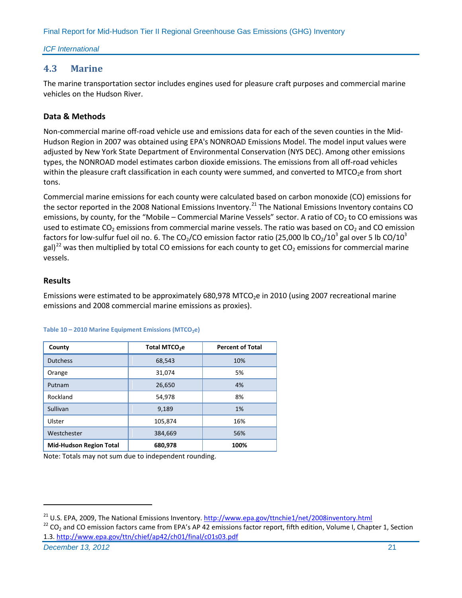#### *ICF International*

# <span id="page-25-0"></span>**4.3 Marine**

The marine transportation sector includes engines used for pleasure craft purposes and commercial marine vehicles on the Hudson River.

# **Data & Methods**

Non-commercial marine off-road vehicle use and emissions data for each of the seven counties in the Mid-Hudson Region in 2007 was obtained using EPA's NONROAD Emissions Model. The model input values were adjusted by New York State Department of Environmental Conservation (NYS DEC). Among other emissions types, the NONROAD model estimates carbon dioxide emissions. The emissions from all off-road vehicles within the pleasure craft classification in each county were summed, and converted to MTCO<sub>2</sub>e from short tons.

Commercial marine emissions for each county were calculated based on carbon monoxide (CO) emissions for the sector reported in the 2008 National Emissions Inventory.<sup>[21](#page-25-2)</sup> The National Emissions Inventory contains CO emissions, by county, for the "Mobile – Commercial Marine Vessels" sector. A ratio of  $CO<sub>2</sub>$  to CO emissions was used to estimate CO<sub>2</sub> emissions from commercial marine vessels. The ratio was based on CO<sub>2</sub> and CO emission factors for low-sulfur fuel oil no. 6. The CO<sub>2</sub>/CO emission factor ratio (25,000 lb CO<sub>2</sub>/10<sup>3</sup> gal over 5 lb CO/10<sup>3</sup> gal)<sup>[22](#page-25-3)</sup> was then multiplied by total CO emissions for each county to get CO<sub>2</sub> emissions for commercial marine vessels.

# **Results**

Emissions were estimated to be approximately  $680,978$  MTCO<sub>2</sub>e in 2010 (using 2007 recreational marine emissions and 2008 commercial marine emissions as proxies).

| County                         | Total MTCO <sub>2</sub> e | <b>Percent of Total</b> |
|--------------------------------|---------------------------|-------------------------|
| <b>Dutchess</b>                | 68,543                    | 10%                     |
| Orange                         | 31,074                    | 5%                      |
| Putnam                         | 26,650                    | 4%                      |
| Rockland                       | 54,978                    | 8%                      |
| Sullivan                       | 9,189                     | 1%                      |
| Ulster                         | 105,874                   | 16%                     |
| Westchester                    | 384,669                   | 56%                     |
| <b>Mid-Hudson Region Total</b> | 680,978                   | 100%                    |

Table 10 – 2010 Marine Equipment Emissions (MTCO<sub>2</sub>e)

<span id="page-25-1"></span>Note: Totals may not sum due to independent rounding.

<span id="page-25-3"></span><span id="page-25-2"></span><sup>21</sup> U.S. EPA, 2009, The National Emissions Inventory[. http://www.epa.gov/ttnchie1/net/2008inventory.html](http://www.epa.gov/ttnchie1/net/2008inventory.html)<br><sup>22</sup> CO<sub>2</sub> and CO emission factors came from EPA's AP 42 emissions factor report, fifth edition, Volume I, Chapter 1.3.<http://www.epa.gov/ttn/chief/ap42/ch01/final/c01s03.pdf>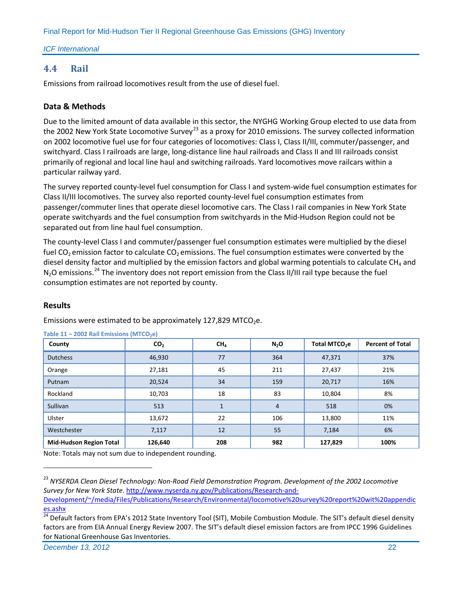#### *ICF International*

# **4.4 Rail**

Emissions from railroad locomotives result from the use of diesel fuel.

# **Data & Methods**

Due to the limited amount of data available in this sector, the NYGHG Working Group elected to use data from the 2002 New York State Locomotive Survey<sup>[23](#page-26-0)</sup> as a proxy for 2010 emissions. The survey collected information on 2002 locomotive fuel use for four categories of locomotives: Class I, Class II/III, commuter/passenger, and switchyard. Class I railroads are large, long-distance line haul railroads and Class II and III railroads consist primarily of regional and local line haul and switching railroads. Yard locomotives move railcars within a particular railway yard.

The survey reported county-level fuel consumption for Class I and system-wide fuel consumption estimates for Class II/III locomotives. The survey also reported county-level fuel consumption estimates from passenger/commuter lines that operate diesel locomotive cars. The Class I rail companies in New York State operate switchyards and the fuel consumption from switchyards in the Mid-Hudson Region could not be separated out from line haul fuel consumption.

The county-level Class I and commuter/passenger fuel consumption estimates were multiplied by the diesel fuel CO<sub>2</sub> emission factor to calculate CO<sub>2</sub> emissions. The fuel consumption estimates were converted by the diesel density factor and multiplied by the emission factors and global warming potentials to calculate  $CH<sub>4</sub>$  and  $N_2O$  emissions.<sup>[24](#page-26-1)</sup> The inventory does not report emission from the Class II/III rail type because the fuel consumption estimates are not reported by county.

# **Results**

 $\overline{a}$ 

Emissions were estimated to be approximately 127,829 MTCO<sub>2</sub>e.

| County                         | CO <sub>2</sub> | CH <sub>4</sub> | $N_2$ O | Total MTCO <sub>2</sub> e | <b>Percent of Total</b> |
|--------------------------------|-----------------|-----------------|---------|---------------------------|-------------------------|
| <b>Dutchess</b>                | 46,930          | 77              | 364     | 47,371                    | 37%                     |
| Orange                         | 27,181          | 45              | 211     | 27,437                    | 21%                     |
| Putnam                         | 20,524          | 34              | 159     | 20,717                    | 16%                     |
| Rockland                       | 10,703          | 18              | 83      | 10,804                    | 8%                      |
| Sullivan                       | 513             |                 | 4       | 518                       | 0%                      |
| Ulster                         | 13,672          | 22              | 106     | 13,800                    | 11%                     |
| Westchester                    | 7,117           | 12              | 55      | 7,184                     | 6%                      |
| <b>Mid-Hudson Region Total</b> | 126,640         | 208             | 982     | 127,829                   | 100%                    |

**Table 11 - 2002 Rail Emissions (MTCO<sub>2</sub>e)** 

<span id="page-26-0"></span><sup>23</sup> *NYSERDA Clean Diesel Technology: Non-Road Field Demonstration Program. Development of the 2002 Locomotive Survey for New York State*[. http://www.nyserda.ny.gov/Publications/Research-and-](http://www.nyserda.ny.gov/Publications/Research-and-Development/~/media/Files/Publications/Research/Environmental/locomotive%20survey%20report%20wit%20appendices.ashx)

[Development/~/media/Files/Publications/Research/Environmental/locomotive%20survey%20report%20wit%20appendic](http://www.nyserda.ny.gov/Publications/Research-and-Development/~/media/Files/Publications/Research/Environmental/locomotive%20survey%20report%20wit%20appendices.ashx) [es.ashx](http://www.nyserda.ny.gov/Publications/Research-and-Development/~/media/Files/Publications/Research/Environmental/locomotive%20survey%20report%20wit%20appendices.ashx)

<span id="page-26-1"></span><sup>&</sup>lt;sup>24</sup> Default factors from EPA's 2012 State Inventory Tool (SIT), Mobile Combustion Module. The SIT's default diesel density factors are from EIA Annual Energy Review 2007. The SIT's default diesel emission factors are from IPCC 1996 Guidelines for National Greenhouse Gas Inventories.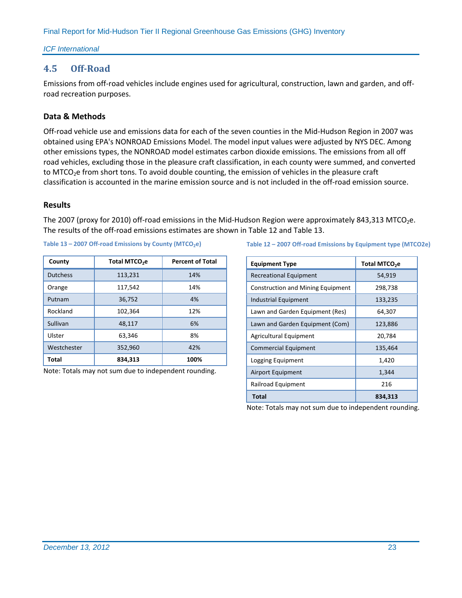#### *ICF International*

# <span id="page-27-0"></span>**4.5 Off-Road**

Emissions from off-road vehicles include engines used for agricultural, construction, lawn and garden, and offroad recreation purposes.

# **Data & Methods**

Off-road vehicle use and emissions data for each of the seven counties in the Mid-Hudson Region in 2007 was obtained using EPA's NONROAD Emissions Model. The model input values were adjusted by NYS DEC. Among other emissions types, the NONROAD model estimates carbon dioxide emissions. The emissions from all off road vehicles, excluding those in the pleasure craft classification, in each county were summed, and converted to MTCO<sub>2</sub>e from short tons. To avoid double counting, the emission of vehicles in the pleasure craft classification is accounted in the marine emission source and is not included in the off-road emission source.

#### **Results**

The 2007 (proxy for 2010) off-road emissions in the Mid-Hudson Region were approximately 843,313 MTCO<sub>2</sub>e. The results of the off-road emissions estimates are shown in [Table 12](#page-27-2) and [Table 13.](#page-27-3)

| County          | Total MTCO <sub>2</sub> e | <b>Percent of Total</b> |
|-----------------|---------------------------|-------------------------|
| <b>Dutchess</b> | 113,231                   | 14%                     |
| Orange          | 117,542                   | 14%                     |
| Putnam          | 36,752                    | 4%                      |
| Rockland        | 102,364                   | 12%                     |
| Sullivan        | 48,117                    | 6%                      |
| Ulster          | 63,346                    | 8%                      |
| Westchester     | 352,960                   | 42%                     |
| Total           | 834.313                   | 100%                    |

<span id="page-27-2"></span>Table 13 – 2007 Off-road Emissions by County (MTCO<sub>2</sub>e)

<span id="page-27-1"></span>Note: Totals may not sum due to independent rounding.

#### <span id="page-27-3"></span>**Table 12 – 2007 Off-road Emissions by Equipment type (MTCO2e)**

| <b>Equipment Type</b>                    | Total MTCO <sub>2</sub> e |
|------------------------------------------|---------------------------|
| <b>Recreational Equipment</b>            | 54,919                    |
| <b>Construction and Mining Equipment</b> | 298,738                   |
| <b>Industrial Equipment</b>              | 133,235                   |
| Lawn and Garden Equipment (Res)          | 64,307                    |
| Lawn and Garden Equipment (Com)          | 123,886                   |
| <b>Agricultural Equipment</b>            | 20,784                    |
| <b>Commercial Equipment</b>              | 135,464                   |
| Logging Equipment                        | 1,420                     |
| Airport Equipment                        | 1,344                     |
| Railroad Equipment                       | 216                       |
| <b>Total</b>                             | 834,313                   |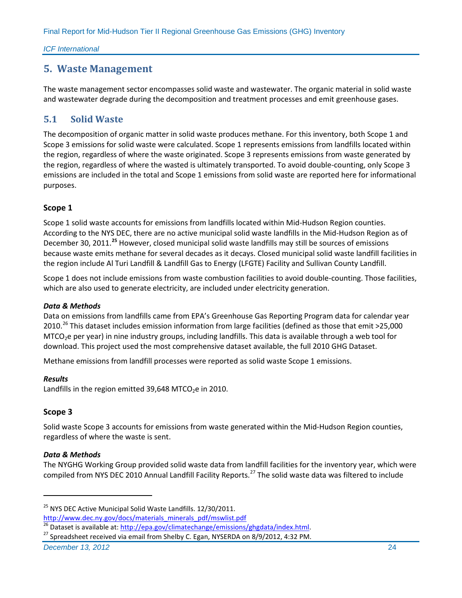*ICF International*

# **5. Waste Management**

The waste management sector encompasses solid waste and wastewater. The organic material in solid waste and wastewater degrade during the decomposition and treatment processes and emit greenhouse gases.

# <span id="page-28-0"></span>**5.1 Solid Waste**

The decomposition of organic matter in solid waste produces methane. For this inventory, both Scope 1 and Scope 3 emissions for solid waste were calculated. Scope 1 represents emissions from landfills located within the region, regardless of where the waste originated. Scope 3 represents emissions from waste generated by the region, regardless of where the wasted is ultimately transported. To avoid double-counting, only Scope 3 emissions are included in the total and Scope 1 emissions from solid waste are reported here for informational purposes.

# **Scope 1**

Scope 1 solid waste accounts for emissions from landfills located within Mid-Hudson Region counties. According to the NYS DEC, there are no active municipal solid waste landfills in the Mid-Hudson Region as of December 30, 2011.**[25](#page-28-1)** However, closed municipal solid waste landfills may still be sources of emissions because waste emits methane for several decades as it decays. Closed municipal solid waste landfill facilities in the region include Al Turi Landfill & Landfill Gas to Energy (LFGTE) Facility and Sullivan County Landfill.

Scope 1 does not include emissions from waste combustion facilities to avoid double-counting. Those facilities, which are also used to generate electricity, are included under electricity generation.

#### *Data & Methods*

Data on emissions from landfills came from EPA's Greenhouse Gas Reporting Program data for calendar year 2010.<sup>[26](#page-28-2)</sup> This dataset includes emission information from large facilities (defined as those that emit >25,000 MTCO<sub>2</sub>e per year) in nine industry groups, including landfills. This data is available through a web tool for download. This project used the most comprehensive dataset available, the full 2010 GHG Dataset.

Methane emissions from landfill processes were reported as solid waste Scope 1 emissions.

#### *Results*

Landfills in the region emitted 39,648 MTCO<sub>2</sub>e in 2010.

# **Scope 3**

 $\overline{a}$ 

Solid waste Scope 3 accounts for emissions from waste generated within the Mid-Hudson Region counties, regardless of where the waste is sent.

#### *Data & Methods*

The NYGHG Working Group provided solid waste data from landfill facilities for the inventory year, which were compiled from NYS DEC 2010 Annual Landfill Facility Reports.<sup>[27](#page-28-3)</sup> The solid waste data was filtered to include

*December 13, 2012* 24

<span id="page-28-1"></span><sup>&</sup>lt;sup>25</sup> NYS DEC Active Municipal Solid Waste Landfills. 12/30/2011.

<span id="page-28-2"></span>[http://www.dec.ny.gov/docs/materials\\_minerals\\_pdf/mswlist.pdf](http://www.dec.ny.gov/docs/materials_minerals_pdf/mswlist.pdf)<br><sup>26</sup> Dataset is available at: http://epa.gov/climatechange/emissions/ghgdata/index.html.

<span id="page-28-3"></span><sup>&</sup>lt;sup>27</sup> Spreadsheet received via email from Shelby C. Egan, NYSERDA on 8/9/2012, 4:32 PM.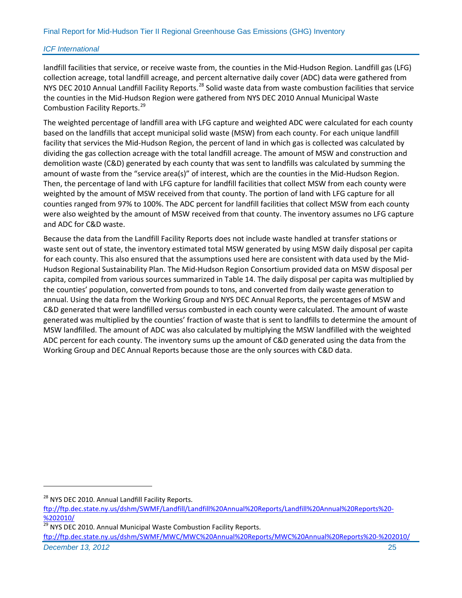landfill facilities that service, or receive waste from, the counties in the Mid-Hudson Region. Landfill gas (LFG) collection acreage, total landfill acreage, and percent alternative daily cover (ADC) data were gathered from NYS DEC 2010 Annual Landfill Facility Reports.<sup>[28](#page-29-1)</sup> Solid waste data from waste combustion facilities that service the counties in the Mid-Hudson Region were gathered from NYS DEC 2010 Annual Municipal Waste Combustion Facility Reports.<sup>[29](#page-29-2)</sup>

The weighted percentage of landfill area with LFG capture and weighted ADC were calculated for each county based on the landfills that accept municipal solid waste (MSW) from each county. For each unique landfill facility that services the Mid-Hudson Region, the percent of land in which gas is collected was calculated by dividing the gas collection acreage with the total landfill acreage. The amount of MSW and construction and demolition waste (C&D) generated by each county that was sent to landfills was calculated by summing the amount of waste from the "service area(s)" of interest, which are the counties in the Mid-Hudson Region. Then, the percentage of land with LFG capture for landfill facilities that collect MSW from each county were weighted by the amount of MSW received from that county. The portion of land with LFG capture for all counties ranged from 97% to 100%. The ADC percent for landfill facilities that collect MSW from each county were also weighted by the amount of MSW received from that county. The inventory assumes no LFG capture and ADC for C&D waste.

Because the data from the Landfill Facility Reports does not include waste handled at transfer stations or waste sent out of state, the inventory estimated total MSW generated by using MSW daily disposal per capita for each county. This also ensured that the assumptions used here are consistent with data used by the Mid-Hudson Regional Sustainability Plan. The Mid-Hudson Region Consortium provided data on MSW disposal per capita, compiled from various sources summarized in [Table 14.](#page-29-0) The daily disposal per capita was multiplied by the counties' population, converted from pounds to tons, and converted from daily waste generation to annual. Using the data from the Working Group and NYS DEC Annual Reports, the percentages of MSW and C&D generated that were landfilled versus combusted in each county were calculated. The amount of waste generated was multiplied by the counties' fraction of waste that is sent to landfills to determine the amount of MSW landfilled. The amount of ADC was also calculated by multiplying the MSW landfilled with the weighted ADC percent for each county. The inventory sums up the amount of C&D generated using the data from the Working Group and DEC Annual Reports because those are the only sources with C&D data.

<span id="page-29-0"></span> $\overline{a}$ 

*December 13, 2012* 25 [ftp://ftp.dec.state.ny.us/dshm/SWMF/MWC/MWC%20Annual%20Reports/MWC%20Annual%20Reports%20-%202010/](ftp://ftp.dec.state.ny.us/dshm/SWMF/MWC/MWC Annual Reports/MWC Annual Reports - 2010/)

<span id="page-29-1"></span><sup>&</sup>lt;sup>28</sup> NYS DEC 2010. Annual Landfill Facility Reports.

[ftp://ftp.dec.state.ny.us/dshm/SWMF/Landfill/Landfill%20Annual%20Reports/Landfill%20Annual%20Reports%20-](ftp://ftp.dec.state.ny.us/dshm/SWMF/Landfill/Landfill Annual Reports/Landfill Annual Reports - 2010/) [%202010/](ftp://ftp.dec.state.ny.us/dshm/SWMF/Landfill/Landfill Annual Reports/Landfill Annual Reports - 2010/)

<span id="page-29-2"></span>NYS DEC 2010. Annual Municipal Waste Combustion Facility Reports.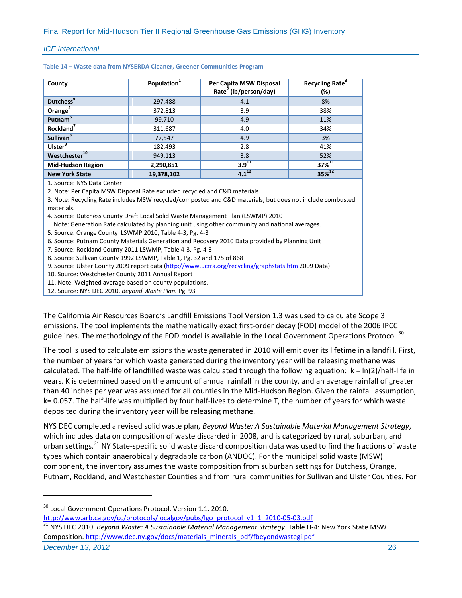| County                    | Population <sup>1</sup> | Per Capita MSW Disposal<br>Rate <sup>2</sup> (lb/person/day) | Recycling Rate <sup>3</sup><br>(%) |
|---------------------------|-------------------------|--------------------------------------------------------------|------------------------------------|
| Dutchess <sup>4</sup>     | 297,488                 | 4.1                                                          | 8%                                 |
| Orange <sup>5</sup>       | 372,813                 | 3.9                                                          | 38%                                |
| Putnam <sup>6</sup>       | 99,710                  | 4.9                                                          | 11%                                |
| Rockland <sup>'</sup>     | 311,687                 | 4.0                                                          | 34%                                |
| Sullivan <sup>8</sup>     | 77,547                  | 4.9                                                          | 3%                                 |
| Ulster <sup>9</sup>       | 182,493                 | 2.8                                                          | 41%                                |
| Westchester <sup>10</sup> | 949,113                 | 3.8                                                          | 52%                                |
| <b>Mid-Hudson Region</b>  | 2,290,851               | $3.9^{11}$                                                   | $37%^{11}$                         |
| <b>New York State</b>     | 19,378,102              | $4.1^{12}$                                                   | $35%^{12}$                         |
| 1 Source: NVS Data Center |                         |                                                              |                                    |

**Table 14 – Waste data from NYSERDA Cleaner, Greener Communities Program**

1. Source: NYS Data Center

2. Note: Per Capita MSW Disposal Rate excluded recycled and C&D materials

3. Note: Recycling Rate includes MSW recycled/composted and C&D materials, but does not include combusted materials.

4. Source: Dutchess County Draft Local Solid Waste Management Plan (LSWMP) 2010

Note: Generation Rate calculated by planning unit using other community and national averages.

5. Source: Orange County LSWMP 2010, Table 4-3, Pg. 4-3

6. Source: Putnam County Materials Generation and Recovery 2010 Data provided by Planning Unit

7. Source: Rockland County 2011 LSWMP, Table 4-3, Pg. 4-3

8. Source: Sullivan County 1992 LSWMP, Table 1, Pg. 32 and 175 of 868

9. Source: Ulster County 2009 report data [\(http://www.ucrra.org/recycling/graphstats.htm](http://www.ucrra.org/recycling/graphstats.htm) 2009 Data)

10. Source: Westchester County 2011 Annual Report

11. Note: Weighted average based on county populations.

12. Source: NYS DEC 2010, *Beyond Waste Plan.* Pg. 93

The California Air Resources Board's Landfill Emissions Tool Version 1.3 was used to calculate Scope 3 emissions. The tool implements the mathematically exact first-order decay (FOD) model of the 2006 IPCC guidelines. The methodology of the FOD model is available in the Local Government Operations Protocol.<sup>[30](#page-30-0)</sup>

The tool is used to calculate emissions the waste generated in 2010 will emit over its lifetime in a landfill. First, the number of years for which waste generated during the inventory year will be releasing methane was calculated. The half-life of landfilled waste was calculated through the following equation:  $k = \ln(2)/\text{half-life in}$ years. K is determined based on the amount of annual rainfall in the county, and an average rainfall of greater than 40 inches per year was assumed for all counties in the Mid-Hudson Region. Given the rainfall assumption, k= 0.057. The half-life was multiplied by four half-lives to determine T, the number of years for which waste deposited during the inventory year will be releasing methane.

NYS DEC completed a revised solid waste plan, *Beyond Waste: A Sustainable Material Management Strategy*, which includes data on composition of waste discarded in 2008, and is categorized by rural, suburban, and urban settings.<sup>[31](#page-30-1)</sup> NY State-specific solid waste discard composition data was used to find the fractions of waste types which contain anaerobically degradable carbon (ANDOC). For the municipal solid waste (MSW) component, the inventory assumes the waste composition from suburban settings for Dutchess, Orange, Putnam, Rockland, and Westchester Counties and from rural communities for Sullivan and Ulster Counties. For

<span id="page-30-0"></span><sup>30</sup> Local Government Operations Protocol. Version 1.1. 2010.

<span id="page-30-1"></span>*December 13, 2012* 26 [http://www.arb.ca.gov/cc/protocols/localgov/pubs/lgo\\_protocol\\_v1\\_1\\_2010-05-03.pdf](http://www.arb.ca.gov/cc/protocols/localgov/pubs/lgo_protocol_v1_1_2010-05-03.pdf)<br><sup>31</sup> NYS DEC 2010. *Beyond Waste: A Sustainable Material Management Strategy*. Table H-4: New York State MSW Composition. [http://www.dec.ny.gov/docs/materials\\_minerals\\_pdf/fbeyondwastegi.pdf](http://www.dec.ny.gov/docs/materials_minerals_pdf/fbeyondwastegi.pdf)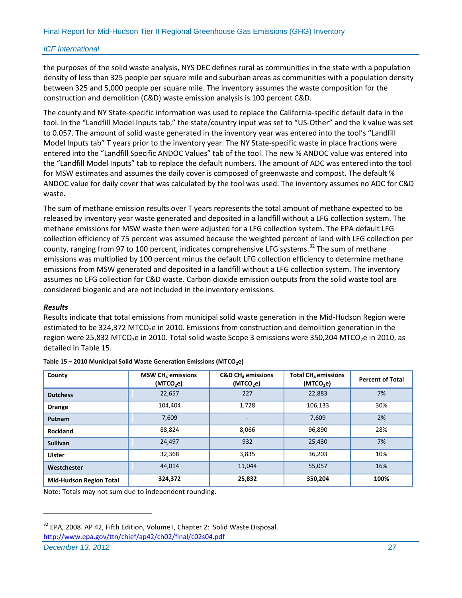the purposes of the solid waste analysis, NYS DEC defines rural as communities in the state with a population density of less than 325 people per square mile and suburban areas as communities with a population density between 325 and 5,000 people per square mile. The inventory assumes the waste composition for the construction and demolition (C&D) waste emission analysis is 100 percent C&D.

The county and NY State-specific information was used to replace the California-specific default data in the tool. In the "Landfill Model Inputs tab," the state/country input was set to "US-Other" and the k value was set to 0.057. The amount of solid waste generated in the inventory year was entered into the tool's "Landfill Model Inputs tab" T years prior to the inventory year. The NY State-specific waste in place fractions were entered into the "Landfill Specific ANDOC Values" tab of the tool. The new % ANDOC value was entered into the "Landfill Model Inputs" tab to replace the default numbers. The amount of ADC was entered into the tool for MSW estimates and assumes the daily cover is composed of greenwaste and compost. The default % ANDOC value for daily cover that was calculated by the tool was used. The inventory assumes no ADC for C&D waste.

The sum of methane emission results over T years represents the total amount of methane expected to be released by inventory year waste generated and deposited in a landfill without a LFG collection system. The methane emissions for MSW waste then were adjusted for a LFG collection system. The EPA default LFG collection efficiency of 75 percent was assumed because the weighted percent of land with LFG collection per county, ranging from 97 to 100 percent, indicates comprehensive LFG systems.<sup>[32](#page-31-1)</sup> The sum of methane emissions was multiplied by 100 percent minus the default LFG collection efficiency to determine methane emissions from MSW generated and deposited in a landfill without a LFG collection system. The inventory assumes no LFG collection for C&D waste. Carbon dioxide emission outputs from the solid waste tool are considered biogenic and are not included in the inventory emissions.

#### *Results*

Results indicate that total emissions from municipal solid waste generation in the Mid-Hudson Region were estimated to be 324,372 MTCO<sub>2</sub>e in 2010. Emissions from construction and demolition generation in the region were 25,832 MTCO<sub>2</sub>e in 2010. Total solid waste Scope 3 emissions were 350,204 MTCO<sub>2</sub>e in 2010, as detailed i[n Table 15.](#page-31-0)

| County                         | MSW CH <sub>4</sub> emissions<br>(MTCO <sub>2</sub> e) | $C&D CH4$ emissions<br>(MTCO <sub>2</sub> e) | Total $CH4$ emissions<br>(MTCO <sub>2</sub> e) | <b>Percent of Total</b> |
|--------------------------------|--------------------------------------------------------|----------------------------------------------|------------------------------------------------|-------------------------|
| <b>Dutchess</b>                | 22,657                                                 | 227                                          | 22,883                                         | 7%                      |
| Orange                         | 104,404                                                | 1,728                                        | 106,133                                        | 30%                     |
| Putnam                         | 7,609                                                  |                                              | 7,609                                          | 2%                      |
| Rockland                       | 88,824                                                 | 8,066                                        | 96,890                                         | 28%                     |
| <b>Sullivan</b>                | 24,497                                                 | 932                                          | 25,430                                         | 7%                      |
| <b>Ulster</b>                  | 32,368                                                 | 3,835                                        | 36,203                                         | 10%                     |
| Westchester                    | 44,014                                                 | 11,044                                       | 55,057                                         | 16%                     |
| <b>Mid-Hudson Region Total</b> | 324,372                                                | 25,832                                       | 350,204                                        | 100%                    |

<span id="page-31-0"></span>

| Table 15 - 2010 Municipal Solid Waste Generation Emissions (MTCO <sub>2</sub> e) |  |
|----------------------------------------------------------------------------------|--|
|----------------------------------------------------------------------------------|--|

Note: Totals may not sum due to independent rounding.

*December 13, 2012* 27

<span id="page-31-1"></span><sup>&</sup>lt;sup>32</sup> EPA, 2008. AP 42, Fifth Edition, Volume I, Chapter 2: Solid Waste Disposal. <http://www.epa.gov/ttn/chief/ap42/ch02/final/c02s04.pdf>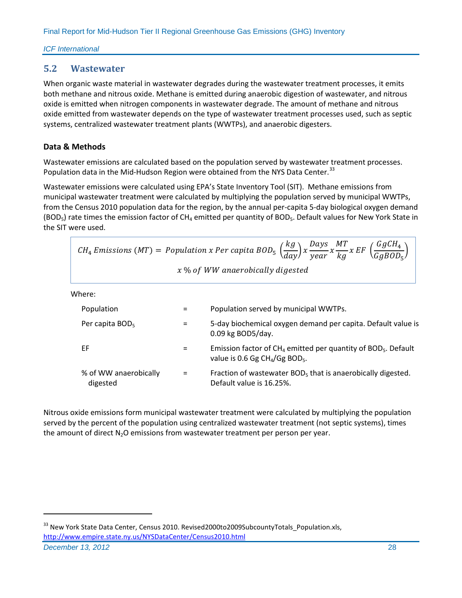# <span id="page-32-0"></span>**5.2 Wastewater**

When organic waste material in wastewater degrades during the wastewater treatment processes, it emits both methane and nitrous oxide. Methane is emitted during anaerobic digestion of wastewater, and nitrous oxide is emitted when nitrogen components in wastewater degrade. The amount of methane and nitrous oxide emitted from wastewater depends on the type of wastewater treatment processes used, such as septic systems, centralized wastewater treatment plants (WWTPs), and anaerobic digesters.

# **Data & Methods**

Wastewater emissions are calculated based on the population served by wastewater treatment processes. Population data in the Mid-Hudson Region were obtained from the NYS Data Center.<sup>[33](#page-32-1)</sup>

Wastewater emissions were calculated using EPA's State Inventory Tool (SIT). Methane emissions from municipal wastewater treatment were calculated by multiplying the population served by municipal WWTPs, from the Census 2010 population data for the region, by the annual per-capita 5-day biological oxygen demand (BOD<sub>5</sub>) rate times the emission factor of CH<sub>4</sub> emitted per quantity of BOD<sub>5</sub>. Default values for New York State in the SIT were used.

|                                   |          | $CH_4$ Emissions (MT) = Population x Per capita BOD <sub>5</sub> $\left(\frac{kg}{day}\right)$ x $\frac{Days}{year}$ x $\frac{MT}{ka}$ x EF $\left(\frac{GgCH_4}{GaBOD_{\pi}}\right)$ |
|-----------------------------------|----------|---------------------------------------------------------------------------------------------------------------------------------------------------------------------------------------|
|                                   |          | x % of WW anaerobically digested                                                                                                                                                      |
| Where:                            |          |                                                                                                                                                                                       |
| Population                        | =        | Population served by municipal WWTPs.                                                                                                                                                 |
| Per capita BOD <sub>5</sub>       | $=$      | 5-day biochemical oxygen demand per capita. Default value is<br>0.09 kg BOD5/day.                                                                                                     |
| EF                                | $=$      | Emission factor of $CH_4$ emitted per quantity of BOD <sub>5</sub> . Default<br>value is 0.6 Gg $CH4/Gg BOD5$ .                                                                       |
| % of WW anaerobically<br>digested | $\equiv$ | Fraction of wastewater BOD <sub>5</sub> that is anaerobically digested.<br>Default value is 16.25%.                                                                                   |

Nitrous oxide emissions form municipal wastewater treatment were calculated by multiplying the population served by the percent of the population using centralized wastewater treatment (not septic systems), times the amount of direct  $N_2O$  emissions from wastewater treatment per person per year.

<span id="page-32-1"></span>*December 13, 2012* 28 <sup>33</sup> New York State Data Center, Census 2010. Revised2000to2009SubcountyTotals\_Population.xls, <http://www.empire.state.ny.us/NYSDataCenter/Census2010.html>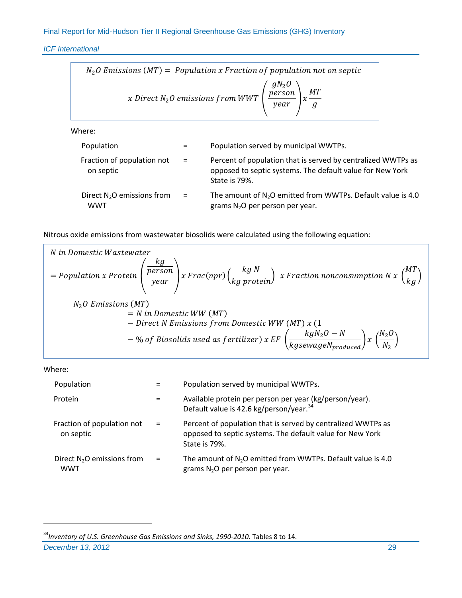*ICF International*

$$
N_2O \text{ Emissions (MT)} = Population x \text{ Fraction of population not on septic}
$$
\n
$$
x \text{ Direct } N_2O \text{ emissions from WWT}\left(\frac{gN_2O}{year}\right)x\frac{MT}{g}
$$
\nWhere:

\nPopulation = Population served by municipal WWTPs.

| Fraction of population not<br>on septic              | $=$      | Percent of population that is served by centralized WWTPs as<br>opposed to septic systems. The default value for New York<br>State is 79%. |
|------------------------------------------------------|----------|--------------------------------------------------------------------------------------------------------------------------------------------|
| Direct N <sub>2</sub> O emissions from<br><b>WWT</b> | $\equiv$ | The amount of $N_2O$ emitted from WWTPs. Default value is 4.0<br>grams $N_2O$ per person per year.                                         |

Nitrous oxide emissions from wastewater biosolids were calculated using the following equation:

N in Domestic Wastewater  
\n= Population x Protein 
$$
\left(\frac{kg}{year}\right)_{x} Frac(npr) \left(\frac{kg N}{kg protein}\right)_{x} Fraction nonconsumption N x \left(\frac{MT}{kg}\right)
$$
  
\n $N_2O$  Emissions (MT)  
\n= N in Domestic WW (MT)  
\n- Direct N Emissions from Domestic WW (MT) x (1  
\n- % of Biosolids used as fertilizer) x EF  $\left(\frac{kgN_2O-N}{kgsewageN_{produced}}\right)_{x} \left(\frac{N_2O}{N_2}\right)$ 

Where:

| Population                                 |          | Population served by municipal WWTPs.                                                                                                      |
|--------------------------------------------|----------|--------------------------------------------------------------------------------------------------------------------------------------------|
| Protein                                    |          | Available protein per person per year (kg/person/year).<br>Default value is 42.6 kg/person/year. <sup>34</sup>                             |
| Fraction of population not<br>on septic    | $\equiv$ | Percent of population that is served by centralized WWTPs as<br>opposed to septic systems. The default value for New York<br>State is 79%. |
| Direct $N_2O$ emissions from<br><b>WWT</b> | $=$      | The amount of $N_2O$ emitted from WWTPs. Default value is 4.0<br>grams $N_2O$ per person per year.                                         |

*December 13, 2012* 29

<span id="page-33-0"></span><sup>&</sup>lt;sup>34</sup> Inventory of U.S. Greenhouse Gas Emissions and Sinks, 1990-2010. Tables 8 to 14.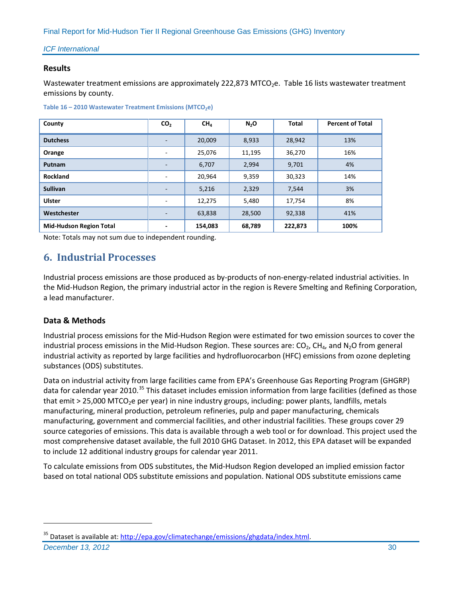#### **Results**

Wastewater treatment emissions are approximately 222,873 MTCO<sub>2</sub>e. [Table 16](#page-34-1) lists wastewater treatment emissions by county.

<span id="page-34-1"></span>

|  |  | Table 16 - 2010 Wastewater Treatment Emissions (MTCO <sub>2</sub> e) |  |  |  |
|--|--|----------------------------------------------------------------------|--|--|--|
|--|--|----------------------------------------------------------------------|--|--|--|

| County                         | CO <sub>2</sub>          | CH <sub>4</sub> | N <sub>2</sub> O | <b>Total</b> | <b>Percent of Total</b> |
|--------------------------------|--------------------------|-----------------|------------------|--------------|-------------------------|
| <b>Dutchess</b>                | -                        | 20,009          | 8,933            | 28,942       | 13%                     |
| Orange                         | ۰                        | 25,076          | 11,195           | 36,270       | 16%                     |
| Putnam                         |                          | 6,707           | 2,994            | 9,701        | 4%                      |
| Rockland                       | ۰                        | 20,964          | 9,359            | 30,323       | 14%                     |
| <b>Sullivan</b>                | -                        | 5,216           | 2,329            | 7,544        | 3%                      |
| <b>Ulster</b>                  | $\overline{\phantom{0}}$ | 12,275          | 5,480            | 17,754       | 8%                      |
| Westchester                    | -                        | 63,838          | 28,500           | 92,338       | 41%                     |
| <b>Mid-Hudson Region Total</b> |                          | 154,083         | 68,789           | 222,873      | 100%                    |

Note: Totals may not sum due to independent rounding.

# <span id="page-34-0"></span>**6. Industrial Processes**

Industrial process emissions are those produced as by-products of non-energy-related industrial activities. In the Mid-Hudson Region, the primary industrial actor in the region is Revere Smelting and Refining Corporation, a lead manufacturer.

# **Data & Methods**

Industrial process emissions for the Mid-Hudson Region were estimated for two emission sources to cover the industrial process emissions in the Mid-Hudson Region. These sources are:  $CO<sub>2</sub>$ , CH<sub>4</sub>, and N<sub>2</sub>O from general industrial activity as reported by large facilities and hydrofluorocarbon (HFC) emissions from ozone depleting substances (ODS) substitutes.

Data on industrial activity from large facilities came from EPA's Greenhouse Gas Reporting Program (GHGRP) data for calendar year 2010.<sup>[35](#page-34-2)</sup> This dataset includes emission information from large facilities (defined as those that emit > 25,000 MTCO<sub>2</sub>e per year) in nine industry groups, including: power plants, landfills, metals manufacturing, mineral production, petroleum refineries, pulp and paper manufacturing, chemicals manufacturing, government and commercial facilities, and other industrial facilities. These groups cover 29 source categories of emissions. This data is available through a web tool or for download. This project used the most comprehensive dataset available, the full 2010 GHG Dataset. In 2012, this EPA dataset will be expanded to include 12 additional industry groups for calendar year 2011.

To calculate emissions from ODS substitutes, the Mid-Hudson Region developed an implied emission factor based on total national ODS substitute emissions and population. National ODS substitute emissions came

**December 13, 2012** 30

<span id="page-34-2"></span><sup>35</sup> Dataset is available at: [http://epa.gov/climatechange/emissions/ghgdata/index.html.](http://epa.gov/climatechange/emissions/ghgdata/index.html)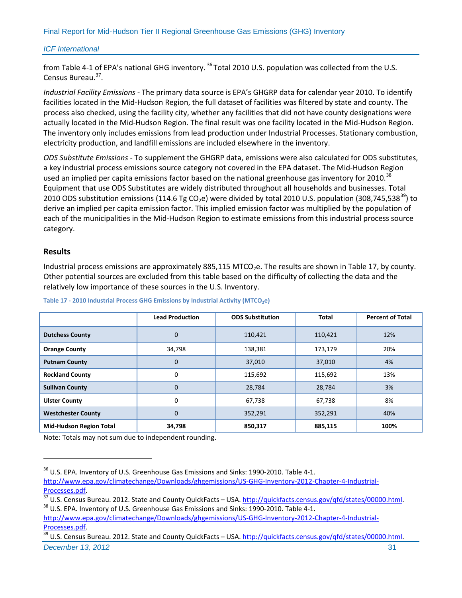from Table 4-1 of EPA's national GHG inventory.<sup>[36](#page-35-1)</sup> Total 2010 U.S. population was collected from the U.S. Census Bureau.[37.](#page-35-2)

*Industrial Facility Emissions -* The primary data source is EPA's GHGRP data for calendar year 2010. To identify facilities located in the Mid-Hudson Region, the full dataset of facilities was filtered by state and county. The process also checked, using the facility city, whether any facilities that did not have county designations were actually located in the Mid-Hudson Region. The final result was one facility located in the Mid-Hudson Region. The inventory only includes emissions from lead production under Industrial Processes. Stationary combustion, electricity production, and landfill emissions are included elsewhere in the inventory.

*ODS Substitute Emissions -* To supplement the GHGRP data, emissions were also calculated for ODS substitutes, a key industrial process emissions source category not covered in the EPA dataset. The Mid-Hudson Region used an implied per capita emissions factor based on the national greenhouse gas inventory for 2010.<sup>[38](#page-35-3)</sup> Equipment that use ODS Substitutes are widely distributed throughout all households and businesses. Total 2010 ODS substitution emissions (114.6 Tg CO<sub>2</sub>e) were divided by total 2010 U.S. population (308,745,538<sup>39</sup>) to derive an implied per capita emission factor. This implied emission factor was multiplied by the population of each of the municipalities in the Mid-Hudson Region to estimate emissions from this industrial process source category.

#### **Results**

 $\overline{a}$ 

Industrial process emissions are approximately 885,115 MTCO<sub>2</sub>e. The results are shown i[n Table 17,](#page-35-0) by county. Other potential sources are excluded from this table based on the difficulty of collecting the data and the relatively low importance of these sources in the U.S. Inventory.

|                                | <b>Lead Production</b> | <b>ODS Substitution</b> | <b>Total</b> | <b>Percent of Total</b> |
|--------------------------------|------------------------|-------------------------|--------------|-------------------------|
| <b>Dutchess County</b>         | 0                      | 110,421                 | 110,421      | 12%                     |
| <b>Orange County</b>           | 34,798                 | 138,381                 | 173,179      | 20%                     |
| <b>Putnam County</b>           | 0                      | 37,010                  | 37,010       | 4%                      |
| <b>Rockland County</b>         | 0                      | 115,692                 | 115,692      | 13%                     |
| <b>Sullivan County</b>         | 0                      | 28,784                  | 28,784       | 3%                      |
| <b>Ulster County</b>           | 0                      | 67,738                  | 67,738       | 8%                      |
| <b>Westchester County</b>      | 0                      | 352,291                 | 352,291      | 40%                     |
| <b>Mid-Hudson Region Total</b> | 34,798                 | 850,317                 | 885,115      | 100%                    |

#### <span id="page-35-0"></span>Table 17 - 2010 Industrial Process GHG Emissions by Industrial Activity (MTCO<sub>2</sub>e)

<span id="page-35-1"></span><sup>&</sup>lt;sup>36</sup> U.S. EPA. Inventory of U.S. Greenhouse Gas Emissions and Sinks: 1990-2010. Table 4-1. [http://www.epa.gov/climatechange/Downloads/ghgemissions/US-GHG-Inventory-2012-Chapter-4-Industrial-](http://www.epa.gov/climatechange/Downloads/ghgemissions/US-GHG-Inventory-2012-Chapter-4-Industrial-Processes.pdf)

<span id="page-35-2"></span>[Processes.pdf.](http://www.epa.gov/climatechange/Downloads/ghgemissions/US-GHG-Inventory-2012-Chapter-4-Industrial-Processes.pdf)<br><sup>37</sup> U.S. Census Bureau. 2012. State and County QuickFacts – USA. [http://quickfacts.census.gov/qfd/states/00000.html.](http://quickfacts.census.gov/qfd/states/00000.html)<br><sup>38</sup> U.S. EPA. Inventory of U.S. Greenhouse Gas Emissions and Sinks: 1990-2010. Table 4-1

<span id="page-35-3"></span>[http://www.epa.gov/climatechange/Downloads/ghgemissions/US-GHG-Inventory-2012-Chapter-4-Industrial-](http://www.epa.gov/climatechange/Downloads/ghgemissions/US-GHG-Inventory-2012-Chapter-4-Industrial-Processes.pdf)[Processes.pdf.](http://www.epa.gov/climatechange/Downloads/ghgemissions/US-GHG-Inventory-2012-Chapter-4-Industrial-Processes.pdf)<br><sup>39</sup> U.S. Census Bureau. 2012. State and County QuickFacts – USA. [http://quickfacts.census.gov/qfd/states/00000.html.](http://quickfacts.census.gov/qfd/states/00000.html)

<span id="page-35-4"></span>**December 13, 2012** 31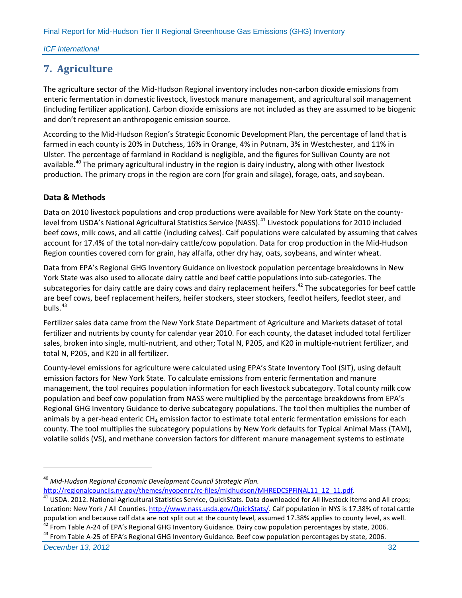# <span id="page-36-0"></span>**7. Agriculture**

The agriculture sector of the Mid-Hudson Regional inventory includes non-carbon dioxide emissions from enteric fermentation in domestic livestock, livestock manure management, and agricultural soil management (including fertilizer application). Carbon dioxide emissions are not included as they are assumed to be biogenic and don't represent an anthropogenic emission source.

According to the Mid-Hudson Region's Strategic Economic Development Plan, the percentage of land that is farmed in each county is 20% in Dutchess, 16% in Orange, 4% in Putnam, 3% in Westchester, and 11% in Ulster. The percentage of farmland in Rockland is negligible, and the figures for Sullivan County are not available.<sup>[40](#page-36-1)</sup> The primary agricultural industry in the region is dairy industry, along with other livestock production. The primary crops in the region are corn (for grain and silage), forage, oats, and soybean.

# **Data & Methods**

Data on 2010 livestock populations and crop productions were available for New York State on the county-level from USDA's National Agricultural Statistics Service (NASS).<sup>[41](#page-36-2)</sup> Livestock populations for 2010 included beef cows, milk cows, and all cattle (including calves). Calf populations were calculated by assuming that calves account for 17.4% of the total non-dairy cattle/cow population. Data for crop production in the Mid-Hudson Region counties covered corn for grain, hay alfalfa, other dry hay, oats, soybeans, and winter wheat.

Data from EPA's Regional GHG Inventory Guidance on livestock population percentage breakdowns in New York State was also used to allocate dairy cattle and beef cattle populations into sub-categories. The subcategories for dairy cattle are dairy cows and dairy replacement heifers.<sup>[42](#page-36-3)</sup> The subcategories for beef cattle are beef cows, beef replacement heifers, heifer stockers, steer stockers, feedlot heifers, feedlot steer, and bulls. $43$ 

Fertilizer sales data came from the New York State Department of Agriculture and Markets dataset of total fertilizer and nutrients by county for calendar year 2010. For each county, the dataset included total fertilizer sales, broken into single, multi-nutrient, and other; Total N, P205, and K20 in multiple-nutrient fertilizer, and total N, P205, and K20 in all fertilizer.

County-level emissions for agriculture were calculated using EPA's State Inventory Tool (SIT), using default emission factors for New York State. To calculate emissions from enteric fermentation and manure management, the tool requires population information for each livestock subcategory. Total county milk cow population and beef cow population from NASS were multiplied by the percentage breakdowns from EPA's Regional GHG Inventory Guidance to derive subcategory populations. The tool then multiplies the number of animals by a per-head enteric  $CH_4$  emission factor to estimate total enteric fermentation emissions for each county. The tool multiplies the subcategory populations by New York defaults for Typical Animal Mass (TAM), volatile solids (VS), and methane conversion factors for different manure management systems to estimate

<span id="page-36-4"></span><span id="page-36-3"></span><sup>43</sup> From Table A-25 of EPA's Regional GHG Inventory Guidance. Beef cow population percentages by state, 2006.

**December 13, 2012** 32

<span id="page-36-1"></span><sup>40</sup> *Mid-Hudson Regional Economic Development Council Strategic Plan.* 

<span id="page-36-2"></span>[http://regionalcouncils.ny.gov/themes/nyopenrc/rc-files/midhudson/MHREDCSPFINAL11\\_12\\_11.pdf.](http://regionalcouncils.ny.gov/themes/nyopenrc/rc-files/midhudson/MHREDCSPFINAL11_12_11.pdf) 41 USDA. 2012. National Agricultural Statistics Service, QuickStats. Data downloaded for All livestock items and All crops; Location: New York / All Counties[. http://www.nass.usda.gov/QuickStats/.](http://www.nass.usda.gov/QuickStats/) Calf population in NYS is 17.38% of total cattle population and because calf data are not split out at the county level, assumed 17.38% applies to county level, as well.<br><sup>42</sup> From Table A-24 of EPA's Regional GHG Inventory Guidance. Dairy cow population percentages by st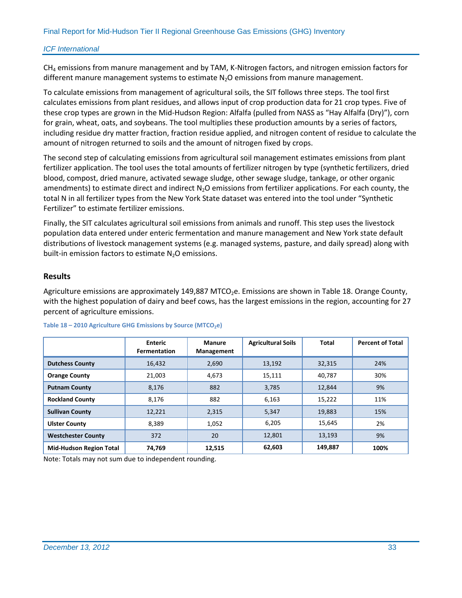$CH<sub>4</sub>$  emissions from manure management and by TAM, K-Nitrogen factors, and nitrogen emission factors for different manure management systems to estimate  $N_2O$  emissions from manure management.

To calculate emissions from management of agricultural soils, the SIT follows three steps. The tool first calculates emissions from plant residues, and allows input of crop production data for 21 crop types. Five of these crop types are grown in the Mid-Hudson Region: Alfalfa (pulled from NASS as "Hay Alfalfa (Dry)"), corn for grain, wheat, oats, and soybeans. The tool multiplies these production amounts by a series of factors, including residue dry matter fraction, fraction residue applied, and nitrogen content of residue to calculate the amount of nitrogen returned to soils and the amount of nitrogen fixed by crops.

The second step of calculating emissions from agricultural soil management estimates emissions from plant fertilizer application. The tool uses the total amounts of fertilizer nitrogen by type (synthetic fertilizers, dried blood, compost, dried manure, activated sewage sludge, other sewage sludge, tankage, or other organic amendments) to estimate direct and indirect N<sub>2</sub>O emissions from fertilizer applications. For each county, the total N in all fertilizer types from the New York State dataset was entered into the tool under "Synthetic Fertilizer" to estimate fertilizer emissions.

Finally, the SIT calculates agricultural soil emissions from animals and runoff. This step uses the livestock population data entered under enteric fermentation and manure management and New York state default distributions of livestock management systems (e.g. managed systems, pasture, and daily spread) along with built-in emission factors to estimate  $N_2O$  emissions.

#### **Results**

Agriculture emissions are approximately 149,887 MTCO<sub>2</sub>e. Emissions are shown in [Table 18.](#page-37-0) Orange County, with the highest population of dairy and beef cows, has the largest emissions in the region, accounting for 27 percent of agriculture emissions.

|                                | <b>Enteric</b><br><b>Fermentation</b> | <b>Manure</b><br><b>Management</b> | <b>Agricultural Soils</b> | <b>Total</b> | <b>Percent of Total</b> |
|--------------------------------|---------------------------------------|------------------------------------|---------------------------|--------------|-------------------------|
| <b>Dutchess County</b>         | 16,432                                | 2,690                              | 13,192                    | 32,315       | 24%                     |
| <b>Orange County</b>           | 21,003                                | 4,673                              | 15,111                    | 40,787       | 30%                     |
| <b>Putnam County</b>           | 8,176                                 |                                    | 3,785                     | 12,844       | 9%                      |
| <b>Rockland County</b>         | 8,176                                 | 882                                | 6,163                     | 15,222       | 11%                     |
| <b>Sullivan County</b>         | 12,221                                | 2,315                              | 5,347                     | 19,883       | 15%                     |
| <b>Ulster County</b>           | 8,389                                 | 1,052                              | 6,205                     | 15,645       | 2%                      |
| <b>Westchester County</b>      | 372                                   |                                    | 12,801                    | 13,193       | 9%                      |
| <b>Mid-Hudson Region Total</b> | 74,769                                | 12,515                             | 62,603                    | 149,887      | 100%                    |

#### <span id="page-37-0"></span>Table 18 - 2010 Agriculture GHG Emissions by Source (MTCO<sub>2</sub>e)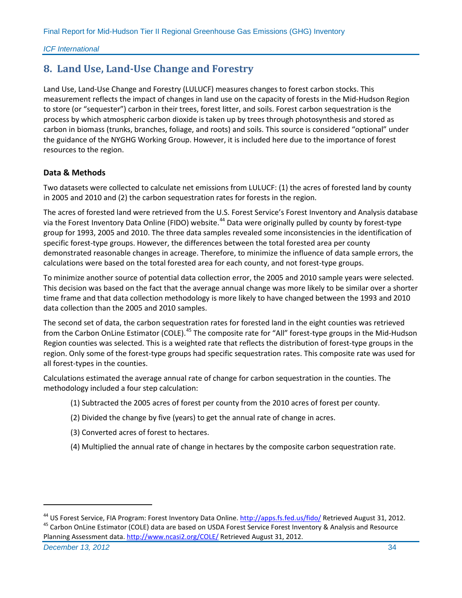# <span id="page-38-0"></span>**8. Land Use, Land-Use Change and Forestry**

Land Use, Land-Use Change and Forestry (LULUCF) measures changes to forest carbon stocks. This measurement reflects the impact of changes in land use on the capacity of forests in the Mid-Hudson Region to store (or "sequester") carbon in their trees, forest litter, and soils. Forest carbon sequestration is the process by which atmospheric carbon dioxide is taken up by trees through photosynthesis and stored as carbon in biomass (trunks, branches, foliage, and roots) and soils. This source is considered "optional" under the guidance of the NYGHG Working Group. However, it is included here due to the importance of forest resources to the region.

### **Data & Methods**

 $\overline{a}$ 

Two datasets were collected to calculate net emissions from LULUCF: (1) the acres of forested land by county in 2005 and 2010 and (2) the carbon sequestration rates for forests in the region.

The acres of forested land were retrieved from the U.S. Forest Service's Forest Inventory and Analysis database via the Forest Inventory Data Online (FIDO) website.<sup>[44](#page-38-1)</sup> Data were originally pulled by county by forest-type group for 1993, 2005 and 2010. The three data samples revealed some inconsistencies in the identification of specific forest-type groups. However, the differences between the total forested area per county demonstrated reasonable changes in acreage. Therefore, to minimize the influence of data sample errors, the calculations were based on the total forested area for each county, and not forest-type groups.

To minimize another source of potential data collection error, the 2005 and 2010 sample years were selected. This decision was based on the fact that the average annual change was more likely to be similar over a shorter time frame and that data collection methodology is more likely to have changed between the 1993 and 2010 data collection than the 2005 and 2010 samples.

The second set of data, the carbon sequestration rates for forested land in the eight counties was retrieved from the Carbon OnLine Estimator (COLE).<sup>[45](#page-38-2)</sup> The composite rate for "All" forest-type groups in the Mid-Hudson Region counties was selected. This is a weighted rate that reflects the distribution of forest-type groups in the region. Only some of the forest-type groups had specific sequestration rates. This composite rate was used for all forest-types in the counties.

Calculations estimated the average annual rate of change for carbon sequestration in the counties. The methodology included a four step calculation:

- (1) Subtracted the 2005 acres of forest per county from the 2010 acres of forest per county.
- (2) Divided the change by five (years) to get the annual rate of change in acres.
- (3) Converted acres of forest to hectares.
- (4) Multiplied the annual rate of change in hectares by the composite carbon sequestration rate.

<span id="page-38-2"></span>**December 13, 2012** 34 Planning Assessment data.<http://www.ncasi2.org/COLE/> Retrieved August 31, 2012.

<span id="page-38-1"></span><sup>&</sup>lt;sup>44</sup> US Forest Service, FIA Program: Forest Inventory Data Online. http://apps.fs.fed.us/fido/ Retrieved August 31, 2012.<br><sup>45</sup> Carbon OnLine Estimator (COLE) data are based on USDA Forest Service Forest Inventory & Analysi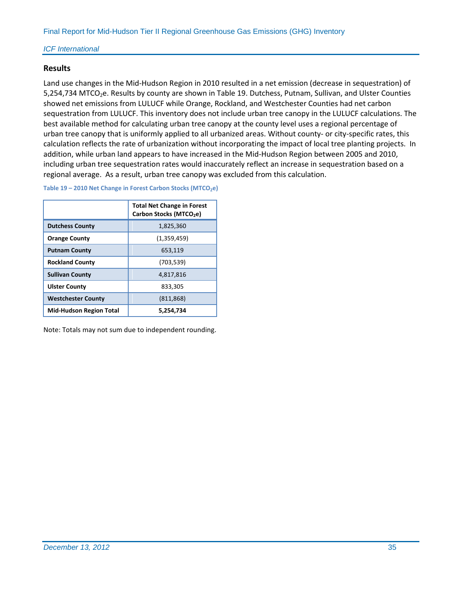#### **Results**

Land use changes in the Mid-Hudson Region in 2010 resulted in a net emission (decrease in sequestration) of 5,254,734 MTCO<sub>2</sub>e. Results by county are shown i[n Table 19.](#page-39-0) Dutchess, Putnam, Sullivan, and Ulster Counties showed net emissions from LULUCF while Orange, Rockland, and Westchester Counties had net carbon sequestration from LULUCF. This inventory does not include urban tree canopy in the LULUCF calculations. The best available method for calculating urban tree canopy at the county level uses a regional percentage of urban tree canopy that is uniformly applied to all urbanized areas. Without county- or city-specific rates, this calculation reflects the rate of urbanization without incorporating the impact of local tree planting projects. In addition, while urban land appears to have increased in the Mid-Hudson Region between 2005 and 2010, including urban tree sequestration rates would inaccurately reflect an increase in sequestration based on a regional average. As a result, urban tree canopy was excluded from this calculation.

<span id="page-39-0"></span>**Table 19 - 2010 Net Change in Forest Carbon Stocks (MTCO<sub>2</sub>e)** 

|                                | <b>Total Net Change in Forest</b><br>Carbon Stocks (MTCO <sub>2</sub> e) |
|--------------------------------|--------------------------------------------------------------------------|
| <b>Dutchess County</b>         | 1,825,360                                                                |
| <b>Orange County</b>           | (1,359,459)                                                              |
| <b>Putnam County</b>           | 653,119                                                                  |
| <b>Rockland County</b>         | (703, 539)                                                               |
| <b>Sullivan County</b>         | 4,817,816                                                                |
| <b>Ulster County</b>           | 833,305                                                                  |
| <b>Westchester County</b>      | (811, 868)                                                               |
| <b>Mid-Hudson Region Total</b> | 5,254,734                                                                |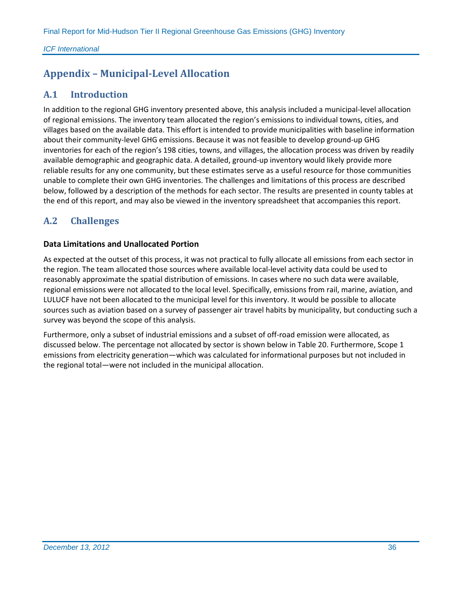# <span id="page-40-0"></span>**Appendix – Municipal-Level Allocation**

# <span id="page-40-1"></span>**A.1 Introduction**

In addition to the regional GHG inventory presented above, this analysis included a municipal-level allocation of regional emissions. The inventory team allocated the region's emissions to individual towns, cities, and villages based on the available data. This effort is intended to provide municipalities with baseline information about their community-level GHG emissions. Because it was not feasible to develop ground-up GHG inventories for each of the region's 198 cities, towns, and villages, the allocation process was driven by readily available demographic and geographic data. A detailed, ground-up inventory would likely provide more reliable results for any one community, but these estimates serve as a useful resource for those communities unable to complete their own GHG inventories. The challenges and limitations of this process are described below, followed by a description of the methods for each sector. The results are presented in county tables at the end of this report, and may also be viewed in the inventory spreadsheet that accompanies this report.

# <span id="page-40-2"></span>**A.2 Challenges**

### **Data Limitations and Unallocated Portion**

As expected at the outset of this process, it was not practical to fully allocate all emissions from each sector in the region. The team allocated those sources where available local-level activity data could be used to reasonably approximate the spatial distribution of emissions. In cases where no such data were available, regional emissions were not allocated to the local level. Specifically, emissions from rail, marine, aviation, and LULUCF have not been allocated to the municipal level for this inventory. It would be possible to allocate sources such as aviation based on a survey of passenger air travel habits by municipality, but conducting such a survey was beyond the scope of this analysis.

<span id="page-40-3"></span>Furthermore, only a subset of industrial emissions and a subset of off-road emission were allocated, as discussed below. The percentage not allocated by sector is shown below i[n Table 20.](#page-40-3) Furthermore, Scope 1 emissions from electricity generation—which was calculated for informational purposes but not included in the regional total—were not included in the municipal allocation.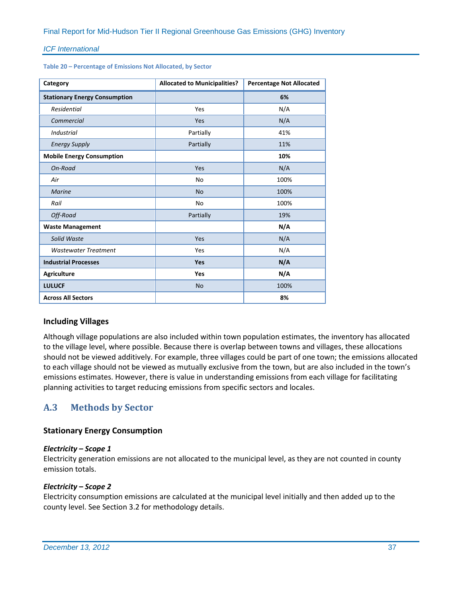**Table 20 – Percentage of Emissions Not Allocated, by Sector**

| Category                             | <b>Allocated to Municipalities?</b> | <b>Percentage Not Allocated</b> |  |  |
|--------------------------------------|-------------------------------------|---------------------------------|--|--|
| <b>Stationary Energy Consumption</b> |                                     | 6%                              |  |  |
| Residential                          | Yes                                 | N/A                             |  |  |
| Commercial                           | Yes                                 | N/A                             |  |  |
| <b>Industrial</b>                    | Partially                           | 41%                             |  |  |
| <b>Energy Supply</b>                 | Partially                           | 11%                             |  |  |
| <b>Mobile Energy Consumption</b>     |                                     | 10%                             |  |  |
| On-Road                              | Yes                                 | N/A                             |  |  |
| Air                                  | <b>No</b>                           | 100%                            |  |  |
| <b>Marine</b>                        | <b>No</b>                           | 100%                            |  |  |
| Rail                                 | No                                  | 100%                            |  |  |
| Off-Road                             | Partially                           | 19%                             |  |  |
| <b>Waste Management</b>              |                                     | N/A                             |  |  |
| Solid Waste                          | Yes                                 | N/A                             |  |  |
| <b>Wastewater Treatment</b>          | Yes                                 | N/A                             |  |  |
| <b>Industrial Processes</b>          | Yes                                 | N/A                             |  |  |
| <b>Agriculture</b>                   | Yes                                 | N/A                             |  |  |
| <b>LULUCF</b>                        | <b>No</b>                           | 100%                            |  |  |
| <b>Across All Sectors</b>            |                                     | 8%                              |  |  |

#### **Including Villages**

Although village populations are also included within town population estimates, the inventory has allocated to the village level, where possible. Because there is overlap between towns and villages, these allocations should not be viewed additively. For example, three villages could be part of one town; the emissions allocated to each village should not be viewed as mutually exclusive from the town, but are also included in the town's emissions estimates. However, there is value in understanding emissions from each village for facilitating planning activities to target reducing emissions from specific sectors and locales.

# <span id="page-41-0"></span>**A.3 Methods by Sector**

#### **Stationary Energy Consumption**

#### *Electricity – Scope 1*

Electricity generation emissions are not allocated to the municipal level, as they are not counted in county emission totals.

#### *Electricity – Scope 2*

Electricity consumption emissions are calculated at the municipal level initially and then added up to the county level. See Section 3.2 for methodology details.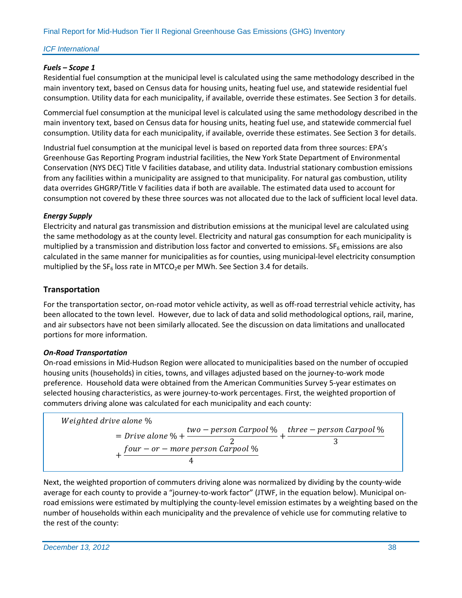### *Fuels – Scope 1*

Residential fuel consumption at the municipal level is calculated using the same methodology described in the main inventory text, based on Census data for housing units, heating fuel use, and statewide residential fuel consumption. Utility data for each municipality, if available, override these estimates. See Section 3 for details.

Commercial fuel consumption at the municipal level is calculated using the same methodology described in the main inventory text, based on Census data for housing units, heating fuel use, and statewide commercial fuel consumption. Utility data for each municipality, if available, override these estimates. See Section 3 for details.

Industrial fuel consumption at the municipal level is based on reported data from three sources: EPA's Greenhouse Gas Reporting Program industrial facilities, the New York State Department of Environmental Conservation (NYS DEC) Title V facilities database, and utility data. Industrial stationary combustion emissions from any facilities within a municipality are assigned to that municipality. For natural gas combustion, utility data overrides GHGRP/Title V facilities data if both are available. The estimated data used to account for consumption not covered by these three sources was not allocated due to the lack of sufficient local level data.

# *Energy Supply*

Electricity and natural gas transmission and distribution emissions at the municipal level are calculated using the same methodology as at the county level. Electricity and natural gas consumption for each municipality is multiplied by a transmission and distribution loss factor and converted to emissions.  $SF<sub>6</sub>$  emissions are also calculated in the same manner for municipalities as for counties, using municipal-level electricity consumption multiplied by the  $SF_6$  loss rate in MTCO<sub>2</sub>e per MWh. See Section 3.4 for details.

# **Transportation**

For the transportation sector, on-road motor vehicle activity, as well as off-road terrestrial vehicle activity, has been allocated to the town level. However, due to lack of data and solid methodological options, rail, marine, and air subsectors have not been similarly allocated. See the discussion on data limitations and unallocated portions for more information.

#### *On-Road Transportation*

On-road emissions in Mid-Hudson Region were allocated to municipalities based on the number of occupied housing units (households) in cities, towns, and villages adjusted based on the journey-to-work mode preference. Household data were obtained from the American Communities Survey 5-year estimates on selected housing characteristics, as were journey-to-work percentages. First, the weighted proportion of commuters driving alone was calculated for each municipality and each county:

Weighted drive alone %
$$
= Drive\ alone\ % +\frac{two-person\ Carpool\ %}{2} +\frac{three-person\ Carpool\ %}{3}
$$

$$
+\frac{four-or-more\ person\ Carpool\ %}{4}
$$

Next, the weighted proportion of commuters driving alone was normalized by dividing by the county-wide average for each county to provide a "journey-to-work factor" (JTWF, in the equation below). Municipal onroad emissions were estimated by multiplying the county-level emission estimates by a weighting based on the number of households within each municipality and the prevalence of vehicle use for commuting relative to the rest of the county: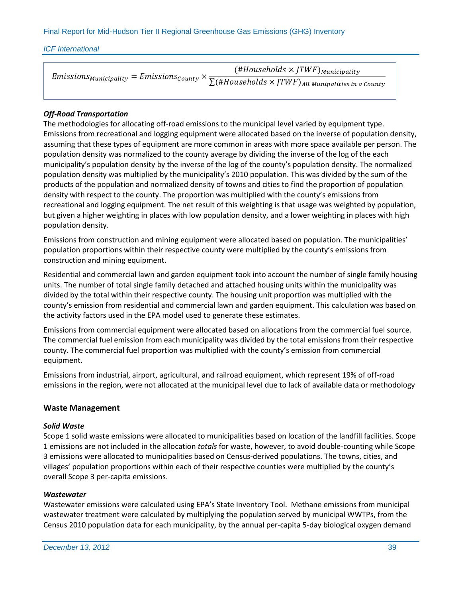$E$ missions $_{Municipality}= E$ missions $_{Country} \times$  $(\#Households \times JTWF)_{Municipality}$  $\sum (\# Households \times JTWF)$ All Munipalities in a County

### *Off-Road Transportation*

The methodologies for allocating off-road emissions to the municipal level varied by equipment type. Emissions from recreational and logging equipment were allocated based on the inverse of population density, assuming that these types of equipment are more common in areas with more space available per person. The population density was normalized to the county average by dividing the inverse of the log of the each municipality's population density by the inverse of the log of the county's population density. The normalized population density was multiplied by the municipality's 2010 population. This was divided by the sum of the products of the population and normalized density of towns and cities to find the proportion of population density with respect to the county. The proportion was multiplied with the county's emissions from recreational and logging equipment. The net result of this weighting is that usage was weighted by population, but given a higher weighting in places with low population density, and a lower weighting in places with high population density.

Emissions from construction and mining equipment were allocated based on population. The municipalities' population proportions within their respective county were multiplied by the county's emissions from construction and mining equipment.

Residential and commercial lawn and garden equipment took into account the number of single family housing units. The number of total single family detached and attached housing units within the municipality was divided by the total within their respective county. The housing unit proportion was multiplied with the county's emission from residential and commercial lawn and garden equipment. This calculation was based on the activity factors used in the EPA model used to generate these estimates.

Emissions from commercial equipment were allocated based on allocations from the commercial fuel source. The commercial fuel emission from each municipality was divided by the total emissions from their respective county. The commercial fuel proportion was multiplied with the county's emission from commercial equipment.

Emissions from industrial, airport, agricultural, and railroad equipment, which represent 19% of off-road emissions in the region, were not allocated at the municipal level due to lack of available data or methodology

#### **Waste Management**

#### *Solid Waste*

Scope 1 solid waste emissions were allocated to municipalities based on location of the landfill facilities. Scope 1 emissions are not included in the allocation *totals* for waste, however, to avoid double-counting while Scope 3 emissions were allocated to municipalities based on Census-derived populations. The towns, cities, and villages' population proportions within each of their respective counties were multiplied by the county's overall Scope 3 per-capita emissions.

#### *Wastewater*

Wastewater emissions were calculated using EPA's State Inventory Tool. Methane emissions from municipal wastewater treatment were calculated by multiplying the population served by municipal WWTPs, from the Census 2010 population data for each municipality, by the annual per-capita 5-day biological oxygen demand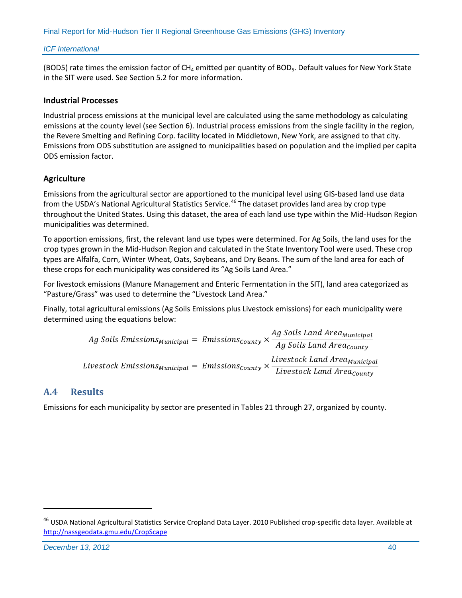(BOD5) rate times the emission factor of  $CH_4$  emitted per quantity of BOD<sub>5</sub>. Default values for New York State in the SIT were used. See Section 5.2 for more information.

#### **Industrial Processes**

Industrial process emissions at the municipal level are calculated using the same methodology as calculating emissions at the county level (see Section 6). Industrial process emissions from the single facility in the region, the Revere Smelting and Refining Corp. facility located in Middletown, New York, are assigned to that city. Emissions from ODS substitution are assigned to municipalities based on population and the implied per capita ODS emission factor.

### **Agriculture**

Emissions from the agricultural sector are apportioned to the municipal level using GIS-based land use data from the USDA's National Agricultural Statistics Service.<sup>[46](#page-44-1)</sup> The dataset provides land area by crop type throughout the United States. Using this dataset, the area of each land use type within the Mid-Hudson Region municipalities was determined.

To apportion emissions, first, the relevant land use types were determined. For Ag Soils, the land uses for the crop types grown in the Mid-Hudson Region and calculated in the State Inventory Tool were used. These crop types are Alfalfa, Corn, Winter Wheat, Oats, Soybeans, and Dry Beans. The sum of the land area for each of these crops for each municipality was considered its "Ag Soils Land Area."

For livestock emissions (Manure Management and Enteric Fermentation in the SIT), land area categorized as "Pasture/Grass" was used to determine the "Livestock Land Area."

Finally, total agricultural emissions (Ag Soils Emissions plus Livestock emissions) for each municipality were determined using the equations below:

*Ag Soils Emissions<sub>Municipal</sub>* = Emissions<sub>County</sub> × 
$$
\frac{Ag Soils Land Area_{Municipal}}{Ag Soils Land Area_{County}}
$$
  
Livestock Emissions<sub>Municipal</sub> = Emissions<sub>county</sub> × 
$$
\frac{Livestock Land Area_{Municipal}}{Livestock Land Area_{County}}
$$

# <span id="page-44-0"></span>**A.4 Results**

Emissions for each municipality by sector are presented in Tables 21 through 27, organized by county.

<span id="page-44-1"></span><sup>&</sup>lt;sup>46</sup> USDA National Agricultural Statistics Service Cropland Data Layer. 2010 Published crop-specific data layer. Available at <http://nassgeodata.gmu.edu/CropScape>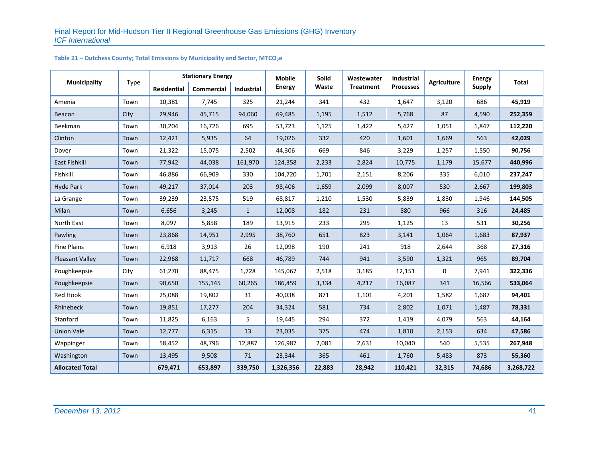#### Table 21 – Dutchess County; Total Emissions by Municipality and Sector, MTCO<sub>2</sub>e

|                        |      |                    | <b>Stationary Energy</b> |                   | <b>Mobile</b> | Solid  | Wastewater       | Industrial       |                    | <b>Energy</b> |           |
|------------------------|------|--------------------|--------------------------|-------------------|---------------|--------|------------------|------------------|--------------------|---------------|-----------|
| <b>Municipality</b>    | Type | <b>Residential</b> | Commercial               | <b>Industrial</b> | <b>Energy</b> | Waste  | <b>Treatment</b> | <b>Processes</b> | <b>Agriculture</b> | <b>Supply</b> | Total     |
| Amenia                 | Town | 10,381             | 7,745                    | 325               | 21,244        | 341    | 432              | 1,647            | 3,120              | 686           | 45,919    |
| Beacon                 | City | 29,946             | 45,715                   | 94,060            | 69,485        | 1,195  | 1,512            | 5,768            | 87                 | 4,590         | 252,359   |
| Beekman                | Town | 30,204             | 16,726                   | 695               | 53,723        | 1,125  | 1,422            | 5,427            | 1,051              | 1,847         | 112,220   |
| Clinton                | Town | 12,421             | 5,935                    | 64                | 19,026        | 332    | 420              | 1,601            | 1,669              | 563           | 42,029    |
| Dover                  | Town | 21,322             | 15,075                   | 2,502             | 44,306        | 669    | 846              | 3,229            | 1,257              | 1,550         | 90,756    |
| <b>East Fishkill</b>   | Town | 77,942             | 44,038                   | 161,970           | 124,358       | 2,233  | 2,824            | 10,775           | 1,179              | 15,677        | 440,996   |
| Fishkill               | Town | 46,886             | 66,909                   | 330               | 104,720       | 1,701  | 2,151            | 8,206            | 335                | 6,010         | 237,247   |
| <b>Hyde Park</b>       | Town | 49,217             | 37,014                   | 203               | 98,406        | 1,659  | 2,099            | 8,007            | 530                | 2,667         | 199,803   |
| La Grange              | Town | 39,239             | 23,575                   | 519               | 68,817        | 1,210  | 1,530            | 5,839            | 1,830              | 1,946         | 144,505   |
| Milan                  | Town | 6,656              | 3,245                    | $\mathbf{1}$      | 12,008        | 182    | 231              | 880              | 966                | 316           | 24,485    |
| North East             | Town | 8,097              | 5,858                    | 189               | 13,915        | 233    | 295              | 1,125            | 13                 | 531           | 30,256    |
| Pawling                | Town | 23,868             | 14,951                   | 2,995             | 38,760        | 651    | 823              | 3,141            | 1,064              | 1,683         | 87,937    |
| <b>Pine Plains</b>     | Town | 6,918              | 3,913                    | 26                | 12,098        | 190    | 241              | 918              | 2,644              | 368           | 27,316    |
| <b>Pleasant Valley</b> | Town | 22,968             | 11,717                   | 668               | 46,789        | 744    | 941              | 3,590            | 1,321              | 965           | 89,704    |
| Poughkeepsie           | City | 61,270             | 88,475                   | 1,728             | 145,067       | 2,518  | 3,185            | 12,151           | $\mathbf 0$        | 7,941         | 322,336   |
| Poughkeepsie           | Town | 90,650             | 155,145                  | 60,265            | 186,459       | 3,334  | 4,217            | 16,087           | 341                | 16,566        | 533,064   |
| Red Hook               | Town | 25,088             | 19,802                   | 31                | 40,038        | 871    | 1,101            | 4,201            | 1,582              | 1,687         | 94,401    |
| Rhinebeck              | Town | 19,851             | 17,277                   | 204               | 34,324        | 581    | 734              | 2,802            | 1,071              | 1,487         | 78,331    |
| Stanford               | Town | 11,825             | 6,163                    | 5                 | 19,445        | 294    | 372              | 1,419            | 4,079              | 563           | 44,164    |
| <b>Union Vale</b>      | Town | 12,777             | 6,315                    | 13                | 23,035        | 375    | 474              | 1,810            | 2,153              | 634           | 47,586    |
| Wappinger              | Town | 58,452             | 48,796                   | 12,887            | 126,987       | 2,081  | 2,631            | 10,040           | 540                | 5,535         | 267,948   |
| Washington             | Town | 13,495             | 9,508                    | 71                | 23,344        | 365    | 461              | 1,760            | 5,483              | 873           | 55,360    |
| <b>Allocated Total</b> |      | 679,471            | 653,897                  | 339,750           | 1,326,356     | 22,883 | 28,942           | 110,421          | 32,315             | 74,686        | 3,268,722 |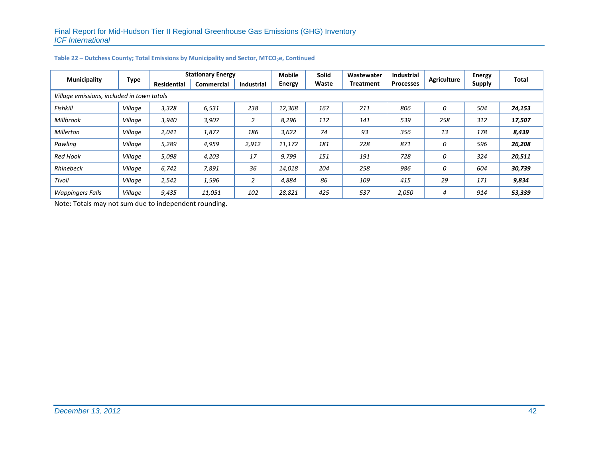| <b>Municipality</b>     |                                            | <b>Stationary Energy</b> |                   |                   | <b>Mobile</b> | <b>Solid</b> | Wastewater       | <b>Industrial</b> | <b>Agriculture</b> | <b>Energy</b> | Total  |
|-------------------------|--------------------------------------------|--------------------------|-------------------|-------------------|---------------|--------------|------------------|-------------------|--------------------|---------------|--------|
|                         | Type                                       | <b>Residential</b>       | <b>Commercial</b> | <b>Industrial</b> | Energy        | Waste        | <b>Treatment</b> | <b>Processes</b>  |                    | <b>Supply</b> |        |
|                         | Village emissions, included in town totals |                          |                   |                   |               |              |                  |                   |                    |               |        |
| <b>Fishkill</b>         | Village                                    | 3,328                    | 6,531             | 238               | 12,368        | 167          | 211              | 806               | 0                  | 504           | 24,153 |
| Millbrook               | Village                                    | 3,940                    | 3,907             | 2                 | 8,296         | 112          | 141              | 539               | 258                | 312           | 17,507 |
| <b>Millerton</b>        | Village                                    | 2,041                    | 1,877             | 186               | 3,622         | 74           | 93               | 356               | 13                 | 178           | 8,439  |
| Pawling                 | Village                                    | 5,289                    | 4,959             | 2,912             | 11,172        | 181          | 228              | 871               | 0                  | 596           | 26,208 |
| <b>Red Hook</b>         | Village                                    | 5,098                    | 4,203             | 17                | 9,799         | 151          | 191              | 728               | 0                  | 324           | 20,511 |
| Rhinebeck               | Village                                    | 6,742                    | 7,891             | 36                | 14,018        | 204          | 258              | 986               | 0                  | 604           | 30,739 |
| Tivoli                  | Village                                    | 2,542                    | 1,596             | $\overline{2}$    | 4,884         | 86           | 109              | 415               | 29                 | 171           | 9,834  |
| <b>Wappingers Falls</b> | Village                                    | 9,435                    | 11,051            | 102               | 28,821        | 425          | 537              | 2,050             | 4                  | 914           | 53,339 |

#### Table 22 – Dutchess County; Total Emissions by Municipality and Sector, MTCO<sub>2</sub>e, Continued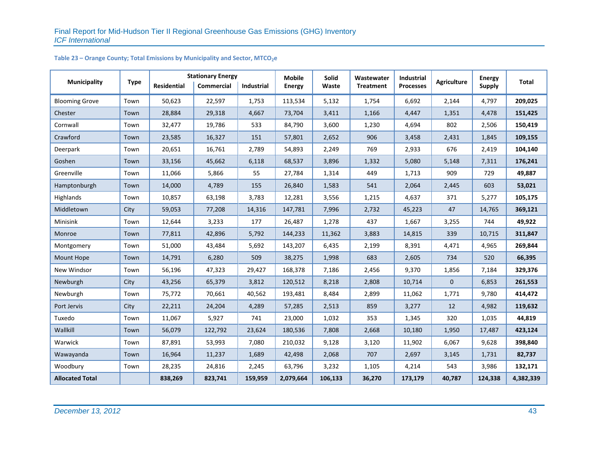| <b>Municipality</b>    | <b>Type</b> | <b>Residential</b> | <b>Stationary Energy</b><br>Commercial | <b>Industrial</b> | <b>Mobile</b><br><b>Energy</b> | Solid<br>Waste | Wastewater<br><b>Treatment</b> | Industrial<br><b>Processes</b> | <b>Agriculture</b> | <b>Energy</b><br><b>Supply</b> | Total     |
|------------------------|-------------|--------------------|----------------------------------------|-------------------|--------------------------------|----------------|--------------------------------|--------------------------------|--------------------|--------------------------------|-----------|
| <b>Blooming Grove</b>  | Town        | 50,623             | 22,597                                 | 1,753             | 113,534                        | 5,132          | 1,754                          | 6,692                          | 2,144              | 4,797                          | 209,025   |
| Chester                | Town        | 28,884             | 29,318                                 | 4,667             | 73,704                         | 3,411          | 1,166                          | 4,447                          | 1,351              | 4,478                          | 151,425   |
| Cornwall               | Town        | 32,477             | 19,786                                 | 533               | 84,790                         | 3,600          | 1,230                          | 4,694                          | 802                | 2,506                          | 150,419   |
| Crawford               | Town        | 23,585             | 16,327                                 | 151               | 57,801                         | 2,652          | 906                            | 3,458                          | 2,431              | 1,845                          | 109,155   |
| Deerpark               | Town        | 20,651             | 16,761                                 | 2,789             | 54,893                         | 2,249          | 769                            | 2,933                          | 676                | 2,419                          | 104,140   |
| Goshen                 | Town        | 33,156             | 45,662                                 | 6,118             | 68,537                         | 3,896          | 1,332                          | 5,080                          | 5,148              | 7,311                          | 176,241   |
| Greenville             | Town        | 11,066             | 5,866                                  | 55                | 27,784                         | 1,314          | 449                            | 1,713                          | 909                | 729                            | 49,887    |
| Hamptonburgh           | Town        | 14,000             | 4,789                                  | 155               | 26,840                         | 1,583          | 541                            | 2,064                          | 2,445              | 603                            | 53,021    |
| Highlands              | Town        | 10,857             | 63,198                                 | 3,783             | 12,281                         | 3,556          | 1,215                          | 4,637                          | 371                | 5,277                          | 105,175   |
| Middletown             | City        | 59,053             | 77,208                                 | 14,316            | 147,781                        | 7,996          | 2,732                          | 45,223                         | 47                 | 14,765                         | 369,121   |
| Minisink               | Town        | 12,644             | 3,233                                  | 177               | 26,487                         | 1,278          | 437                            | 1,667                          | 3,255              | 744                            | 49,922    |
| Monroe                 | Town        | 77,811             | 42,896                                 | 5,792             | 144,233                        | 11,362         | 3,883                          | 14,815                         | 339                | 10,715                         | 311,847   |
| Montgomery             | Town        | 51,000             | 43,484                                 | 5,692             | 143,207                        | 6,435          | 2,199                          | 8,391                          | 4,471              | 4,965                          | 269,844   |
| <b>Mount Hope</b>      | Town        | 14,791             | 6,280                                  | 509               | 38,275                         | 1,998          | 683                            | 2,605                          | 734                | 520                            | 66,395    |
| New Windsor            | Town        | 56,196             | 47,323                                 | 29,427            | 168,378                        | 7,186          | 2,456                          | 9,370                          | 1,856              | 7,184                          | 329,376   |
| Newburgh               | City        | 43,256             | 65,379                                 | 3,812             | 120,512                        | 8,218          | 2,808                          | 10,714                         | $\mathbf 0$        | 6,853                          | 261,553   |
| Newburgh               | Town        | 75,772             | 70,661                                 | 40,562            | 193,481                        | 8,484          | 2,899                          | 11,062                         | 1,771              | 9,780                          | 414,472   |
| Port Jervis            | City        | 22,211             | 24,204                                 | 4,289             | 57,285                         | 2,513          | 859                            | 3,277                          | 12                 | 4,982                          | 119,632   |
| Tuxedo                 | Town        | 11,067             | 5,927                                  | 741               | 23,000                         | 1,032          | 353                            | 1,345                          | 320                | 1,035                          | 44,819    |
| Wallkill               | Town        | 56,079             | 122,792                                | 23,624            | 180,536                        | 7,808          | 2,668                          | 10,180                         | 1,950              | 17,487                         | 423,124   |
| Warwick                | Town        | 87,891             | 53,993                                 | 7,080             | 210,032                        | 9,128          | 3,120                          | 11,902                         | 6,067              | 9,628                          | 398,840   |
| Wawayanda              | Town        | 16,964             | 11,237                                 | 1,689             | 42,498                         | 2,068          | 707                            | 2,697                          | 3,145              | 1,731                          | 82,737    |
| Woodbury               | Town        | 28,235             | 24,816                                 | 2,245             | 63,796                         | 3,232          | 1,105                          | 4,214                          | 543                | 3,986                          | 132,171   |
| <b>Allocated Total</b> |             | 838,269            | 823,741                                | 159,959           | 2,079,664                      | 106,133        | 36,270                         | 173,179                        | 40,787             | 124,338                        | 4,382,339 |

# Table 23 – Orange County; Total Emissions by Municipality and Sector, MTCO<sub>2</sub>e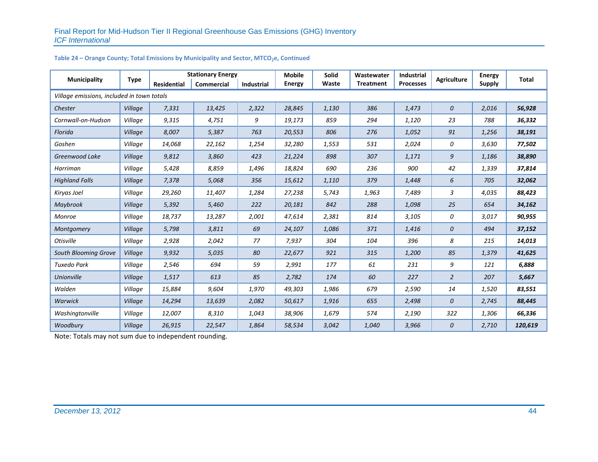| <b>Municipality</b>                        | <b>Type</b> |                    | <b>Stationary Energy</b> |                   | <b>Mobile</b> | <b>Solid</b> | Wastewater       | Industrial       | <b>Agriculture</b> | <b>Energy</b> | Total   |
|--------------------------------------------|-------------|--------------------|--------------------------|-------------------|---------------|--------------|------------------|------------------|--------------------|---------------|---------|
|                                            |             | <b>Residential</b> | <b>Commercial</b>        | <b>Industrial</b> | <b>Energy</b> | Waste        | <b>Treatment</b> | <b>Processes</b> |                    | <b>Supply</b> |         |
| Village emissions, included in town totals |             |                    |                          |                   |               |              |                  |                  |                    |               |         |
| Chester                                    | Village     | 7,331              | 13,425                   | 2,322             | 28,845        | 1,130        | 386              | 1,473            | $\mathcal{O}$      | 2,016         | 56,928  |
| Cornwall-on-Hudson                         | Village     | 9,315              | 4,751                    | 9                 | 19,173        | 859          | 294              | 1,120            | 23                 | 788           | 36,332  |
| Florida                                    | Village     | 8,007              | 5,387                    | 763               | 20,553        | 806          | 276              | 1,052            | 91                 | 1,256         | 38,191  |
| Goshen                                     | Village     | 14,068             | 22,162                   | 1,254             | 32,280        | 1,553        | 531              | 2,024            | 0                  | 3,630         | 77,502  |
| Greenwood Lake                             | Village     | 9,812              | 3,860                    | 423               | 21,224        | 898          | 307              | 1,171            | 9                  | 1,186         | 38,890  |
| Harriman                                   | Village     | 5,428              | 8,859                    | 1,496             | 18,824        | 690          | 236              | 900              | 42                 | 1,339         | 37,814  |
| <b>Highland Falls</b>                      | Village     | 7,378              | 5,068                    | 356               | 15,612        | 1,110        | 379              | 1,448            | 6                  | 705           | 32,062  |
| Kiryas Joel                                | Village     | 29,260             | 11,407                   | 1,284             | 27,238        | 5,743        | 1,963            | 7,489            | 3                  | 4,035         | 88,423  |
| Maybrook                                   | Village     | 5,392              | 5,460                    | 222               | 20,181        | 842          | 288              | 1,098            | 25                 | 654           | 34,162  |
| <b>Monroe</b>                              | Village     | 18,737             | 13,287                   | 2,001             | 47,614        | 2,381        | 814              | 3,105            | 0                  | 3,017         | 90,955  |
| Montgomery                                 | Village     | 5,798              | 3,811                    | 69                | 24,107        | 1,086        | 371              | 1,416            | 0                  | 494           | 37,152  |
| <b>Otisville</b>                           | Village     | 2,928              | 2,042                    | 77                | 7,937         | 304          | 104              | 396              | 8                  | 215           | 14,013  |
| South Blooming Grove                       | Village     | 9,932              | 5,035                    | 80                | 22,677        | 921          | 315              | 1,200            | 85                 | 1,379         | 41,625  |
| <b>Tuxedo Park</b>                         | Village     | 2,546              | 694                      | 59                | 2,991         | 177          | 61               | 231              | 9                  | 121           | 6,888   |
| <b>Unionville</b>                          | Village     | 1,517              | 613                      | 85                | 2,782         | 174          | 60               | 227              | 2                  | 207           | 5,667   |
| Walden                                     | Village     | 15,884             | 9,604                    | 1,970             | 49,303        | 1,986        | 679              | 2,590            | 14                 | 1,520         | 83,551  |
| <b>Warwick</b>                             | Village     | 14,294             | 13,639                   | 2,082             | 50,617        | 1,916        | 655              | 2,498            | 0                  | 2,745         | 88,445  |
| Washingtonville                            | Village     | 12,007             | 8,310                    | 1,043             | 38,906        | 1,679        | 574              | 2,190            | 322                | 1,306         | 66,336  |
| Woodbury                                   | Village     | 26,915             | 22,547                   | 1,864             | 58,534        | 3,042        | 1,040            | 3,966            | 0                  | 2,710         | 120,619 |

### Table 24 – Orange County; Total Emissions by Municipality and Sector, MTCO<sub>2</sub>e, Continued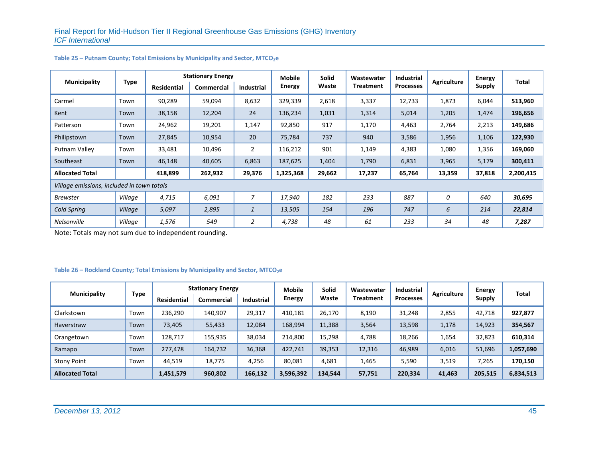|                                            |             | <b>Stationary Energy</b> |                   |                   | <b>Mobile</b> | <b>Solid</b> | Wastewater       | <b>Industrial</b> |                    | Energy        |           |
|--------------------------------------------|-------------|--------------------------|-------------------|-------------------|---------------|--------------|------------------|-------------------|--------------------|---------------|-----------|
| <b>Municipality</b>                        | <b>Type</b> | <b>Residential</b>       | <b>Commercial</b> | <b>Industrial</b> | Energy        | Waste        | <b>Treatment</b> | <b>Processes</b>  | <b>Agriculture</b> | <b>Supply</b> | Total     |
| Carmel                                     | Town        | 90,289                   | 59,094            | 8,632             | 329,339       | 2,618        | 3,337            | 12,733            | 1,873              | 6,044         | 513,960   |
| Kent                                       | Town        | 38,158                   | 12,204            | 24                | 136,234       | 1,031        | 1,314            | 5,014             | 1,205              | 1,474         | 196,656   |
| Patterson                                  | Town        | 24,962                   | 19,201            | 1,147             | 92,850        | 917          | 1,170            | 4,463             | 2,764              | 2,213         | 149,686   |
| Philipstown                                | Town        | 27,845                   | 10,954            | 20                | 75,784        | 737          | 940              | 3,586             | 1,956              | 1,106         | 122,930   |
| Putnam Valley                              | Town        | 33,481                   | 10,496            | 2                 | 116,212       | 901          | 1,149            | 4,383             | 1,080              | 1,356         | 169,060   |
| Southeast                                  | Town        | 46,148                   | 40,605            | 6,863             | 187,625       | 1,404        | 1,790            | 6,831             | 3,965              | 5,179         | 300,411   |
| <b>Allocated Total</b>                     |             | 418,899                  | 262,932           | 29,376            | 1,325,368     | 29,662       | 17,237           | 65,764            | 13,359             | 37,818        | 2,200,415 |
| Village emissions, included in town totals |             |                          |                   |                   |               |              |                  |                   |                    |               |           |
| <b>Brewster</b>                            | Village     | 4,715                    | 6,091             | $\overline{7}$    | 17,940        | 182          | 233              | 887               | 0                  | 640           | 30,695    |
| Cold Spring                                | Village     | 5,097                    | 2,895             | $\mathbf{1}$      | 13,505        | 154          | 196              | 747               | 6                  | 214           | 22,814    |
| Nelsonville                                | Village     | 1,576                    | 549               | 2                 | 4,738         | 48           | 61               | 233               | 34                 | 48            | 7,287     |

#### Table 25 – Putnam County; Total Emissions by Municipality and Sector, MTCO<sub>2</sub>e

Note: Totals may not sum due to independent rounding.

#### Table 26 – Rockland County; Total Emissions by Municipality and Sector, MTCO<sub>2</sub>e

| <b>Municipality</b>    | Type | <b>Stationary Energy</b> |                   |                   | Mobile    | <b>Solid</b> | Wastewater       | <b>Industrial</b> | <b>Agriculture</b> | <b>Energy</b> | Total     |
|------------------------|------|--------------------------|-------------------|-------------------|-----------|--------------|------------------|-------------------|--------------------|---------------|-----------|
|                        |      | <b>Residential</b>       | <b>Commercial</b> | <b>Industrial</b> | Energy    | Waste        | <b>Treatment</b> | Processes         |                    | <b>Supply</b> |           |
| Clarkstown             | Town | 236,290                  | 140,907           | 29,317            | 410,181   | 26,170       | 8,190            | 31,248            | 2,855              | 42,718        | 927,877   |
| Haverstraw             | Town | 73,405                   | 55,433            | 12,084            | 168,994   | 11,388       | 3,564            | 13,598            | 1,178              | 14,923        | 354,567   |
| Orangetown             | Town | 128,717                  | 155,935           | 38,034            | 214,800   | 15,298       | 4,788            | 18,266            | 1,654              | 32,823        | 610,314   |
| Ramapo                 | Town | 277,478                  | 164,732           | 36,368            | 422,741   | 39,353       | 12,316           | 46,989            | 6,016              | 51,696        | 1,057,690 |
| <b>Stony Point</b>     | Town | 44,519                   | 18,775            | 4,256             | 80,081    | 4,681        | 1,465            | 5,590             | 3,519              | 7,265         | 170,150   |
| <b>Allocated Total</b> |      | 1,451,579                | 960,802           | 166,132           | 3,596,392 | 134,544      | 57,751           | 220,334           | 41,463             | 205,515       | 6,834,513 |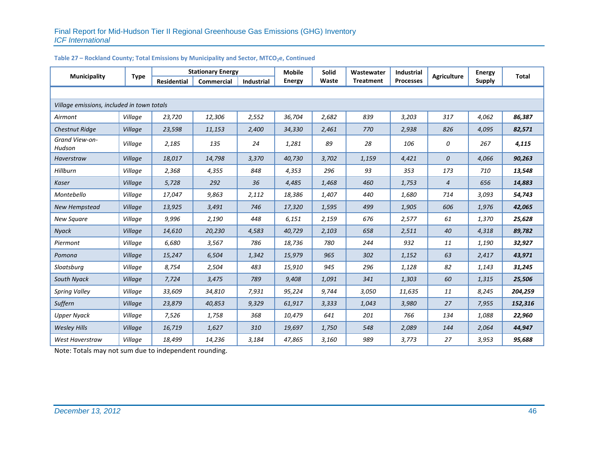| <b>Municipality</b>                        | <b>Type</b> |                    | <b>Stationary Energy</b> |            | <b>Mobile</b> | Solid | Wastewater       | Industrial       | <b>Agriculture</b> | <b>Energy</b> | <b>Total</b> |
|--------------------------------------------|-------------|--------------------|--------------------------|------------|---------------|-------|------------------|------------------|--------------------|---------------|--------------|
|                                            |             | <b>Residential</b> | Commercial               | Industrial | <b>Energy</b> | Waste | <b>Treatment</b> | <b>Processes</b> |                    | <b>Supply</b> |              |
|                                            |             |                    |                          |            |               |       |                  |                  |                    |               |              |
| Village emissions, included in town totals |             |                    |                          |            |               |       |                  |                  |                    |               |              |
| Airmont                                    | Village     | 23,720             | 12,306                   | 2,552      | 36,704        | 2,682 | 839              | 3,203            | 317                | 4,062         | 86,387       |
| <b>Chestnut Ridge</b>                      | Village     | 23,598             | 11,153                   | 2,400      | 34,330        | 2,461 | 770              | 2,938            | 826                | 4,095         | 82,571       |
| Grand View-on-<br>Hudson                   | Village     | 2,185              | 135                      | 24         | 1,281         | 89    | 28               | 106              | 0                  | 267           | 4,115        |
| Haverstraw                                 | Village     | 18,017             | 14,798                   | 3,370      | 40,730        | 3,702 | 1,159            | 4,421            | 0                  | 4,066         | 90,263       |
| Hillburn                                   | Village     | 2,368              | 4,355                    | 848        | 4,353         | 296   | 93               | 353              | 173                | 710           | 13,548       |
| <b>Kaser</b>                               | Village     | 5,728              | 292                      | 36         | 4,485         | 1,468 | 460              | 1,753            | 4                  | 656           | 14,883       |
| Montebello                                 | Village     | 17,047             | 9,863                    | 2,112      | 18,386        | 1,407 | 440              | 1,680            | 714                | 3,093         | 54,743       |
| New Hempstead                              | Village     | 13,925             | 3,491                    | 746        | 17,320        | 1,595 | 499              | 1,905            | 606                | 1,976         | 42,065       |
| New Square                                 | Village     | 9,996              | 2,190                    | 448        | 6,151         | 2,159 | 676              | 2,577            | 61                 | 1,370         | 25,628       |
| Nyack                                      | Village     | 14,610             | 20,230                   | 4,583      | 40,729        | 2,103 | 658              | 2,511            | 40                 | 4,318         | 89,782       |
| Piermont                                   | Village     | 6,680              | 3,567                    | 786        | 18,736        | 780   | 244              | 932              | 11                 | 1,190         | 32,927       |
| Pomona                                     | Village     | 15,247             | 6,504                    | 1,342      | 15,979        | 965   | 302              | 1,152            | 63                 | 2,417         | 43,971       |
| Sloatsburg                                 | Village     | 8,754              | 2,504                    | 483        | 15,910        | 945   | 296              | 1,128            | 82                 | 1,143         | 31,245       |
| South Nyack                                | Village     | 7,724              | 3,475                    | 789        | 9,408         | 1,091 | 341              | 1,303            | 60                 | 1,315         | 25,506       |
| <b>Spring Valley</b>                       | Village     | 33,609             | 34,810                   | 7,931      | 95,224        | 9,744 | 3,050            | 11,635           | 11                 | 8,245         | 204,259      |
| Suffern                                    | Village     | 23,879             | 40,853                   | 9,329      | 61,917        | 3,333 | 1,043            | 3,980            | 27                 | 7,955         | 152,316      |
| <b>Upper Nyack</b>                         | Village     | 7,526              | 1,758                    | 368        | 10,479        | 641   | 201              | 766              | 134                | 1,088         | 22,960       |
| <b>Wesley Hills</b>                        | Village     | 16,719             | 1,627                    | 310        | 19,697        | 1,750 | 548              | 2,089            | 144                | 2,064         | 44,947       |
| West Haverstraw                            | Village     | 18,499             | 14,236                   | 3,184      | 47,865        | 3,160 | 989              | 3,773            | 27                 | 3,953         | 95,688       |

#### Table 27 – Rockland County; Total Emissions by Municipality and Sector, MTCO<sub>2</sub>e, Continued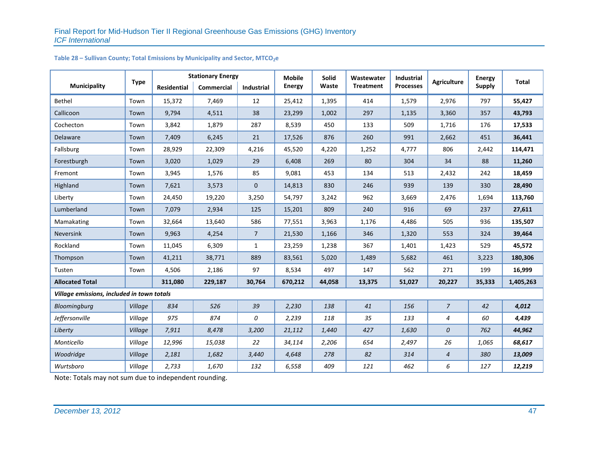|                                            | <b>Type</b> | <b>Stationary Energy</b> |                   |                | <b>Mobile</b> | Solid  | Wastewater       | Industrial       | <b>Agriculture</b> | <b>Energy</b> | <b>Total</b> |
|--------------------------------------------|-------------|--------------------------|-------------------|----------------|---------------|--------|------------------|------------------|--------------------|---------------|--------------|
| <b>Municipality</b>                        |             | Residential              | <b>Commercial</b> | Industrial     | <b>Energy</b> | Waste  | <b>Treatment</b> | <b>Processes</b> |                    | <b>Supply</b> |              |
| Bethel                                     | Town        | 15,372                   | 7,469             | 12             | 25,412        | 1,395  | 414              | 1,579            | 2,976              | 797           | 55,427       |
| Callicoon                                  | Town        | 9,794                    | 4,511             | 38             | 23,299        | 1,002  | 297              | 1,135            | 3,360              | 357           | 43,793       |
| Cochecton                                  | Town        | 3,842                    | 1,879             | 287            | 8,539         | 450    | 133              | 509              | 1,716              | 176           | 17,533       |
| Delaware                                   | Town        | 7,409                    | 6,245             | 21             | 17,526        | 876    | 260              | 991              | 2,662              | 451           | 36,441       |
| Fallsburg                                  | Town        | 28,929                   | 22,309            | 4,216          | 45,520        | 4,220  | 1,252            | 4,777            | 806                | 2,442         | 114,471      |
| Forestburgh                                | Town        | 3,020                    | 1,029             | 29             | 6,408         | 269    | 80               | 304              | 34                 | 88            | 11,260       |
| Fremont                                    | Town        | 3,945                    | 1,576             | 85             | 9,081         | 453    | 134              | 513              | 2,432              | 242           | 18,459       |
| Highland                                   | Town        | 7,621                    | 3,573             | $\mathbf 0$    | 14,813        | 830    | 246              | 939              | 139                | 330           | 28,490       |
| Liberty                                    | Town        | 24,450                   | 19,220            | 3,250          | 54,797        | 3,242  | 962              | 3,669            | 2,476              | 1,694         | 113,760      |
| Lumberland                                 | Town        | 7,079                    | 2,934             | 125            | 15,201        | 809    | 240              | 916              | 69                 | 237           | 27,611       |
| Mamakating                                 | Town        | 32,664                   | 13,640            | 586            | 77,551        | 3,963  | 1,176            | 4,486            | 505                | 936           | 135,507      |
| Neversink                                  | Town        | 9,963                    | 4,254             | $\overline{7}$ | 21,530        | 1,166  | 346              | 1,320            | 553                | 324           | 39,464       |
| Rockland                                   | Town        | 11,045                   | 6,309             | 1              | 23,259        | 1,238  | 367              | 1,401            | 1,423              | 529           | 45,572       |
| Thompson                                   | Town        | 41,211                   | 38,771            | 889            | 83,561        | 5,020  | 1,489            | 5,682            | 461                | 3,223         | 180,306      |
| Tusten                                     | Town        | 4,506                    | 2,186             | 97             | 8,534         | 497    | 147              | 562              | 271                | 199           | 16,999       |
| <b>Allocated Total</b>                     |             | 311,080                  | 229,187           | 30,764         | 670,212       | 44,058 | 13,375           | 51,027           | 20,227             | 35,333        | 1,405,263    |
| Village emissions, included in town totals |             |                          |                   |                |               |        |                  |                  |                    |               |              |
| Bloomingburg                               | Village     | 834                      | 526               | 39             | 2,230         | 138    | 41               | 156              | $\overline{z}$     | 42            | 4,012        |
| Jeffersonville                             | Village     | 975                      | 874               | 0              | 2,239         | 118    | 35               | 133              | 4                  | 60            | 4,439        |
| Liberty                                    | Village     | 7,911                    | 8,478             | 3,200          | 21,112        | 1,440  | 427              | 1,630            | 0                  | 762           | 44,962       |
| Monticello                                 | Village     | 12,996                   | 15,038            | 22             | 34,114        | 2,206  | 654              | 2,497            | 26                 | 1,065         | 68,617       |
| Woodridge                                  | Village     | 2,181                    | 1,682             | 3,440          | 4,648         | 278    | 82               | 314              | 4                  | 380           | 13,009       |
| Wurtsboro                                  | Village     | 2,733                    | 1,670             | 132            | 6,558         | 409    | 121              | 462              | 6                  | 127           | 12,219       |

#### Table 28 – Sullivan County; Total Emissions by Municipality and Sector, MTCO<sub>2</sub>e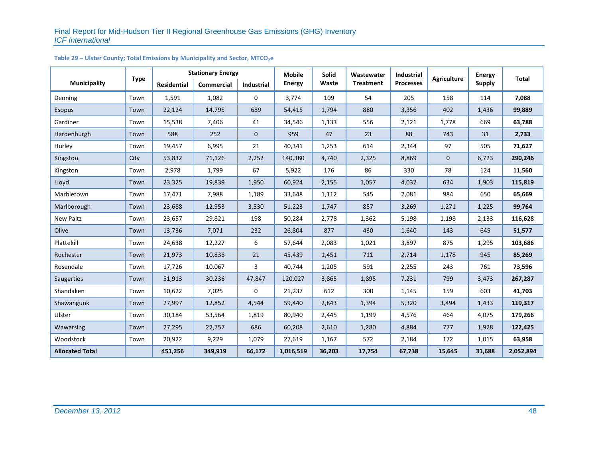|                        |             | <b>Stationary Energy</b> |            |              | <b>Mobile</b> | <b>Solid</b> | Wastewater       | <b>Industrial</b> |              | <b>Energy</b> | <b>Total</b> |
|------------------------|-------------|--------------------------|------------|--------------|---------------|--------------|------------------|-------------------|--------------|---------------|--------------|
| <b>Municipality</b>    | <b>Type</b> | <b>Residential</b>       | Commercial | Industrial   | <b>Energy</b> | Waste        | <b>Treatment</b> | <b>Processes</b>  | Agriculture  | <b>Supply</b> |              |
| Denning                | Town        | 1,591                    | 1,082      | 0            | 3,774         | 109          | 54               | 205               | 158          | 114           | 7,088        |
| <b>Esopus</b>          | Town        | 22,124                   | 14,795     | 689          | 54,415        | 1,794        | 880              | 3,356             | 402          | 1,436         | 99,889       |
| Gardiner               | Town        | 15,538                   | 7,406      | 41           | 34,546        | 1,133        | 556              | 2,121             | 1,778        | 669           | 63,788       |
| Hardenburgh            | Town        | 588                      | 252        | $\mathbf{0}$ | 959           | 47           | 23               | 88                | 743          | 31            | 2,733        |
| Hurley                 | Town        | 19,457                   | 6,995      | 21           | 40,341        | 1,253        | 614              | 2,344             | 97           | 505           | 71,627       |
| Kingston               | City        | 53,832                   | 71,126     | 2,252        | 140,380       | 4,740        | 2,325            | 8,869             | $\mathbf{0}$ | 6,723         | 290,246      |
| Kingston               | Town        | 2,978                    | 1,799      | 67           | 5,922         | 176          | 86               | 330               | 78           | 124           | 11,560       |
| Lloyd                  | Town        | 23,325                   | 19,839     | 1,950        | 60,924        | 2,155        | 1,057            | 4,032             | 634          | 1,903         | 115,819      |
| Marbletown             | Town        | 17,471                   | 7,988      | 1,189        | 33,648        | 1,112        | 545              | 2,081             | 984          | 650           | 65,669       |
| Marlborough            | Town        | 23,688                   | 12,953     | 3,530        | 51,223        | 1,747        | 857              | 3,269             | 1,271        | 1,225         | 99,764       |
| New Paltz              | Town        | 23,657                   | 29,821     | 198          | 50,284        | 2,778        | 1,362            | 5,198             | 1,198        | 2,133         | 116,628      |
| Olive                  | Town        | 13,736                   | 7,071      | 232          | 26,804        | 877          | 430              | 1,640             | 143          | 645           | 51,577       |
| Plattekill             | Town        | 24,638                   | 12,227     | 6            | 57,644        | 2,083        | 1,021            | 3,897             | 875          | 1,295         | 103,686      |
| Rochester              | Town        | 21,973                   | 10,836     | 21           | 45,439        | 1,451        | 711              | 2,714             | 1,178        | 945           | 85,269       |
| Rosendale              | Town        | 17,726                   | 10,067     | 3            | 40,744        | 1,205        | 591              | 2,255             | 243          | 761           | 73,596       |
| Saugerties             | Town        | 51,913                   | 30,236     | 47,847       | 120,027       | 3,865        | 1,895            | 7,231             | 799          | 3,473         | 267,287      |
| Shandaken              | Town        | 10,622                   | 7,025      | 0            | 21,237        | 612          | 300              | 1,145             | 159          | 603           | 41,703       |
| Shawangunk             | Town        | 27,997                   | 12,852     | 4,544        | 59,440        | 2,843        | 1,394            | 5,320             | 3,494        | 1,433         | 119,317      |
| Ulster                 | Town        | 30,184                   | 53,564     | 1,819        | 80,940        | 2,445        | 1,199            | 4,576             | 464          | 4,075         | 179,266      |
| Wawarsing              | Town        | 27,295                   | 22,757     | 686          | 60,208        | 2,610        | 1,280            | 4,884             | 777          | 1,928         | 122,425      |
| Woodstock              | Town        | 20,922                   | 9,229      | 1,079        | 27,619        | 1,167        | 572              | 2,184             | 172          | 1,015         | 63,958       |
| <b>Allocated Total</b> |             | 451,256                  | 349,919    | 66,172       | 1,016,519     | 36,203       | 17,754           | 67,738            | 15,645       | 31,688        | 2,052,894    |

# Table 29 – Ulster County; Total Emissions by Municipality and Sector, MTCO<sub>2</sub>e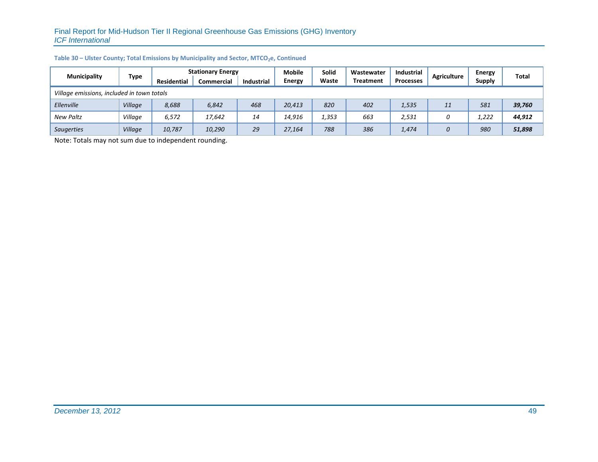| <b>Municipality</b>                        | Type    | <b>Stationary Energy</b> |                   |                   | <b>Mobile</b> | <b>Solid</b> | Wastewater       | <b>Industrial</b> | Agriculture | Energy        | Total  |
|--------------------------------------------|---------|--------------------------|-------------------|-------------------|---------------|--------------|------------------|-------------------|-------------|---------------|--------|
|                                            |         | <b>Residential</b>       | <b>Commercial</b> | <b>Industrial</b> | <b>Energy</b> | Waste        | <b>Treatment</b> | <b>Processes</b>  |             | <b>Supply</b> |        |
| Village emissions, included in town totals |         |                          |                   |                   |               |              |                  |                   |             |               |        |
| Ellenville                                 | Village | 8,688                    | 6,842             | 468               | 20,413        | 820          | 402              | 1,535             | 11          | 581           | 39,760 |
| <b>New Paltz</b>                           | Village | 6,572                    | 17,642            | 14                | 14,916        | 1,353        | 663              | 2,531             |             | 1,222         | 44,912 |
| <b>Saugerties</b>                          | Village | 10,787                   | 10,290            | 29                | 27,164        | 788          | 386              | 1,474             | 0           | 980           | 51,898 |

#### Table 30 – Ulster County; Total Emissions by Municipality and Sector, MTCO<sub>2</sub>e, Continued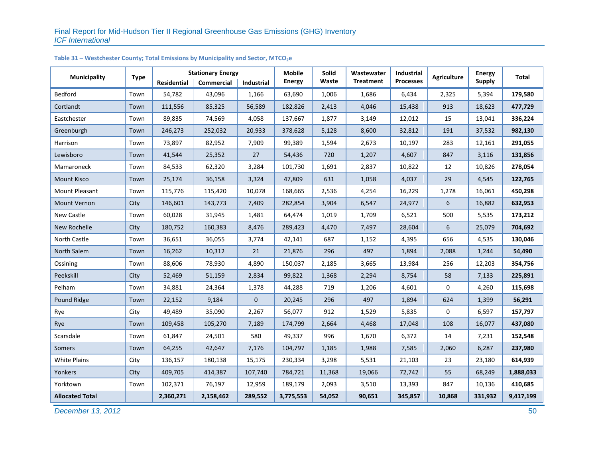| <b>Municipality</b>    | <b>Type</b> |             | <b>Stationary Energy</b> |            | <b>Mobile</b> | Solid  | Wastewater       | Industrial<br><b>Agriculture</b> |        | <b>Energy</b> | <b>Total</b> |
|------------------------|-------------|-------------|--------------------------|------------|---------------|--------|------------------|----------------------------------|--------|---------------|--------------|
|                        |             | Residential | Commercial               | Industrial | <b>Energy</b> | Waste  | <b>Treatment</b> | <b>Processes</b>                 |        | <b>Supply</b> |              |
| Bedford                | Town        | 54,782      | 43,096                   | 1,166      | 63,690        | 1,006  | 1,686            | 6,434                            | 2,325  | 5,394         | 179,580      |
| Cortlandt              | Town        | 111,556     | 85,325                   | 56,589     | 182,826       | 2,413  | 4,046            | 15,438                           | 913    | 18,623        | 477,729      |
| Eastchester            | Town        | 89,835      | 74,569                   | 4,058      | 137,667       | 1,877  | 3,149            | 12,012                           | 15     | 13,041        | 336,224      |
| Greenburgh             | Town        | 246,273     | 252,032                  | 20,933     | 378,628       | 5,128  | 8,600            | 32,812                           | 191    | 37,532        | 982,130      |
| Harrison               | Town        | 73,897      | 82,952                   | 7,909      | 99,389        | 1,594  | 2,673            | 10,197                           | 283    | 12,161        | 291,055      |
| Lewisboro              | Town        | 41,544      | 25,352                   | 27         | 54,436        | 720    | 1,207            | 4,607                            | 847    | 3,116         | 131,856      |
| Mamaroneck             | Town        | 84,533      | 62,320                   | 3,284      | 101,730       | 1,691  | 2,837            | 10,822                           | 12     | 10,826        | 278,054      |
| <b>Mount Kisco</b>     | Town        | 25,174      | 36,158                   | 3,324      | 47,809        | 631    | 1,058            | 4,037                            | 29     | 4,545         | 122,765      |
| Mount Pleasant         | Town        | 115,776     | 115,420                  | 10,078     | 168,665       | 2,536  | 4,254            | 16,229                           | 1,278  | 16,061        | 450,298      |
| Mount Vernon           | City        | 146,601     | 143,773                  | 7,409      | 282,854       | 3,904  | 6,547            | 24,977                           | 6      | 16,882        | 632,953      |
| New Castle             | Town        | 60,028      | 31,945                   | 1,481      | 64,474        | 1,019  | 1,709            | 6,521                            | 500    | 5,535         | 173,212      |
| New Rochelle           | City        | 180,752     | 160,383                  | 8,476      | 289,423       | 4,470  | 7,497            | 28,604                           | 6      | 25,079        | 704,692      |
| North Castle           | Town        | 36,651      | 36,055                   | 3,774      | 42,141        | 687    | 1,152            | 4,395                            | 656    | 4,535         | 130,046      |
| North Salem            | Town        | 16,262      | 10,312                   | 21         | 21,876        | 296    | 497              | 1,894                            | 2,088  | 1,244         | 54,490       |
| Ossining               | Town        | 88,606      | 78,930                   | 4,890      | 150,037       | 2,185  | 3,665            | 13,984                           | 256    | 12,203        | 354,756      |
| Peekskill              | City        | 52,469      | 51,159                   | 2,834      | 99,822        | 1,368  | 2,294            | 8,754                            | 58     | 7,133         | 225,891      |
| Pelham                 | Town        | 34,881      | 24,364                   | 1,378      | 44,288        | 719    | 1,206            | 4,601                            | 0      | 4,260         | 115,698      |
| Pound Ridge            | Town        | 22,152      | 9,184                    | $\pmb{0}$  | 20,245        | 296    | 497              | 1,894                            | 624    | 1,399         | 56,291       |
| Rye                    | City        | 49,489      | 35,090                   | 2,267      | 56,077        | 912    | 1,529            | 5,835                            | 0      | 6,597         | 157,797      |
| Rye                    | Town        | 109,458     | 105,270                  | 7,189      | 174,799       | 2,664  | 4,468            | 17,048                           | 108    | 16,077        | 437,080      |
| Scarsdale              | Town        | 61,847      | 24,501                   | 580        | 49,337        | 996    | 1,670            | 6,372                            | 14     | 7,231         | 152,548      |
| Somers                 | Town        | 64,255      | 42,647                   | 7,176      | 104,797       | 1,185  | 1,988            | 7,585                            | 2,060  | 6,287         | 237,980      |
| <b>White Plains</b>    | City        | 136,157     | 180,138                  | 15,175     | 230,334       | 3,298  | 5,531            | 21,103                           | 23     | 23,180        | 614,939      |
| Yonkers                | City        | 409,705     | 414,387                  | 107,740    | 784,721       | 11,368 | 19,066           | 72,742                           | 55     | 68,249        | 1,888,033    |
| Yorktown               | Town        | 102,371     | 76,197                   | 12,959     | 189,179       | 2,093  | 3,510            | 13,393                           | 847    | 10,136        | 410,685      |
| <b>Allocated Total</b> |             | 2,360,271   | 2,158,462                | 289,552    | 3,775,553     | 54,052 | 90,651           | 345,857                          | 10,868 | 331,932       | 9,417,199    |

#### Table 31 – Westchester County; Total Emissions by Municipality and Sector, MTCO<sub>2</sub>e

**December 13, 2012** 50